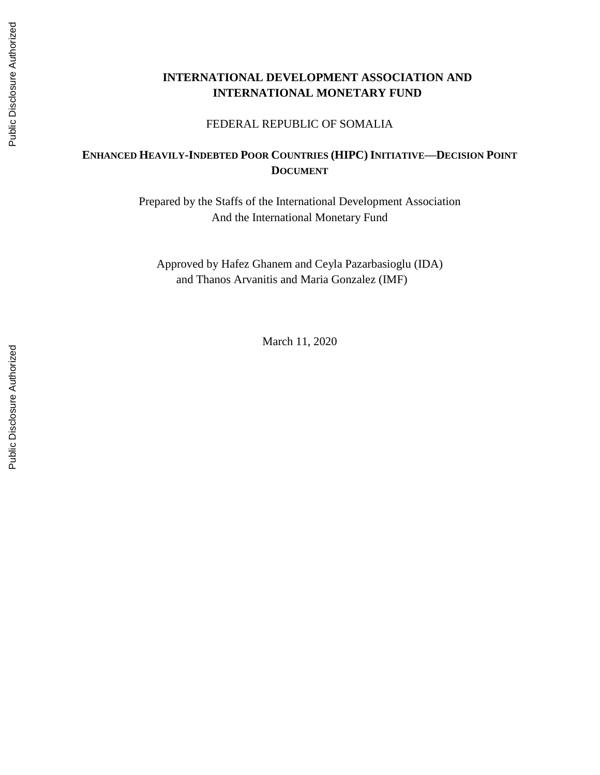# **INTERNATIONAL DEVELOPMENT ASSOCIATION AND INTERNATIONAL MONETARY FUND**

#### FEDERAL REPUBLIC OF SOMALIA

# **ENHANCED HEAVILY-INDEBTED POOR COUNTRIES (HIPC) INITIATIVE—DECISION POINT DOCUMENT**

Prepared by the Staffs of the International Development Association And the International Monetary Fund

Approved by Hafez Ghanem and Ceyla Pazarbasioglu (IDA) and Thanos Arvanitis and Maria Gonzalez (IMF)

March 11, 2020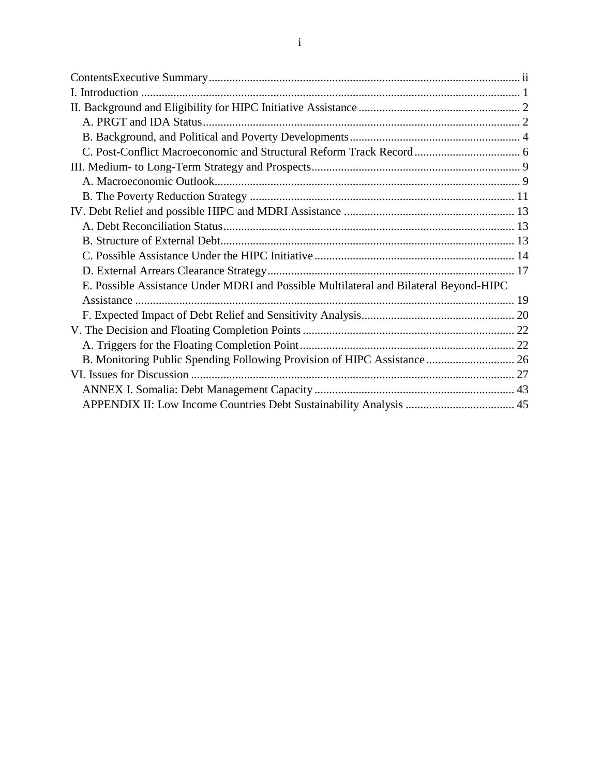| E. Possible Assistance Under MDRI and Possible Multilateral and Bilateral Beyond-HIPC |  |
|---------------------------------------------------------------------------------------|--|
|                                                                                       |  |
|                                                                                       |  |
|                                                                                       |  |
|                                                                                       |  |
|                                                                                       |  |
|                                                                                       |  |
|                                                                                       |  |
|                                                                                       |  |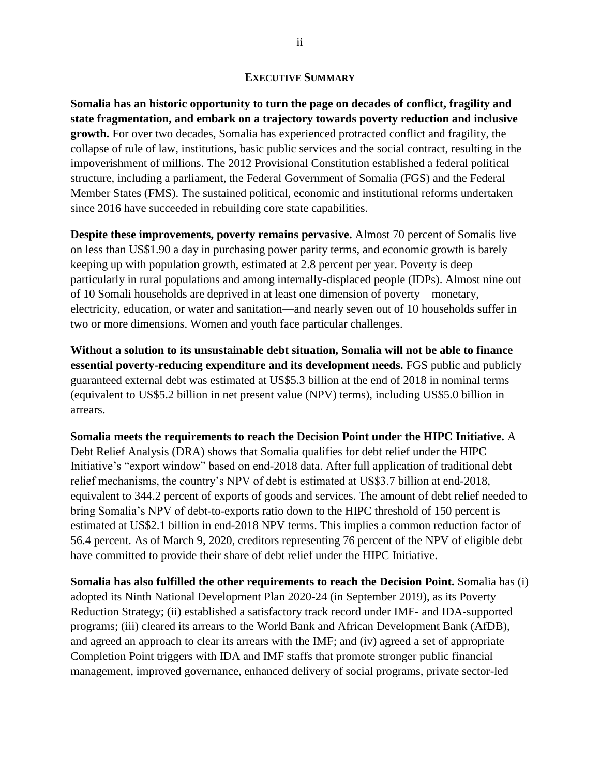#### **EXECUTIVE SUMMARY**

<span id="page-2-0"></span>**Somalia has an historic opportunity to turn the page on decades of conflict, fragility and state fragmentation, and embark on a trajectory towards poverty reduction and inclusive growth.** For over two decades, Somalia has experienced protracted conflict and fragility, the collapse of rule of law, institutions, basic public services and the social contract, resulting in the impoverishment of millions. The 2012 Provisional Constitution established a federal political structure, including a parliament, the Federal Government of Somalia (FGS) and the Federal Member States (FMS). The sustained political, economic and institutional reforms undertaken since 2016 have succeeded in rebuilding core state capabilities.

**Despite these improvements, poverty remains pervasive.** Almost 70 percent of Somalis live on less than US\$1.90 a day in purchasing power parity terms, and economic growth is barely keeping up with population growth, estimated at 2.8 percent per year. Poverty is deep particularly in rural populations and among internally-displaced people (IDPs). Almost nine out of 10 Somali households are deprived in at least one dimension of poverty—monetary, electricity, education, or water and sanitation—and nearly seven out of 10 households suffer in two or more dimensions. Women and youth face particular challenges.

**Without a solution to its unsustainable debt situation, Somalia will not be able to finance essential poverty-reducing expenditure and its development needs.** FGS public and publicly guaranteed external debt was estimated at US\$5.3 billion at the end of 2018 in nominal terms (equivalent to US\$5.2 billion in net present value (NPV) terms), including US\$5.0 billion in arrears.

**Somalia meets the requirements to reach the Decision Point under the HIPC Initiative.** A Debt Relief Analysis (DRA) shows that Somalia qualifies for debt relief under the HIPC Initiative's "export window" based on end-2018 data. After full application of traditional debt relief mechanisms, the country's NPV of debt is estimated at US\$3.7 billion at end-2018, equivalent to 344.2 percent of exports of goods and services. The amount of debt relief needed to bring Somalia's NPV of debt-to-exports ratio down to the HIPC threshold of 150 percent is estimated at US\$2.1 billion in end-2018 NPV terms. This implies a common reduction factor of 56.4 percent. As of March 9, 2020, creditors representing 76 percent of the NPV of eligible debt have committed to provide their share of debt relief under the HIPC Initiative.

**Somalia has also fulfilled the other requirements to reach the Decision Point.** Somalia has (i) adopted its Ninth National Development Plan 2020-24 (in September 2019), as its Poverty Reduction Strategy; (ii) established a satisfactory track record under IMF- and IDA-supported programs; (iii) cleared its arrears to the World Bank and African Development Bank (AfDB), and agreed an approach to clear its arrears with the IMF; and (iv) agreed a set of appropriate Completion Point triggers with IDA and IMF staffs that promote stronger public financial management, improved governance, enhanced delivery of social programs, private sector-led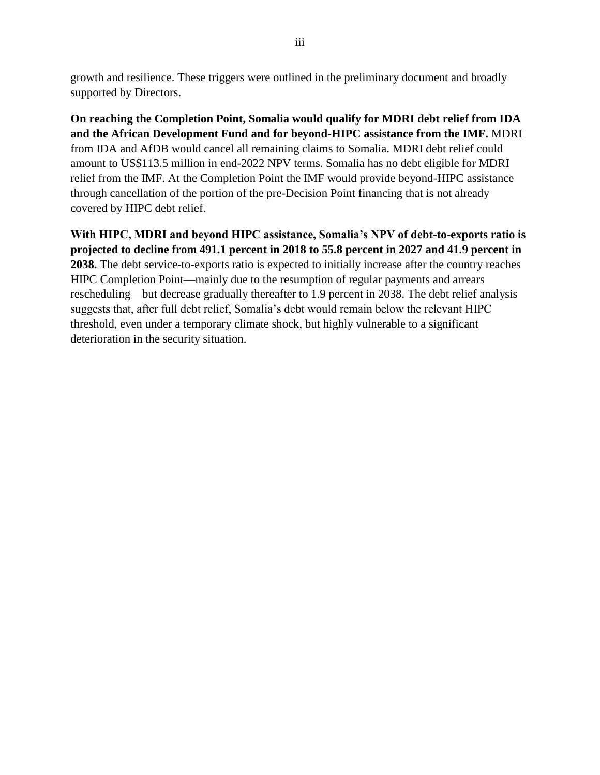growth and resilience. These triggers were outlined in the preliminary document and broadly supported by Directors.

**On reaching the Completion Point, Somalia would qualify for MDRI debt relief from IDA and the African Development Fund and for beyond-HIPC assistance from the IMF.** MDRI from IDA and AfDB would cancel all remaining claims to Somalia. MDRI debt relief could amount to US\$113.5 million in end-2022 NPV terms. Somalia has no debt eligible for MDRI relief from the IMF. At the Completion Point the IMF would provide beyond-HIPC assistance through cancellation of the portion of the pre-Decision Point financing that is not already covered by HIPC debt relief.

**With HIPC, MDRI and beyond HIPC assistance, Somalia's NPV of debt-to-exports ratio is projected to decline from 491.1 percent in 2018 to 55.8 percent in 2027 and 41.9 percent in 2038.** The debt service-to-exports ratio is expected to initially increase after the country reaches HIPC Completion Point—mainly due to the resumption of regular payments and arrears rescheduling—but decrease gradually thereafter to 1.9 percent in 2038. The debt relief analysis suggests that, after full debt relief, Somalia's debt would remain below the relevant HIPC threshold, even under a temporary climate shock, but highly vulnerable to a significant deterioration in the security situation.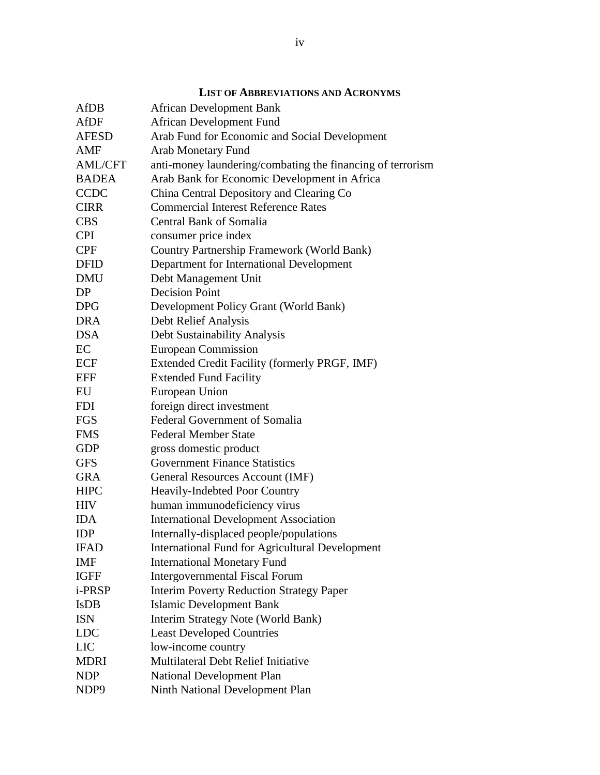| <b>AfDB</b>      | <b>African Development Bank</b>                            |
|------------------|------------------------------------------------------------|
| AfDF             | <b>African Development Fund</b>                            |
| <b>AFESD</b>     | Arab Fund for Economic and Social Development              |
| AMF              | <b>Arab Monetary Fund</b>                                  |
| <b>AML/CFT</b>   | anti-money laundering/combating the financing of terrorism |
| <b>BADEA</b>     | Arab Bank for Economic Development in Africa               |
| <b>CCDC</b>      | China Central Depository and Clearing Co                   |
| <b>CIRR</b>      | <b>Commercial Interest Reference Rates</b>                 |
| <b>CBS</b>       | <b>Central Bank of Somalia</b>                             |
| <b>CPI</b>       | consumer price index                                       |
| <b>CPF</b>       | <b>Country Partnership Framework (World Bank)</b>          |
| <b>DFID</b>      | Department for International Development                   |
| <b>DMU</b>       | Debt Management Unit                                       |
| DP               | <b>Decision Point</b>                                      |
| <b>DPG</b>       | Development Policy Grant (World Bank)                      |
| <b>DRA</b>       | Debt Relief Analysis                                       |
| <b>DSA</b>       | Debt Sustainability Analysis                               |
| EC               | <b>European Commission</b>                                 |
| <b>ECF</b>       | Extended Credit Facility (formerly PRGF, IMF)              |
| <b>EFF</b>       | <b>Extended Fund Facility</b>                              |
| EU               | European Union                                             |
| <b>FDI</b>       | foreign direct investment                                  |
| <b>FGS</b>       | <b>Federal Government of Somalia</b>                       |
| <b>FMS</b>       | <b>Federal Member State</b>                                |
| <b>GDP</b>       | gross domestic product                                     |
| <b>GFS</b>       | <b>Government Finance Statistics</b>                       |
| <b>GRA</b>       | General Resources Account (IMF)                            |
| <b>HIPC</b>      | Heavily-Indebted Poor Country                              |
| <b>HIV</b>       | human immunodeficiency virus                               |
| <b>IDA</b>       | <b>International Development Association</b>               |
| <b>IDP</b>       | Internally-displaced people/populations                    |
| <b>IFAD</b>      | <b>International Fund for Agricultural Development</b>     |
| IMF              | <b>International Monetary Fund</b>                         |
| <b>IGFF</b>      | <b>Intergovernmental Fiscal Forum</b>                      |
| i-PRSP           | <b>Interim Poverty Reduction Strategy Paper</b>            |
| <b>IsDB</b>      | <b>Islamic Development Bank</b>                            |
| <b>ISN</b>       | Interim Strategy Note (World Bank)                         |
| <b>LDC</b>       | <b>Least Developed Countries</b>                           |
| LIC              | low-income country                                         |
| <b>MDRI</b>      | <b>Multilateral Debt Relief Initiative</b>                 |
| <b>NDP</b>       | <b>National Development Plan</b>                           |
| NDP <sub>9</sub> | Ninth National Development Plan                            |

#### **LIST OF ABBREVIATIONS AND ACRONYMS**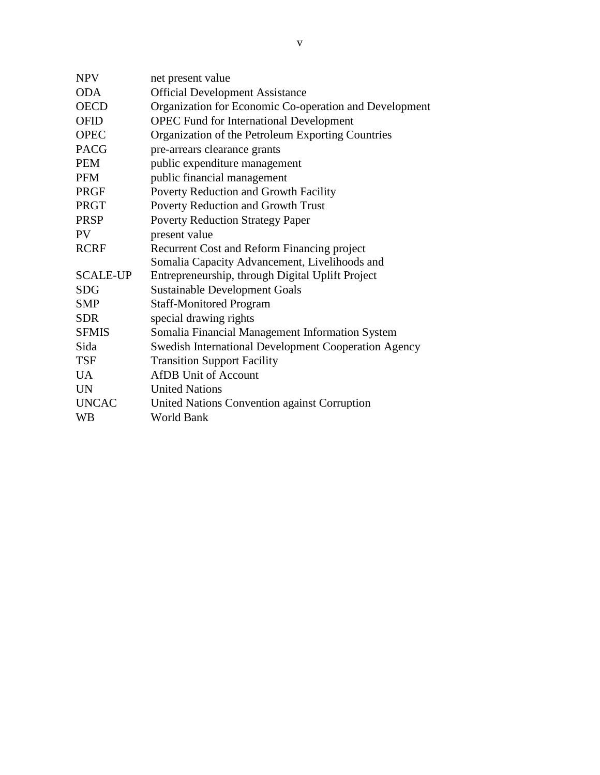| <b>NPV</b>      | net present value                                      |
|-----------------|--------------------------------------------------------|
| <b>ODA</b>      | <b>Official Development Assistance</b>                 |
| <b>OECD</b>     | Organization for Economic Co-operation and Development |
| <b>OFID</b>     | <b>OPEC Fund for International Development</b>         |
| <b>OPEC</b>     | Organization of the Petroleum Exporting Countries      |
| <b>PACG</b>     | pre-arrears clearance grants                           |
| <b>PEM</b>      | public expenditure management                          |
| <b>PFM</b>      | public financial management                            |
| <b>PRGF</b>     | Poverty Reduction and Growth Facility                  |
| <b>PRGT</b>     | Poverty Reduction and Growth Trust                     |
| <b>PRSP</b>     | <b>Poverty Reduction Strategy Paper</b>                |
| <b>PV</b>       | present value                                          |
| <b>RCRF</b>     | Recurrent Cost and Reform Financing project            |
|                 | Somalia Capacity Advancement, Livelihoods and          |
| <b>SCALE-UP</b> | Entrepreneurship, through Digital Uplift Project       |
| <b>SDG</b>      | <b>Sustainable Development Goals</b>                   |
| <b>SMP</b>      | <b>Staff-Monitored Program</b>                         |
| <b>SDR</b>      | special drawing rights                                 |
| <b>SFMIS</b>    | Somalia Financial Management Information System        |
| Sida            | Swedish International Development Cooperation Agency   |
| <b>TSF</b>      | <b>Transition Support Facility</b>                     |
| <b>UA</b>       | <b>AfDB</b> Unit of Account                            |
| <b>UN</b>       | <b>United Nations</b>                                  |
| <b>UNCAC</b>    | United Nations Convention against Corruption           |
| <b>WB</b>       | <b>World Bank</b>                                      |
|                 |                                                        |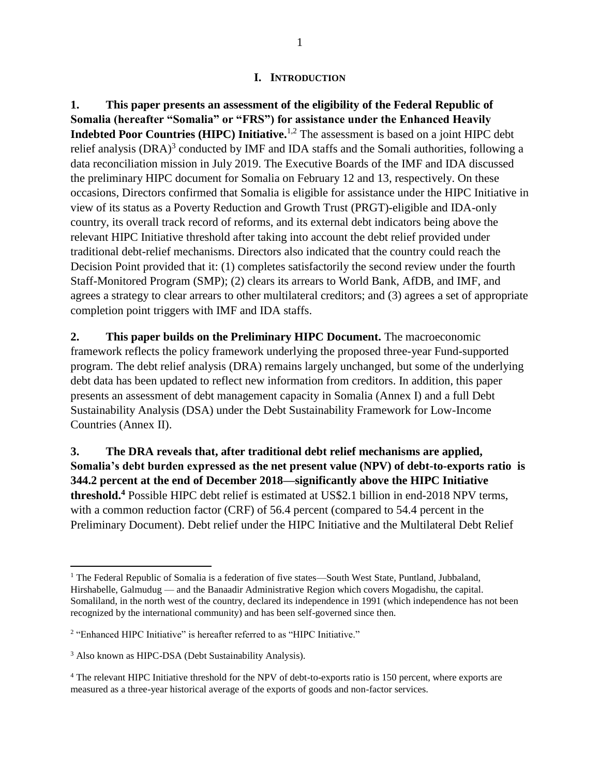#### **I. INTRODUCTION**

<span id="page-6-0"></span>**1. This paper presents an assessment of the eligibility of the Federal Republic of Somalia (hereafter "Somalia" or "FRS") for assistance under the Enhanced Heavily Indebted Poor Countries (HIPC) Initiative.**1,2 The assessment is based on a joint HIPC debt relief analysis  $(DRA)^3$  conducted by IMF and IDA staffs and the Somali authorities, following a data reconciliation mission in July 2019. The Executive Boards of the IMF and IDA discussed the preliminary HIPC document for Somalia on February 12 and 13, respectively. On these occasions, Directors confirmed that Somalia is eligible for assistance under the HIPC Initiative in view of its status as a Poverty Reduction and Growth Trust (PRGT)-eligible and IDA-only country, its overall track record of reforms, and its external debt indicators being above the relevant HIPC Initiative threshold after taking into account the debt relief provided under traditional debt-relief mechanisms. Directors also indicated that the country could reach the Decision Point provided that it: (1) completes satisfactorily the second review under the fourth Staff-Monitored Program (SMP); (2) clears its arrears to World Bank, AfDB, and IMF, and agrees a strategy to clear arrears to other multilateral creditors; and (3) agrees a set of appropriate completion point triggers with IMF and IDA staffs.

**2. This paper builds on the Preliminary HIPC Document.** The macroeconomic framework reflects the policy framework underlying the proposed three-year Fund-supported program. The debt relief analysis (DRA) remains largely unchanged, but some of the underlying debt data has been updated to reflect new information from creditors. In addition, this paper presents an assessment of debt management capacity in Somalia (Annex I) and a full Debt Sustainability Analysis (DSA) under the Debt Sustainability Framework for Low-Income Countries (Annex II).

**3. The DRA reveals that, after traditional debt relief mechanisms are applied, Somalia's debt burden expressed as the net present value (NPV) of debt-to-exports ratio is 344.2 percent at the end of December 2018—significantly above the HIPC Initiative threshold.<sup>4</sup>** Possible HIPC debt relief is estimated at US\$2.1 billion in end-2018 NPV terms, with a common reduction factor (CRF) of 56.4 percent (compared to 54.4 percent in the Preliminary Document). Debt relief under the HIPC Initiative and the Multilateral Debt Relief

<sup>&</sup>lt;sup>1</sup> The Federal Republic of Somalia is a federation of five states—South West State, Puntland, Jubbaland, Hirshabelle, Galmudug — and the Banaadir Administrative Region which covers Mogadishu, the capital. Somaliland, in the north west of the country, declared its independence in 1991 (which independence has not been recognized by the international community) and has been self-governed since then.

<sup>&</sup>lt;sup>2</sup> "Enhanced HIPC Initiative" is hereafter referred to as "HIPC Initiative."

<sup>3</sup> Also known as HIPC-DSA (Debt Sustainability Analysis).

<sup>4</sup> The relevant HIPC Initiative threshold for the NPV of debt-to-exports ratio is 150 percent, where exports are measured as a three-year historical average of the exports of goods and non-factor services.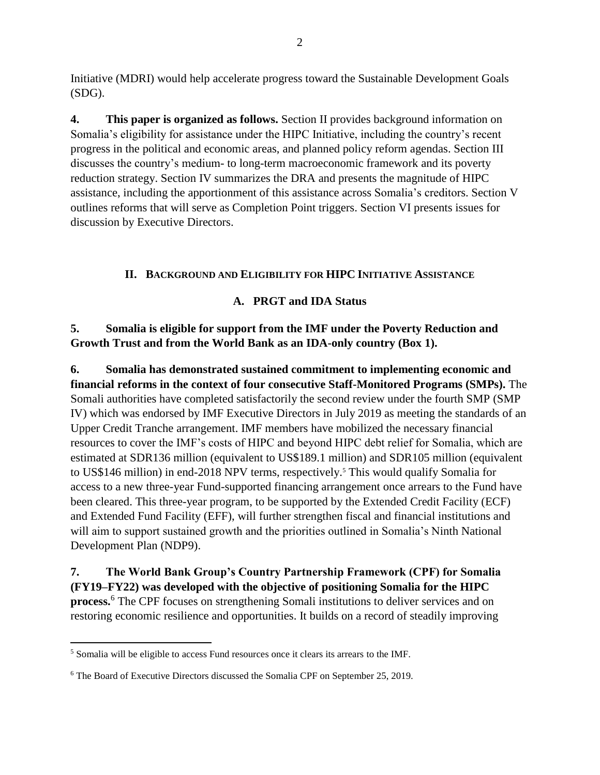Initiative (MDRI) would help accelerate progress toward the Sustainable Development Goals (SDG).

**4. This paper is organized as follows.** Section II provides background information on Somalia's eligibility for assistance under the HIPC Initiative, including the country's recent progress in the political and economic areas, and planned policy reform agendas. Section III discusses the country's medium- to long-term macroeconomic framework and its poverty reduction strategy. Section IV summarizes the DRA and presents the magnitude of HIPC assistance, including the apportionment of this assistance across Somalia's creditors. Section V outlines reforms that will serve as Completion Point triggers. Section VI presents issues for discussion by Executive Directors.

# **II. BACKGROUND AND ELIGIBILITY FOR HIPC INITIATIVE ASSISTANCE**

# **A. PRGT and IDA Status**

<span id="page-7-1"></span><span id="page-7-0"></span>**5. Somalia is eligible for support from the IMF under the Poverty Reduction and Growth Trust and from the World Bank as an IDA-only country (Box 1).**

**6. Somalia has demonstrated sustained commitment to implementing economic and financial reforms in the context of four consecutive Staff-Monitored Programs (SMPs).** The Somali authorities have completed satisfactorily the second review under the fourth SMP (SMP IV) which was endorsed by IMF Executive Directors in July 2019 as meeting the standards of an Upper Credit Tranche arrangement. IMF members have mobilized the necessary financial resources to cover the IMF's costs of HIPC and beyond HIPC debt relief for Somalia, which are estimated at SDR136 million (equivalent to US\$189.1 million) and SDR105 million (equivalent to US\$146 million) in end-2018 NPV terms, respectively.<sup>5</sup> This would qualify Somalia for access to a new three-year Fund-supported financing arrangement once arrears to the Fund have been cleared. This three-year program, to be supported by the Extended Credit Facility (ECF) and Extended Fund Facility (EFF), will further strengthen fiscal and financial institutions and will aim to support sustained growth and the priorities outlined in Somalia's Ninth National Development Plan (NDP9).

**7. The World Bank Group's Country Partnership Framework (CPF) for Somalia (FY19–FY22) was developed with the objective of positioning Somalia for the HIPC process.**<sup>6</sup> The CPF focuses on strengthening Somali institutions to deliver services and on restoring economic resilience and opportunities. It builds on a record of steadily improving

<sup>5</sup> Somalia will be eligible to access Fund resources once it clears its arrears to the IMF.

<sup>6</sup> The Board of Executive Directors discussed the Somalia CPF on September 25, 2019.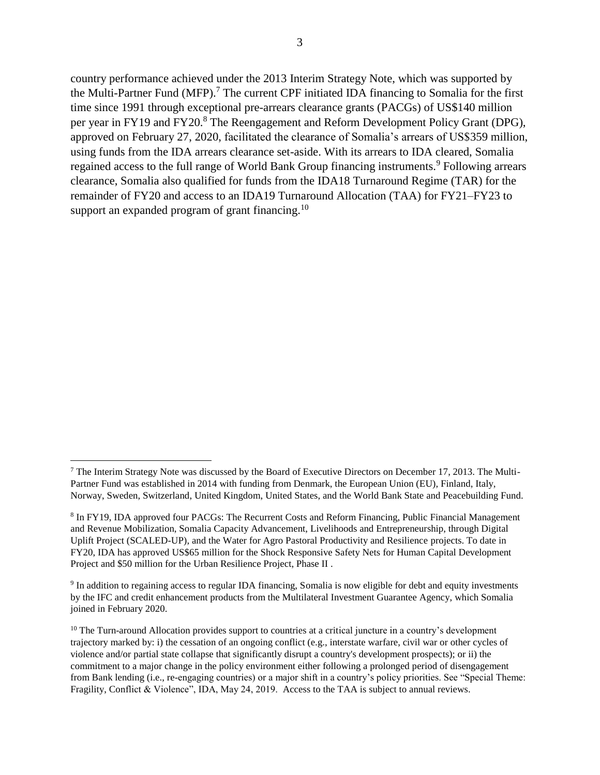country performance achieved under the 2013 Interim Strategy Note, which was supported by the Multi-Partner Fund (MFP). <sup>7</sup> The current CPF initiated IDA financing to Somalia for the first time since 1991 through exceptional pre-arrears clearance grants (PACGs) of US\$140 million per year in FY19 and FY20.<sup>8</sup> The Reengagement and Reform Development Policy Grant (DPG), approved on February 27, 2020, facilitated the clearance of Somalia's arrears of US\$359 million, using funds from the IDA arrears clearance set-aside. With its arrears to IDA cleared, Somalia regained access to the full range of World Bank Group financing instruments.<sup>9</sup> Following arrears clearance, Somalia also qualified for funds from the IDA18 Turnaround Regime (TAR) for the remainder of FY20 and access to an IDA19 Turnaround Allocation (TAA) for FY21–FY23 to support an expanded program of grant financing.<sup>10</sup>

<sup>7</sup> The Interim Strategy Note was discussed by the Board of Executive Directors on December 17, 2013. The Multi-Partner Fund was established in 2014 with funding from Denmark, the European Union (EU), Finland, Italy, Norway, Sweden, Switzerland, United Kingdom, United States, and the World Bank State and Peacebuilding Fund.

<sup>&</sup>lt;sup>8</sup> In FY19, IDA approved four PACGs: The Recurrent Costs and Reform Financing, Public Financial Management and Revenue Mobilization, Somalia Capacity Advancement, Livelihoods and Entrepreneurship, through Digital Uplift Project (SCALED-UP), and the Water for Agro Pastoral Productivity and Resilience projects. To date in FY20, IDA has approved US\$65 million for the Shock Responsive Safety Nets for Human Capital Development Project and \$50 million for the Urban Resilience Project, Phase II .

<sup>9</sup> In addition to regaining access to regular IDA financing, Somalia is now eligible for debt and equity investments by the IFC and credit enhancement products from the Multilateral Investment Guarantee Agency, which Somalia joined in February 2020.

<sup>&</sup>lt;sup>10</sup> The Turn-around Allocation provides support to countries at a critical juncture in a country's development trajectory marked by: i) the cessation of an ongoing conflict (e.g., interstate warfare, civil war or other cycles of violence and/or partial state collapse that significantly disrupt a country's development prospects); or ii) the commitment to a major change in the policy environment either following a prolonged period of disengagement from Bank lending (i.e., re-engaging countries) or a major shift in a country's policy priorities. See "Special Theme: Fragility, Conflict & Violence", IDA, May 24, 2019. Access to the TAA is subject to annual reviews.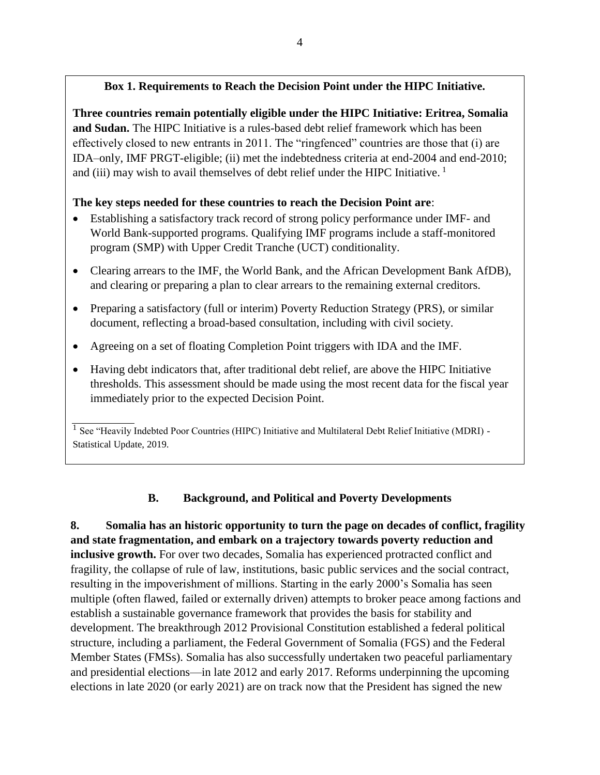# **Box 1. Requirements to Reach the Decision Point under the HIPC Initiative.**

**Three countries remain potentially eligible under the HIPC Initiative: Eritrea, Somalia and Sudan.** The HIPC Initiative is a rules-based debt relief framework which has been effectively closed to new entrants in 2011. The "ringfenced" countries are those that (i) are IDA–only, IMF PRGT-eligible; (ii) met the indebtedness criteria at end-2004 and end-2010; and (iii) may wish to avail themselves of debt relief under the HIPC Initiative.  $<sup>1</sup>$ </sup>

# **The key steps needed for these countries to reach the Decision Point are**:

- Establishing a satisfactory track record of strong policy performance under IMF- and World Bank-supported programs. Qualifying IMF programs include a staff-monitored program (SMP) with Upper Credit Tranche (UCT) conditionality.
- Clearing arrears to the IMF, the World Bank, and the African Development Bank AfDB), and clearing or preparing a plan to clear arrears to the remaining external creditors.
- Preparing a satisfactory (full or interim) Poverty Reduction Strategy (PRS), or similar document, reflecting a broad-based consultation, including with civil society.
- Agreeing on a set of floating Completion Point triggers with IDA and the IMF.
- Having debt indicators that, after traditional debt relief, are above the HIPC Initiative thresholds. This assessment should be made using the most recent data for the fiscal year immediately prior to the expected Decision Point.

<sup>1</sup> See "Heavily Indebted Poor Countries (HIPC) Initiative and Multilateral Debt Relief Initiative (MDRI) -Statistical Update, 2019.

# <span id="page-9-0"></span>**B. Background, and Political and Poverty Developments**

**8. Somalia has an historic opportunity to turn the page on decades of conflict, fragility and state fragmentation, and embark on a trajectory towards poverty reduction and inclusive growth.** For over two decades, Somalia has experienced protracted conflict and fragility, the collapse of rule of law, institutions, basic public services and the social contract, resulting in the impoverishment of millions. Starting in the early 2000's Somalia has seen multiple (often flawed, failed or externally driven) attempts to broker peace among factions and establish a sustainable governance framework that provides the basis for stability and development. The breakthrough 2012 Provisional Constitution established a federal political structure, including a parliament, the Federal Government of Somalia (FGS) and the Federal Member States (FMSs). Somalia has also successfully undertaken two peaceful parliamentary and presidential elections—in late 2012 and early 2017. Reforms underpinning the upcoming elections in late 2020 (or early 2021) are on track now that the President has signed the new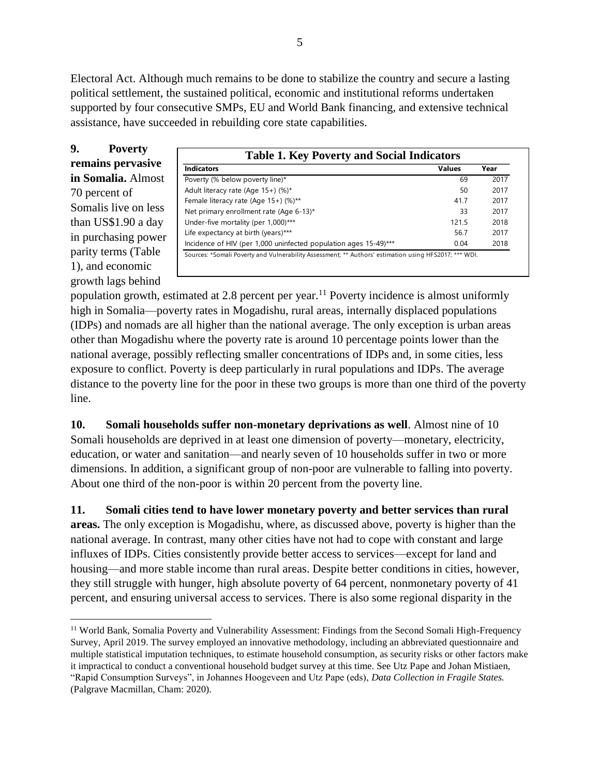Electoral Act. Although much remains to be done to stabilize the country and secure a lasting political settlement, the sustained political, economic and institutional reforms undertaken supported by four consecutive SMPs, EU and World Bank financing, and extensive technical assistance, have succeeded in rebuilding core state capabilities.

**9. Poverty remains pervasive in Somalia.** Almost 70 percent of Somalis live on less than US\$1.90 a day in purchasing power parity terms (Table 1), and economic growth lags behind

| <b>Indicators</b>                                                | <b>Values</b> | Year |
|------------------------------------------------------------------|---------------|------|
| Poverty (% below poverty line)*                                  | 69            | 2017 |
| Adult literacy rate (Age 15+) (%)*                               | 50            | 2017 |
| Female literacy rate (Age 15+) (%)**                             | 417           | 2017 |
| Net primary enrollment rate (Age 6-13)*                          | 33            | 2017 |
| Under-five mortality (per 1,000)***                              | 1215          | 2018 |
| Life expectancy at birth (years)***                              | 56.7          | 2017 |
| Incidence of HIV (per 1,000 uninfected population ages 15-49)*** | 0.04          | 2018 |

population growth, estimated at 2.8 percent per year.<sup>11</sup> Poverty incidence is almost uniformly high in Somalia—poverty rates in Mogadishu, rural areas, internally displaced populations (IDPs) and nomads are all higher than the national average. The only exception is urban areas other than Mogadishu where the poverty rate is around 10 percentage points lower than the national average, possibly reflecting smaller concentrations of IDPs and, in some cities, less exposure to conflict. Poverty is deep particularly in rural populations and IDPs. The average distance to the poverty line for the poor in these two groups is more than one third of the poverty line.

**10. Somali households suffer non-monetary deprivations as well**. Almost nine of 10 Somali households are deprived in at least one dimension of poverty—monetary, electricity, education, or water and sanitation—and nearly seven of 10 households suffer in two or more dimensions. In addition, a significant group of non-poor are vulnerable to falling into poverty. About one third of the non-poor is within 20 percent from the poverty line.

**11. Somali cities tend to have lower monetary poverty and better services than rural areas.** The only exception is Mogadishu, where, as discussed above, poverty is higher than the national average. In contrast, many other cities have not had to cope with constant and large influxes of IDPs. Cities consistently provide better access to services—except for land and housing—and more stable income than rural areas. Despite better conditions in cities, however, they still struggle with hunger, high absolute poverty of 64 percent, nonmonetary poverty of 41 percent, and ensuring universal access to services. There is also some regional disparity in the

 $\overline{a}$ <sup>11</sup> World Bank, Somalia Poverty and Vulnerability Assessment: Findings from the Second Somali High-Frequency Survey, April 2019. The survey employed an innovative methodology, including an abbreviated questionnaire and multiple statistical imputation techniques, to estimate household consumption, as security risks or other factors make it impractical to conduct a conventional household budget survey at this time. See Utz Pape and Johan Mistiaen, "Rapid Consumption Surveys", in Johannes Hoogeveen and Utz Pape (eds), *Data Collection in Fragile States.* (Palgrave Macmillan, Cham: 2020).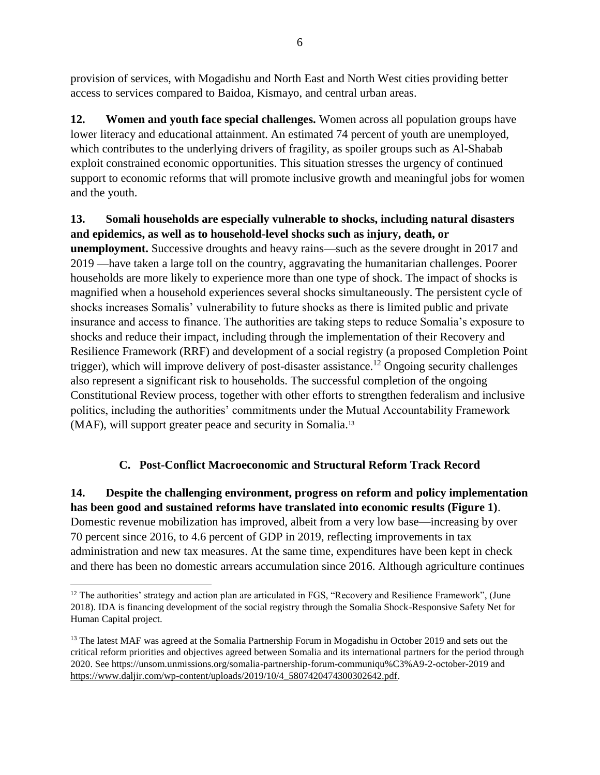provision of services, with Mogadishu and North East and North West cities providing better access to services compared to Baidoa, Kismayo, and central urban areas.

**12. Women and youth face special challenges.** Women across all population groups have lower literacy and educational attainment. An estimated 74 percent of youth are unemployed, which contributes to the underlying drivers of fragility, as spoiler groups such as Al-Shabab exploit constrained economic opportunities. This situation stresses the urgency of continued support to economic reforms that will promote inclusive growth and meaningful jobs for women and the youth.

# **13. Somali households are especially vulnerable to shocks, including natural disasters and epidemics, as well as to household-level shocks such as injury, death, or**

**unemployment.** Successive droughts and heavy rains—such as the severe drought in 2017 and 2019 —have taken a large toll on the country, aggravating the humanitarian challenges. Poorer households are more likely to experience more than one type of shock. The impact of shocks is magnified when a household experiences several shocks simultaneously. The persistent cycle of shocks increases Somalis' vulnerability to future shocks as there is limited public and private insurance and access to finance. The authorities are taking steps to reduce Somalia's exposure to shocks and reduce their impact, including through the implementation of their Recovery and Resilience Framework (RRF) and development of a social registry (a proposed Completion Point trigger), which will improve delivery of post-disaster assistance.<sup>12</sup> Ongoing security challenges also represent a significant risk to households. The successful completion of the ongoing Constitutional Review process, together with other efforts to strengthen federalism and inclusive politics, including the authorities' commitments under the Mutual Accountability Framework (MAF), will support greater peace and security in Somalia. 13

# **C. Post-Conflict Macroeconomic and Structural Reform Track Record**

<span id="page-11-0"></span>**14. Despite the challenging environment, progress on reform and policy implementation has been good and sustained reforms have translated into economic results (Figure 1)**. Domestic revenue mobilization has improved, albeit from a very low base—increasing by over 70 percent since 2016, to 4.6 percent of GDP in 2019, reflecting improvements in tax administration and new tax measures. At the same time, expenditures have been kept in check and there has been no domestic arrears accumulation since 2016. Although agriculture continues

<sup>&</sup>lt;sup>12</sup> The authorities' strategy and action plan are articulated in FGS, "Recovery and Resilience Framework", (June 2018). IDA is financing development of the social registry through the Somalia Shock-Responsive Safety Net for Human Capital project.

<sup>&</sup>lt;sup>13</sup> The latest MAF was agreed at the Somalia Partnership Forum in Mogadishu in October 2019 and sets out the critical reform priorities and objectives agreed between Somalia and its international partners for the period through 2020. See https://unsom.unmissions.org/somalia-partnership-forum-communiqu%C3%A9-2-october-2019 and [https://www.daljir.com/wp-content/uploads/2019/10/4\\_5807420474300302642.pdf.](https://www.daljir.com/wp-content/uploads/2019/10/4_5807420474300302642.pdf)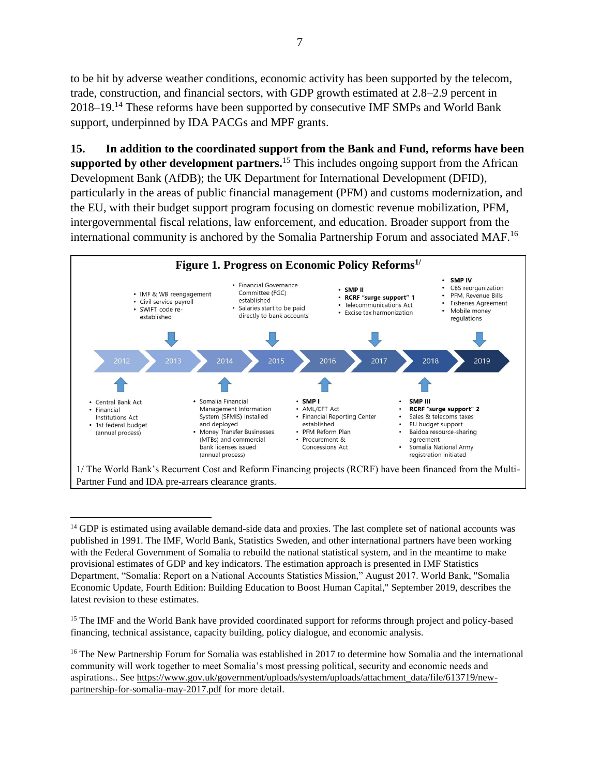to be hit by adverse weather conditions, economic activity has been supported by the telecom, trade, construction, and financial sectors, with GDP growth estimated at 2.8–2.9 percent in 2018–19.<sup>14</sup> These reforms have been supported by consecutive IMF SMPs and World Bank support, underpinned by IDA PACGs and MPF grants.

**15. In addition to the coordinated support from the Bank and Fund, reforms have been supported by other development partners.** <sup>15</sup> This includes ongoing support from the African Development Bank (AfDB); the UK Department for International Development (DFID), particularly in the areas of public financial management (PFM) and customs modernization, and the EU, with their budget support program focusing on domestic revenue mobilization, PFM, intergovernmental fiscal relations, law enforcement, and education. Broader support from the international community is anchored by the Somalia Partnership Forum and associated MAF.<sup>16</sup>



<sup>&</sup>lt;sup>14</sup> GDP is estimated using available demand-side data and proxies. The last complete set of national accounts was published in 1991. The IMF, World Bank, Statistics Sweden, and other international partners have been working with the Federal Government of Somalia to rebuild the national statistical system, and in the meantime to make provisional estimates of GDP and key indicators. The estimation approach is presented in IMF Statistics Department, "Somalia: Report on a National Accounts Statistics Mission," August 2017. World Bank, "Somalia Economic Update, Fourth Edition: Building Education to Boost Human Capital," September 2019, describes the latest revision to these estimates.

 $\overline{a}$ 

<sup>15</sup> The IMF and the World Bank have provided coordinated support for reforms through project and policy-based financing, technical assistance, capacity building, policy dialogue, and economic analysis.

<sup>&</sup>lt;sup>16</sup> The New Partnership Forum for Somalia was established in 2017 to determine how Somalia and the international community will work together to meet Somalia's most pressing political, security and economic needs and aspirations.. See [https://www.gov.uk/government/uploads/system/uploads/attachment\\_data/file/613719/new](https://www.gov.uk/government/uploads/system/uploads/attachment_data/file/613719/new-partnership-for-somalia-may-2017.pdf)[partnership-for-somalia-may-2017.pdf](https://www.gov.uk/government/uploads/system/uploads/attachment_data/file/613719/new-partnership-for-somalia-may-2017.pdf) for more detail.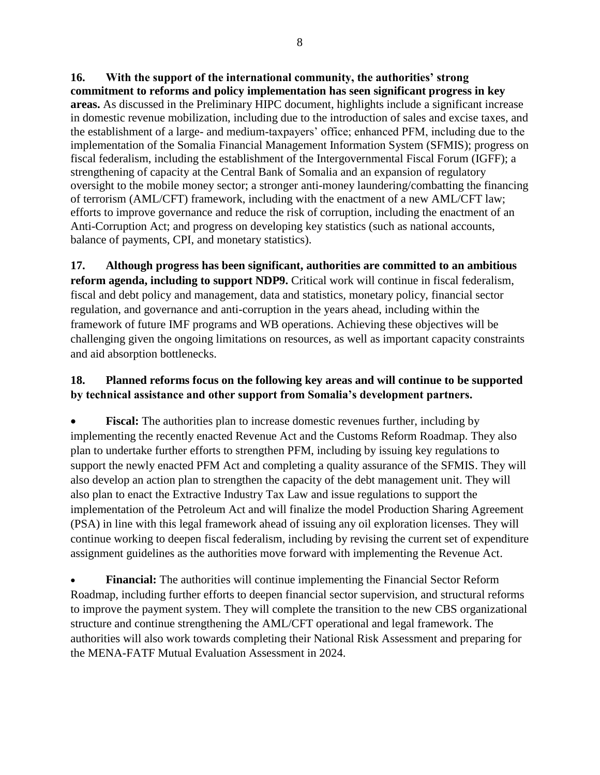**16. With the support of the international community, the authorities' strong commitment to reforms and policy implementation has seen significant progress in key areas.** As discussed in the Preliminary HIPC document, highlights include a significant increase in domestic revenue mobilization, including due to the introduction of sales and excise taxes, and the establishment of a large- and medium-taxpayers' office; enhanced PFM, including due to the implementation of the Somalia Financial Management Information System (SFMIS); progress on fiscal federalism, including the establishment of the Intergovernmental Fiscal Forum (IGFF); a strengthening of capacity at the Central Bank of Somalia and an expansion of regulatory oversight to the mobile money sector; a stronger anti-money laundering/combatting the financing of terrorism (AML/CFT) framework, including with the enactment of a new AML/CFT law; efforts to improve governance and reduce the risk of corruption, including the enactment of an Anti-Corruption Act; and progress on developing key statistics (such as national accounts, balance of payments, CPI, and monetary statistics).

**17. Although progress has been significant, authorities are committed to an ambitious reform agenda, including to support NDP9.** Critical work will continue in fiscal federalism, fiscal and debt policy and management, data and statistics, monetary policy, financial sector regulation, and governance and anti-corruption in the years ahead, including within the framework of future IMF programs and WB operations. Achieving these objectives will be challenging given the ongoing limitations on resources, as well as important capacity constraints and aid absorption bottlenecks.

# **18. Planned reforms focus on the following key areas and will continue to be supported by technical assistance and other support from Somalia's development partners.**

**Fiscal:** The authorities plan to increase domestic revenues further, including by implementing the recently enacted Revenue Act and the Customs Reform Roadmap. They also plan to undertake further efforts to strengthen PFM, including by issuing key regulations to support the newly enacted PFM Act and completing a quality assurance of the SFMIS. They will also develop an action plan to strengthen the capacity of the debt management unit. They will also plan to enact the Extractive Industry Tax Law and issue regulations to support the implementation of the Petroleum Act and will finalize the model Production Sharing Agreement (PSA) in line with this legal framework ahead of issuing any oil exploration licenses. They will continue working to deepen fiscal federalism, including by revising the current set of expenditure assignment guidelines as the authorities move forward with implementing the Revenue Act.

• **Financial:** The authorities will continue implementing the Financial Sector Reform Roadmap, including further efforts to deepen financial sector supervision, and structural reforms to improve the payment system. They will complete the transition to the new CBS organizational structure and continue strengthening the AML/CFT operational and legal framework. The authorities will also work towards completing their National Risk Assessment and preparing for the MENA-FATF Mutual Evaluation Assessment in 2024.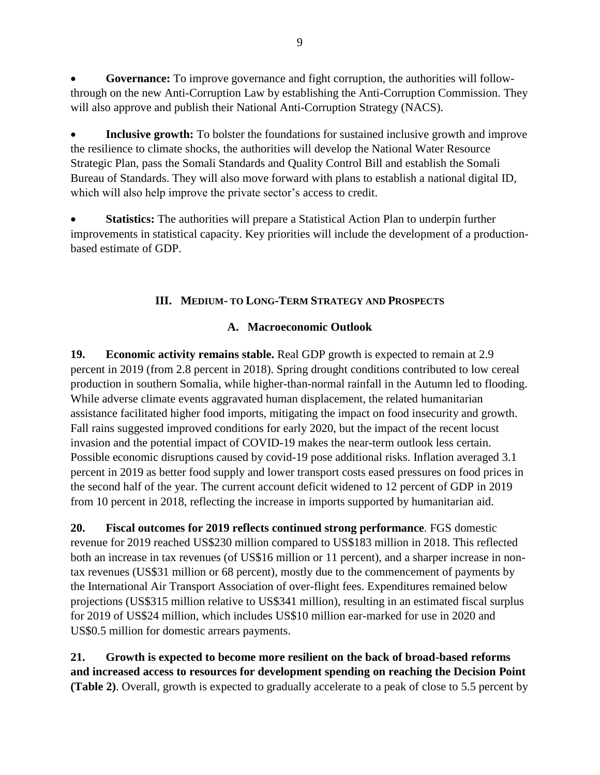• **Governance:** To improve governance and fight corruption, the authorities will followthrough on the new Anti-Corruption Law by establishing the Anti-Corruption Commission. They will also approve and publish their National Anti-Corruption Strategy (NACS).

• **Inclusive growth:** To bolster the foundations for sustained inclusive growth and improve the resilience to climate shocks, the authorities will develop the National Water Resource Strategic Plan, pass the Somali Standards and Quality Control Bill and establish the Somali Bureau of Standards. They will also move forward with plans to establish a national digital ID, which will also help improve the private sector's access to credit.

**Statistics:** The authorities will prepare a Statistical Action Plan to underpin further improvements in statistical capacity. Key priorities will include the development of a productionbased estimate of GDP.

# **III. MEDIUM- TO LONG-TERM STRATEGY AND PROSPECTS**

# **A. Macroeconomic Outlook**

<span id="page-14-1"></span><span id="page-14-0"></span>**19. Economic activity remains stable.** Real GDP growth is expected to remain at 2.9 percent in 2019 (from 2.8 percent in 2018). Spring drought conditions contributed to low cereal production in southern Somalia, while higher-than-normal rainfall in the Autumn led to flooding. While adverse climate events aggravated human displacement, the related humanitarian assistance facilitated higher food imports, mitigating the impact on food insecurity and growth. Fall rains suggested improved conditions for early 2020, but the impact of the recent locust invasion and the potential impact of COVID-19 makes the near-term outlook less certain. Possible economic disruptions caused by covid-19 pose additional risks. Inflation averaged 3.1 percent in 2019 as better food supply and lower transport costs eased pressures on food prices in the second half of the year. The current account deficit widened to 12 percent of GDP in 2019 from 10 percent in 2018, reflecting the increase in imports supported by humanitarian aid.

**20. Fiscal outcomes for 2019 reflects continued strong performance**. FGS domestic revenue for 2019 reached US\$230 million compared to US\$183 million in 2018. This reflected both an increase in tax revenues (of US\$16 million or 11 percent), and a sharper increase in nontax revenues (US\$31 million or 68 percent), mostly due to the commencement of payments by the International Air Transport Association of over-flight fees. Expenditures remained below projections (US\$315 million relative to US\$341 million), resulting in an estimated fiscal surplus for 2019 of US\$24 million, which includes US\$10 million ear-marked for use in 2020 and US\$0.5 million for domestic arrears payments.

**21. Growth is expected to become more resilient on the back of broad-based reforms and increased access to resources for development spending on reaching the Decision Point (Table 2)**. Overall, growth is expected to gradually accelerate to a peak of close to 5.5 percent by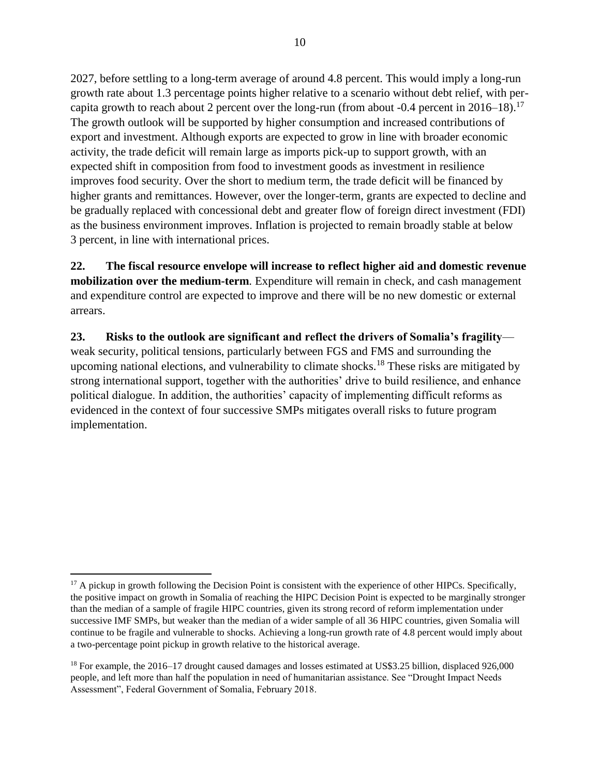2027, before settling to a long-term average of around 4.8 percent. This would imply a long-run growth rate about 1.3 percentage points higher relative to a scenario without debt relief, with percapita growth to reach about 2 percent over the long-run (from about -0.4 percent in  $2016-18$ ).<sup>17</sup> The growth outlook will be supported by higher consumption and increased contributions of export and investment. Although exports are expected to grow in line with broader economic activity, the trade deficit will remain large as imports pick-up to support growth, with an expected shift in composition from food to investment goods as investment in resilience improves food security. Over the short to medium term, the trade deficit will be financed by higher grants and remittances. However, over the longer-term, grants are expected to decline and be gradually replaced with concessional debt and greater flow of foreign direct investment (FDI) as the business environment improves. Inflation is projected to remain broadly stable at below 3 percent, in line with international prices.

**22. The fiscal resource envelope will increase to reflect higher aid and domestic revenue mobilization over the medium-term**. Expenditure will remain in check, and cash management and expenditure control are expected to improve and there will be no new domestic or external arrears.

**23. Risks to the outlook are significant and reflect the drivers of Somalia's fragility** weak security, political tensions, particularly between FGS and FMS and surrounding the upcoming national elections, and vulnerability to climate shocks.<sup>18</sup> These risks are mitigated by strong international support, together with the authorities' drive to build resilience, and enhance political dialogue. In addition, the authorities' capacity of implementing difficult reforms as evidenced in the context of four successive SMPs mitigates overall risks to future program implementation.

 $17$  A pickup in growth following the Decision Point is consistent with the experience of other HIPCs. Specifically, the positive impact on growth in Somalia of reaching the HIPC Decision Point is expected to be marginally stronger than the median of a sample of fragile HIPC countries, given its strong record of reform implementation under successive IMF SMPs, but weaker than the median of a wider sample of all 36 HIPC countries, given Somalia will continue to be fragile and vulnerable to shocks. Achieving a long-run growth rate of 4.8 percent would imply about a two-percentage point pickup in growth relative to the historical average.

<sup>&</sup>lt;sup>18</sup> For example, the 2016–17 drought caused damages and losses estimated at US\$3.25 billion, displaced 926,000 people, and left more than half the population in need of humanitarian assistance. See "Drought Impact Needs Assessment", Federal Government of Somalia, February 2018.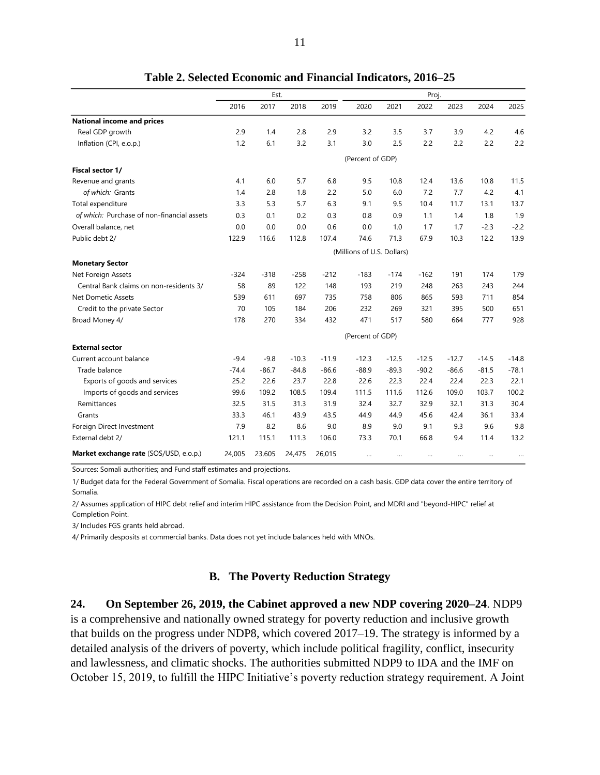|                                            | Est.    |         |         |         |                            | Proj.   |         |         |         |         |  |  |  |  |  |
|--------------------------------------------|---------|---------|---------|---------|----------------------------|---------|---------|---------|---------|---------|--|--|--|--|--|
|                                            | 2016    | 2017    | 2018    | 2019    | 2020                       | 2021    | 2022    | 2023    | 2024    | 2025    |  |  |  |  |  |
| <b>National income and prices</b>          |         |         |         |         |                            |         |         |         |         |         |  |  |  |  |  |
| Real GDP growth                            | 2.9     | 1.4     | 2.8     | 2.9     | 3.2                        | 3.5     | 3.7     | 3.9     | 4.2     | 4.6     |  |  |  |  |  |
| Inflation (CPI, e.o.p.)                    | 1.2     | 6.1     | 3.2     | 3.1     | 3.0                        | 2.5     | 2.2     | 2.2     | 2.2     | 2.2     |  |  |  |  |  |
|                                            |         |         |         |         | (Percent of GDP)           |         |         |         |         |         |  |  |  |  |  |
| <b>Fiscal sector 1/</b>                    |         |         |         |         |                            |         |         |         |         |         |  |  |  |  |  |
| Revenue and grants                         | 4.1     | 6.0     | 5.7     | 6.8     | 9.5                        | 10.8    | 12.4    | 13.6    | 10.8    | 11.5    |  |  |  |  |  |
| of which: Grants                           | 1.4     | 2.8     | 1.8     | 2.2     | 5.0                        | 6.0     | 7.2     | 7.7     | 4.2     | 4.1     |  |  |  |  |  |
| Total expenditure                          | 3.3     | 5.3     | 5.7     | 6.3     | 9.1                        | 9.5     | 10.4    | 11.7    | 13.1    | 13.7    |  |  |  |  |  |
| of which: Purchase of non-financial assets | 0.3     | 0.1     | 0.2     | 0.3     | 0.8                        | 0.9     | 1.1     | 1.4     | 1.8     | 1.9     |  |  |  |  |  |
| Overall balance, net                       | 0.0     | 0.0     | 0.0     | 0.6     | 0.0                        | 1.0     | 1.7     | 1.7     | $-2.3$  | $-2.2$  |  |  |  |  |  |
| Public debt 2/                             | 122.9   | 116.6   | 112.8   | 107.4   | 74.6                       | 71.3    | 67.9    | 10.3    | 12.2    | 13.9    |  |  |  |  |  |
|                                            |         |         |         |         | (Millions of U.S. Dollars) |         |         |         |         |         |  |  |  |  |  |
| <b>Monetary Sector</b>                     |         |         |         |         |                            |         |         |         |         |         |  |  |  |  |  |
| Net Foreign Assets                         | $-324$  | $-318$  | $-258$  | $-212$  | $-183$                     | $-174$  | $-162$  | 191     | 174     | 179     |  |  |  |  |  |
| Central Bank claims on non-residents 3/    | 58      | 89      | 122     | 148     | 193                        | 219     | 248     | 263     | 243     | 244     |  |  |  |  |  |
| Net Dometic Assets                         | 539     | 611     | 697     | 735     | 758                        | 806     | 865     | 593     | 711     | 854     |  |  |  |  |  |
| Credit to the private Sector               | 70      | 105     | 184     | 206     | 232                        | 269     | 321     | 395     | 500     | 651     |  |  |  |  |  |
| Broad Money 4/                             | 178     | 270     | 334     | 432     | 471                        | 517     | 580     | 664     | 777     | 928     |  |  |  |  |  |
|                                            |         |         |         |         | (Percent of GDP)           |         |         |         |         |         |  |  |  |  |  |
| <b>External sector</b>                     |         |         |         |         |                            |         |         |         |         |         |  |  |  |  |  |
| Current account balance                    | $-9.4$  | $-9.8$  | $-10.3$ | $-11.9$ | $-12.3$                    | $-12.5$ | $-12.5$ | $-12.7$ | $-14.5$ | $-14.8$ |  |  |  |  |  |
| Trade balance                              | $-74.4$ | $-86.7$ | $-84.8$ | $-86.6$ | $-88.9$                    | $-89.3$ | $-90.2$ | $-86.6$ | $-81.5$ | $-78.1$ |  |  |  |  |  |
| Exports of goods and services              | 25.2    | 22.6    | 23.7    | 22.8    | 22.6                       | 22.3    | 22.4    | 22.4    | 22.3    | 22.1    |  |  |  |  |  |
| Imports of goods and services              | 99.6    | 109.2   | 108.5   | 109.4   | 111.5                      | 111.6   | 112.6   | 109.0   | 103.7   | 100.2   |  |  |  |  |  |
| Remittances                                | 32.5    | 31.5    | 31.3    | 31.9    | 32.4                       | 32.7    | 32.9    | 32.1    | 31.3    | 30.4    |  |  |  |  |  |
| Grants                                     | 33.3    | 46.1    | 43.9    | 43.5    | 44.9                       | 44.9    | 45.6    | 42.4    | 36.1    | 33.4    |  |  |  |  |  |
| Foreign Direct Investment                  | 7.9     | 8.2     | 8.6     | 9.0     | 8.9                        | 9.0     | 9.1     | 9.3     | 9.6     | 9.8     |  |  |  |  |  |
| External debt 2/                           | 121.1   | 115.1   | 111.3   | 106.0   | 73.3                       | 70.1    | 66.8    | 9.4     | 11.4    | 13.2    |  |  |  |  |  |
| Market exchange rate (SOS/USD, e.o.p.)     | 24,005  | 23,605  | 24,475  | 26,015  |                            |         |         |         |         |         |  |  |  |  |  |

**Table 2. Selected Economic and Financial Indicators, 2016–25**

Sources: Somali authorities; and Fund staff estimates and projections.

1/ Budget data for the Federal Government of Somalia. Fiscal operations are recorded on a cash basis. GDP data cover the entire territory of Somalia.

2/ Assumes application of HIPC debt relief and interim HIPC assistance from the Decision Point, and MDRI and "beyond-HIPC" relief at Completion Point.

3/ Includes FGS grants held abroad.

4/ Primarily desposits at commercial banks. Data does not yet include balances held with MNOs.

#### **B. The Poverty Reduction Strategy**

<span id="page-16-0"></span>**24. On September 26, 2019, the Cabinet approved a new NDP covering 2020–24**. NDP9 is a comprehensive and nationally owned strategy for poverty reduction and inclusive growth that builds on the progress under NDP8, which covered 2017–19. The strategy is informed by a detailed analysis of the drivers of poverty, which include political fragility, conflict, insecurity and lawlessness, and climatic shocks. The authorities submitted NDP9 to IDA and the IMF on October 15, 2019, to fulfill the HIPC Initiative's poverty reduction strategy requirement. A Joint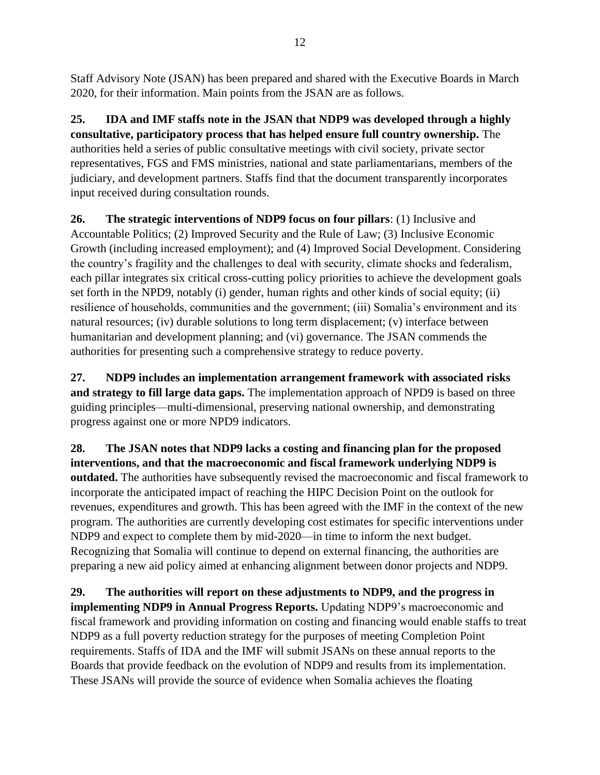Staff Advisory Note (JSAN) has been prepared and shared with the Executive Boards in March 2020, for their information. Main points from the JSAN are as follows.

**25. IDA and IMF staffs note in the JSAN that NDP9 was developed through a highly consultative, participatory process that has helped ensure full country ownership.** The authorities held a series of public consultative meetings with civil society, private sector representatives, FGS and FMS ministries, national and state parliamentarians, members of the judiciary, and development partners. Staffs find that the document transparently incorporates input received during consultation rounds.

**26. The strategic interventions of NDP9 focus on four pillars**: (1) Inclusive and Accountable Politics; (2) Improved Security and the Rule of Law; (3) Inclusive Economic Growth (including increased employment); and (4) Improved Social Development. Considering the country's fragility and the challenges to deal with security, climate shocks and federalism, each pillar integrates six critical cross-cutting policy priorities to achieve the development goals set forth in the NPD9, notably (i) gender, human rights and other kinds of social equity; (ii) resilience of households, communities and the government; (iii) Somalia's environment and its natural resources; (iv) durable solutions to long term displacement; (v) interface between humanitarian and development planning; and (vi) governance. The JSAN commends the authorities for presenting such a comprehensive strategy to reduce poverty.

**27. NDP9 includes an implementation arrangement framework with associated risks and strategy to fill large data gaps.** The implementation approach of NPD9 is based on three guiding principles—multi-dimensional, preserving national ownership, and demonstrating progress against one or more NPD9 indicators.

**28. The JSAN notes that NDP9 lacks a costing and financing plan for the proposed interventions, and that the macroeconomic and fiscal framework underlying NDP9 is outdated.** The authorities have subsequently revised the macroeconomic and fiscal framework to incorporate the anticipated impact of reaching the HIPC Decision Point on the outlook for revenues, expenditures and growth. This has been agreed with the IMF in the context of the new program. The authorities are currently developing cost estimates for specific interventions under NDP9 and expect to complete them by mid-2020—in time to inform the next budget. Recognizing that Somalia will continue to depend on external financing, the authorities are preparing a new aid policy aimed at enhancing alignment between donor projects and NDP9.

**29. The authorities will report on these adjustments to NDP9, and the progress in implementing NDP9 in Annual Progress Reports.** Updating NDP9's macroeconomic and fiscal framework and providing information on costing and financing would enable staffs to treat NDP9 as a full poverty reduction strategy for the purposes of meeting Completion Point requirements. Staffs of IDA and the IMF will submit JSANs on these annual reports to the Boards that provide feedback on the evolution of NDP9 and results from its implementation. These JSANs will provide the source of evidence when Somalia achieves the floating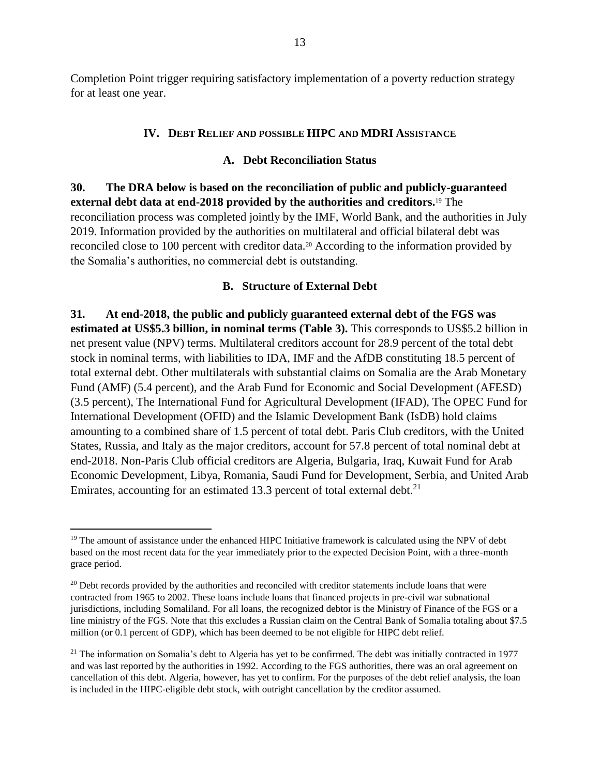Completion Point trigger requiring satisfactory implementation of a poverty reduction strategy for at least one year.

#### **IV. DEBT RELIEF AND POSSIBLE HIPC AND MDRI ASSISTANCE**

#### **A. Debt Reconciliation Status**

<span id="page-18-1"></span><span id="page-18-0"></span>**30. The DRA below is based on the reconciliation of public and publicly-guaranteed external debt data at end-2018 provided by the authorities and creditors.**<sup>19</sup> The reconciliation process was completed jointly by the IMF, World Bank, and the authorities in July 2019. Information provided by the authorities on multilateral and official bilateral debt was reconciled close to 100 percent with creditor data.<sup>20</sup> According to the information provided by the Somalia's authorities, no commercial debt is outstanding.

#### **B. Structure of External Debt**

<span id="page-18-2"></span>**31. At end-2018, the public and publicly guaranteed external debt of the FGS was estimated at US\$5.3 billion, in nominal terms (Table 3).** This corresponds to US\$5.2 billion in net present value (NPV) terms. Multilateral creditors account for 28.9 percent of the total debt stock in nominal terms, with liabilities to IDA, IMF and the AfDB constituting 18.5 percent of total external debt. Other multilaterals with substantial claims on Somalia are the Arab Monetary Fund (AMF) (5.4 percent), and the Arab Fund for Economic and Social Development (AFESD) (3.5 percent), The International Fund for Agricultural Development (IFAD), The OPEC Fund for International Development (OFID) and the Islamic Development Bank (IsDB) hold claims amounting to a combined share of 1.5 percent of total debt. Paris Club creditors, with the United States, Russia, and Italy as the major creditors, account for 57.8 percent of total nominal debt at end-2018. Non-Paris Club official creditors are Algeria, Bulgaria, Iraq, Kuwait Fund for Arab Economic Development, Libya, Romania, Saudi Fund for Development, Serbia, and United Arab Emirates, accounting for an estimated 13.3 percent of total external debt.<sup>21</sup>

<sup>&</sup>lt;sup>19</sup> The amount of assistance under the enhanced HIPC Initiative framework is calculated using the NPV of debt based on the most recent data for the year immediately prior to the expected Decision Point, with a three-month grace period.

<sup>&</sup>lt;sup>20</sup> Debt records provided by the authorities and reconciled with creditor statements include loans that were contracted from 1965 to 2002. These loans include loans that financed projects in pre-civil war subnational jurisdictions, including Somaliland. For all loans, the recognized debtor is the Ministry of Finance of the FGS or a line ministry of the FGS. Note that this excludes a Russian claim on the Central Bank of Somalia totaling about \$7.5 million (or 0.1 percent of GDP), which has been deemed to be not eligible for HIPC debt relief.

 $21$  The information on Somalia's debt to Algeria has yet to be confirmed. The debt was initially contracted in 1977 and was last reported by the authorities in 1992. According to the FGS authorities, there was an oral agreement on cancellation of this debt. Algeria, however, has yet to confirm. For the purposes of the debt relief analysis, the loan is included in the HIPC-eligible debt stock, with outright cancellation by the creditor assumed.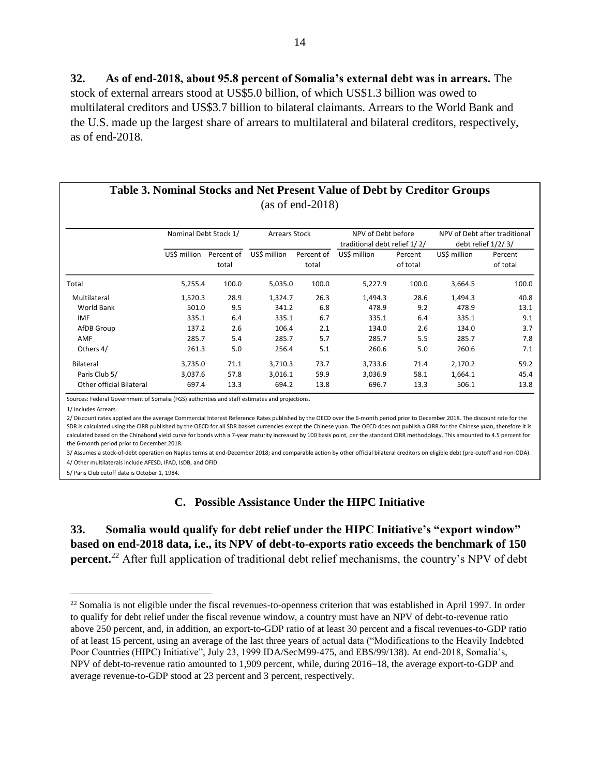**32. As of end-2018, about 95.8 percent of Somalia's external debt was in arrears.** The stock of external arrears stood at US\$5.0 billion, of which US\$1.3 billion was owed to multilateral creditors and US\$3.7 billion to bilateral claimants. Arrears to the World Bank and the U.S. made up the largest share of arrears to multilateral and bilateral creditors, respectively, as of end-2018.

| Table 3. Nominal Stocks and Net Present Value of Debt by Creditor Groups |  |
|--------------------------------------------------------------------------|--|
| $(as of end-2018)$                                                       |  |

|                          | Nominal Debt Stock 1/               |       | <b>Arrears Stock</b> |                     | NPV of Debt before<br>traditional debt relief 1/2/ |                     | NPV of Debt after traditional<br>debt relief $1/2/3/$ |                     |  |  |
|--------------------------|-------------------------------------|-------|----------------------|---------------------|----------------------------------------------------|---------------------|-------------------------------------------------------|---------------------|--|--|
|                          | US\$ million<br>Percent of<br>total |       | US\$ million         | Percent of<br>total | US\$ million                                       | Percent<br>of total | US\$ million                                          | Percent<br>of total |  |  |
| Total                    | 5,255.4                             | 100.0 | 5,035.0              | 100.0               | 5,227.9                                            | 100.0               | 3,664.5                                               | 100.0               |  |  |
| Multilateral             | 1,520.3                             | 28.9  | 1,324.7              | 26.3                | 1,494.3                                            | 28.6                | 1,494.3                                               | 40.8                |  |  |
| World Bank               | 501.0                               | 9.5   | 341.2                | 6.8                 | 478.9                                              | 9.2                 | 478.9                                                 | 13.1                |  |  |
| <b>IMF</b>               | 335.1                               | 6.4   | 335.1                | 6.7                 | 335.1                                              | 6.4                 | 335.1                                                 | 9.1                 |  |  |
| AfDB Group               | 137.2                               | 2.6   | 106.4                | 2.1                 | 134.0                                              | 2.6                 | 134.0                                                 | 3.7                 |  |  |
| AMF                      | 285.7                               | 5.4   | 285.7                | 5.7                 | 285.7                                              | 5.5                 | 285.7                                                 | 7.8                 |  |  |
| Others 4/                | 261.3                               | 5.0   | 256.4                | 5.1                 | 260.6                                              | 5.0                 | 260.6                                                 | 7.1                 |  |  |
| Bilateral                | 3.735.0                             | 71.1  | 3.710.3              | 73.7                | 3.733.6                                            | 71.4                | 2,170.2                                               | 59.2                |  |  |
| Paris Club 5/            | 3,037.6                             | 57.8  | 3,016.1              | 59.9                | 3,036.9                                            | 58.1                | 1,664.1                                               | 45.4                |  |  |
| Other official Bilateral | 697.4                               | 13.3  | 694.2                | 13.8                | 696.7                                              | 13.3                | 506.1                                                 | 13.8                |  |  |

Sources: Federal Government of Somalia (FGS) authorities and staff estimates and projections.

1/ Includes Arrears.

 $\overline{a}$ 

2/ Discount rates applied are the average Commercial Interest Reference Rates published by the OECD over the 6-month period prior to December 2018. The discount rate for the SDR is calculated using the CIRR published by the OECD for all SDR basket currencies except the Chinese yuan. The OECD does not publish a CIRR for the Chinese yuan, therefore it is calculated based on the Chinabond yield curve for bonds with a 7-year maturity increased by 100 basis point, per the standard CIRR methodology. This amounted to 4.5 percent for the 6-month period prior to December 2018.

4/ Other multilaterals include AFESD, IFAD, IsDB, and OFID. 3/ Assumes a stock-of-debt operation on Naples terms at end-December 2018; and comparable action by other official bilateral creditors on eligible debt (pre-cutoff and non-ODA).

<span id="page-19-0"></span>5/ Paris Club cutoff date is October 1, 1984.

#### **C. Possible Assistance Under the HIPC Initiative**

**33. Somalia would qualify for debt relief under the HIPC Initiative's "export window" based on end-2018 data, i.e., its NPV of debt-to-exports ratio exceeds the benchmark of 150 percent.**<sup>22</sup> After full application of traditional debt relief mechanisms, the country's NPV of debt

 $^{22}$  Somalia is not eligible under the fiscal revenues-to-openness criterion that was established in April 1997. In order to qualify for debt relief under the fiscal revenue window, a country must have an NPV of debt-to-revenue ratio above 250 percent, and, in addition, an export-to-GDP ratio of at least 30 percent and a fiscal revenues-to-GDP ratio of at least 15 percent, using an average of the last three years of actual data ("Modifications to the Heavily Indebted Poor Countries (HIPC) Initiative", July 23, 1999 IDA/SecM99-475, and EBS/99/138). At end-2018, Somalia's, NPV of debt-to-revenue ratio amounted to 1,909 percent, while, during 2016–18, the average export-to-GDP and average revenue-to-GDP stood at 23 percent and 3 percent, respectively.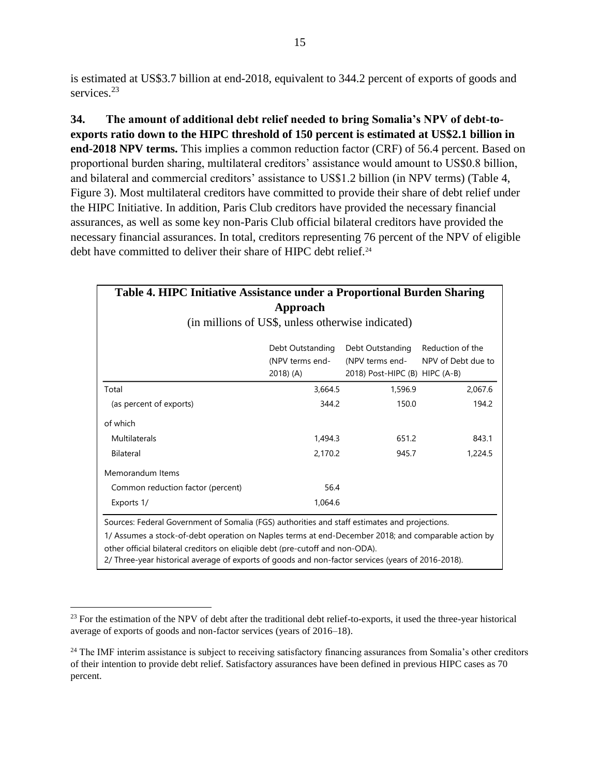is estimated at US\$3.7 billion at end-2018, equivalent to 344.2 percent of exports of goods and services.<sup>23</sup>

**34. The amount of additional debt relief needed to bring Somalia's NPV of debt-toexports ratio down to the HIPC threshold of 150 percent is estimated at US\$2.1 billion in end-2018 NPV terms.** This implies a common reduction factor (CRF) of 56.4 percent. Based on proportional burden sharing, multilateral creditors' assistance would amount to US\$0.8 billion, and bilateral and commercial creditors' assistance to US\$1.2 billion (in NPV terms) (Table 4, Figure 3). Most multilateral creditors have committed to provide their share of debt relief under the HIPC Initiative. In addition, Paris Club creditors have provided the necessary financial assurances, as well as some key non-Paris Club official bilateral creditors have provided the necessary financial assurances. In total, creditors representing 76 percent of the NPV of eligible debt have committed to deliver their share of HIPC debt relief.<sup>24</sup>

| Table 4. HIPC Initiative Assistance under a Proportional Burden Sharing                             |                                                   |                                |                    |  |  |  |  |  |  |  |  |
|-----------------------------------------------------------------------------------------------------|---------------------------------------------------|--------------------------------|--------------------|--|--|--|--|--|--|--|--|
|                                                                                                     | Approach                                          |                                |                    |  |  |  |  |  |  |  |  |
|                                                                                                     | (in millions of US\$, unless otherwise indicated) |                                |                    |  |  |  |  |  |  |  |  |
|                                                                                                     | Debt Outstanding                                  | Debt Outstanding               | Reduction of the   |  |  |  |  |  |  |  |  |
|                                                                                                     | (NPV terms end-                                   | (NPV terms end-                | NPV of Debt due to |  |  |  |  |  |  |  |  |
|                                                                                                     | 2018) (A)                                         | 2018) Post-HIPC (B) HIPC (A-B) |                    |  |  |  |  |  |  |  |  |
| Total                                                                                               | 3,664.5                                           | 1,596.9                        | 2,067.6            |  |  |  |  |  |  |  |  |
| (as percent of exports)                                                                             | 344.2                                             | 150.0                          | 194.2              |  |  |  |  |  |  |  |  |
| of which                                                                                            |                                                   |                                |                    |  |  |  |  |  |  |  |  |
| Multilaterals                                                                                       | 1,494.3                                           | 651.2                          | 843.1              |  |  |  |  |  |  |  |  |
| Bilateral                                                                                           | 2,170.2                                           | 945.7                          | 1,224.5            |  |  |  |  |  |  |  |  |
| Memorandum Items                                                                                    |                                                   |                                |                    |  |  |  |  |  |  |  |  |
| Common reduction factor (percent)                                                                   | 56.4                                              |                                |                    |  |  |  |  |  |  |  |  |
| Exports 1/                                                                                          | 1,064.6                                           |                                |                    |  |  |  |  |  |  |  |  |
| Sources: Federal Government of Somalia (FGS) authorities and staff estimates and projections.       |                                                   |                                |                    |  |  |  |  |  |  |  |  |
| 1/ Assumes a stock-of-debt operation on Naples terms at end-December 2018; and comparable action by |                                                   |                                |                    |  |  |  |  |  |  |  |  |
| other official bilateral creditors on eligible debt (pre-cutoff and non-ODA).                       |                                                   |                                |                    |  |  |  |  |  |  |  |  |

2/ Three-year historical average of exports of goods and non-factor services (years of 2016-2018).

<sup>&</sup>lt;sup>23</sup> For the estimation of the NPV of debt after the traditional debt relief-to-exports, it used the three-year historical average of exports of goods and non-factor services (years of 2016–18).

 $24$  The IMF interim assistance is subject to receiving satisfactory financing assurances from Somalia's other creditors of their intention to provide debt relief. Satisfactory assurances have been defined in previous HIPC cases as 70 percent.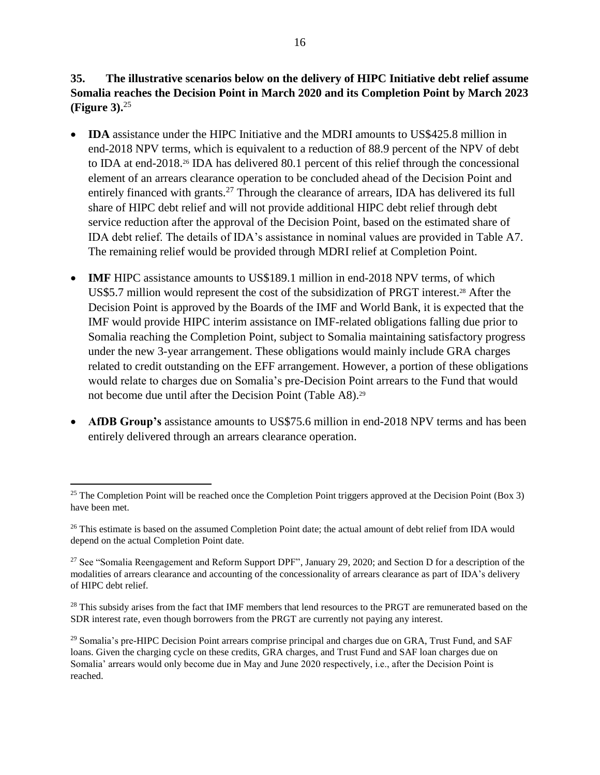**35. The illustrative scenarios below on the delivery of HIPC Initiative debt relief assume Somalia reaches the Decision Point in March 2020 and its Completion Point by March 2023 (Figure 3).**<sup>25</sup>

- **IDA** assistance under the HIPC Initiative and the MDRI amounts to US\$425.8 million in end-2018 NPV terms, which is equivalent to a reduction of 88.9 percent of the NPV of debt to IDA at end-2018.<sup>26</sup> IDA has delivered 80.1 percent of this relief through the concessional element of an arrears clearance operation to be concluded ahead of the Decision Point and entirely financed with grants.<sup>27</sup> Through the clearance of arrears, IDA has delivered its full share of HIPC debt relief and will not provide additional HIPC debt relief through debt service reduction after the approval of the Decision Point, based on the estimated share of IDA debt relief. The details of IDA's assistance in nominal values are provided in Table A7. The remaining relief would be provided through MDRI relief at Completion Point.
- **IMF** HIPC assistance amounts to US\$189.1 million in end-2018 NPV terms, of which US\$5.7 million would represent the cost of the subsidization of PRGT interest.<sup>28</sup> After the Decision Point is approved by the Boards of the IMF and World Bank, it is expected that the IMF would provide HIPC interim assistance on IMF-related obligations falling due prior to Somalia reaching the Completion Point, subject to Somalia maintaining satisfactory progress under the new 3-year arrangement. These obligations would mainly include GRA charges related to credit outstanding on the EFF arrangement. However, a portion of these obligations would relate to charges due on Somalia's pre-Decision Point arrears to the Fund that would not become due until after the Decision Point (Table A8).<sup>29</sup>
- **AfDB Group's** assistance amounts to US\$75.6 million in end-2018 NPV terms and has been entirely delivered through an arrears clearance operation.

<sup>&</sup>lt;sup>25</sup> The Completion Point will be reached once the Completion Point triggers approved at the Decision Point (Box 3) have been met.

<sup>&</sup>lt;sup>26</sup> This estimate is based on the assumed Completion Point date; the actual amount of debt relief from IDA would depend on the actual Completion Point date.

<sup>&</sup>lt;sup>27</sup> See "Somalia Reengagement and Reform Support DPF", January 29, 2020; and Section D for a description of the modalities of arrears clearance and accounting of the concessionality of arrears clearance as part of IDA's delivery of HIPC debt relief.

<sup>&</sup>lt;sup>28</sup> This subsidy arises from the fact that IMF members that lend resources to the PRGT are remunerated based on the SDR interest rate, even though borrowers from the PRGT are currently not paying any interest.

<sup>&</sup>lt;sup>29</sup> Somalia's pre-HIPC Decision Point arrears comprise principal and charges due on GRA, Trust Fund, and SAF loans. Given the charging cycle on these credits, GRA charges, and Trust Fund and SAF loan charges due on Somalia' arrears would only become due in May and June 2020 respectively, i.e., after the Decision Point is reached.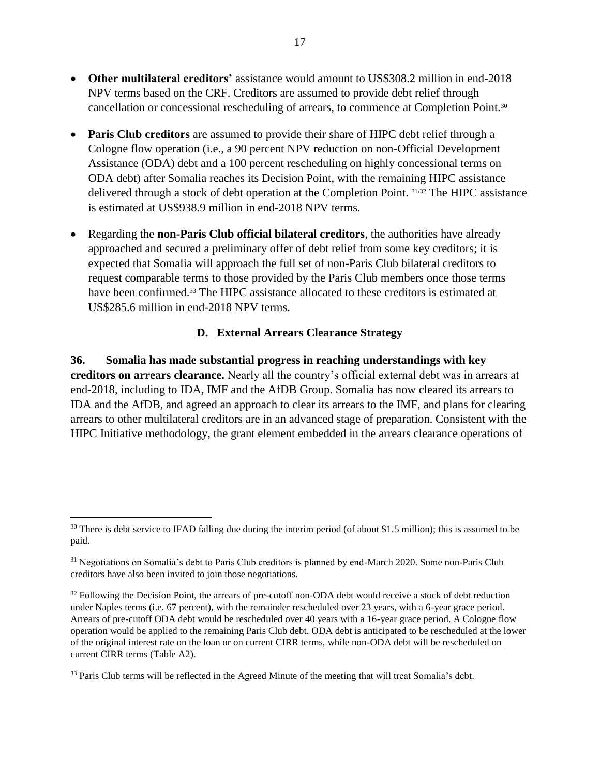- **Other multilateral creditors'** assistance would amount to US\$308.2 million in end-2018 NPV terms based on the CRF. Creditors are assumed to provide debt relief through cancellation or concessional rescheduling of arrears, to commence at Completion Point.<sup>30</sup>
- **Paris Club creditors** are assumed to provide their share of HIPC debt relief through a Cologne flow operation (i.e., a 90 percent NPV reduction on non-Official Development Assistance (ODA) debt and a 100 percent rescheduling on highly concessional terms on ODA debt) after Somalia reaches its Decision Point, with the remaining HIPC assistance delivered through a stock of debt operation at the Completion Point. <sup>31</sup>,<sup>32</sup> The HIPC assistance is estimated at US\$938.9 million in end-2018 NPV terms.
- Regarding the **non-Paris Club official bilateral creditors**, the authorities have already approached and secured a preliminary offer of debt relief from some key creditors; it is expected that Somalia will approach the full set of non-Paris Club bilateral creditors to request comparable terms to those provided by the Paris Club members once those terms have been confirmed.<sup>33</sup> The HIPC assistance allocated to these creditors is estimated at US\$285.6 million in end-2018 NPV terms.

### **D. External Arrears Clearance Strategy**

<span id="page-22-0"></span>**36. Somalia has made substantial progress in reaching understandings with key creditors on arrears clearance.** Nearly all the country's official external debt was in arrears at end-2018, including to IDA, IMF and the AfDB Group. Somalia has now cleared its arrears to IDA and the AfDB, and agreed an approach to clear its arrears to the IMF, and plans for clearing arrears to other multilateral creditors are in an advanced stage of preparation. Consistent with the HIPC Initiative methodology, the grant element embedded in the arrears clearance operations of

 $30$  There is debt service to IFAD falling due during the interim period (of about \$1.5 million); this is assumed to be paid.

<sup>&</sup>lt;sup>31</sup> Negotiations on Somalia's debt to Paris Club creditors is planned by end-March 2020. Some non-Paris Club creditors have also been invited to join those negotiations.

<sup>&</sup>lt;sup>32</sup> Following the Decision Point, the arrears of pre-cutoff non-ODA debt would receive a stock of debt reduction under Naples terms (i.e. 67 percent), with the remainder rescheduled over 23 years, with a 6-year grace period. Arrears of pre-cutoff ODA debt would be rescheduled over 40 years with a 16-year grace period. A Cologne flow operation would be applied to the remaining Paris Club debt. ODA debt is anticipated to be rescheduled at the lower of the original interest rate on the loan or on current CIRR terms, while non-ODA debt will be rescheduled on current CIRR terms (Table A2).

<sup>&</sup>lt;sup>33</sup> Paris Club terms will be reflected in the Agreed Minute of the meeting that will treat Somalia's debt.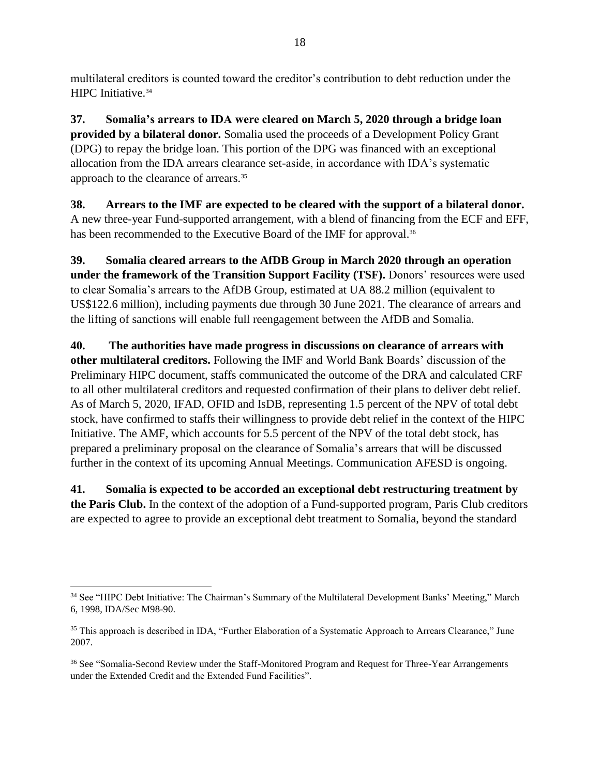multilateral creditors is counted toward the creditor's contribution to debt reduction under the HIPC Initiative.<sup>34</sup>

**37. Somalia's arrears to IDA were cleared on March 5, 2020 through a bridge loan provided by a bilateral donor.** Somalia used the proceeds of a Development Policy Grant (DPG) to repay the bridge loan. This portion of the DPG was financed with an exceptional allocation from the IDA arrears clearance set-aside, in accordance with IDA's systematic approach to the clearance of arrears.<sup>35</sup>

**38. Arrears to the IMF are expected to be cleared with the support of a bilateral donor.** A new three-year Fund-supported arrangement, with a blend of financing from the ECF and EFF, has been recommended to the Executive Board of the IMF for approval.<sup>36</sup>

**39. Somalia cleared arrears to the AfDB Group in March 2020 through an operation under the framework of the Transition Support Facility (TSF).** Donors' resources were used to clear Somalia's arrears to the AfDB Group, estimated at UA 88.2 million (equivalent to US\$122.6 million), including payments due through 30 June 2021. The clearance of arrears and the lifting of sanctions will enable full reengagement between the AfDB and Somalia.

**40. The authorities have made progress in discussions on clearance of arrears with other multilateral creditors.** Following the IMF and World Bank Boards' discussion of the Preliminary HIPC document, staffs communicated the outcome of the DRA and calculated CRF to all other multilateral creditors and requested confirmation of their plans to deliver debt relief. As of March 5, 2020, IFAD, OFID and IsDB, representing 1.5 percent of the NPV of total debt stock, have confirmed to staffs their willingness to provide debt relief in the context of the HIPC Initiative. The AMF, which accounts for 5.5 percent of the NPV of the total debt stock, has prepared a preliminary proposal on the clearance of Somalia's arrears that will be discussed further in the context of its upcoming Annual Meetings. Communication AFESD is ongoing.

**41. Somalia is expected to be accorded an exceptional debt restructuring treatment by the Paris Club.** In the context of the adoption of a Fund-supported program, Paris Club creditors are expected to agree to provide an exceptional debt treatment to Somalia, beyond the standard

<sup>34</sup> See "HIPC Debt Initiative: The Chairman's Summary of the Multilateral Development Banks' Meeting," March 6, 1998, IDA/Sec M98-90.

<sup>&</sup>lt;sup>35</sup> This approach is described in IDA, "Further Elaboration of a Systematic Approach to Arrears Clearance," June 2007.

<sup>&</sup>lt;sup>36</sup> See "Somalia-Second Review under the Staff-Monitored Program and Request for Three-Year Arrangements under the Extended Credit and the Extended Fund Facilities".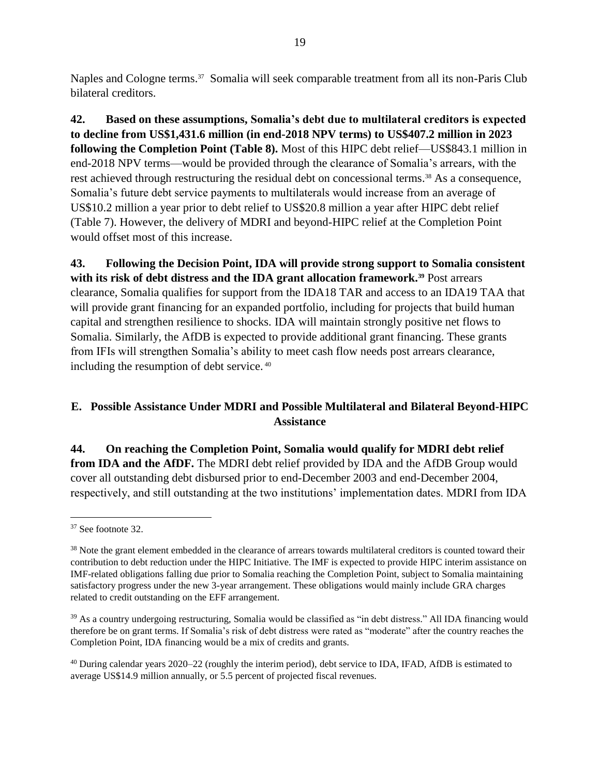Naples and Cologne terms.<sup>37</sup> Somalia will seek comparable treatment from all its non-Paris Club bilateral creditors.

**42. Based on these assumptions, Somalia's debt due to multilateral creditors is expected to decline from US\$1,431.6 million (in end-2018 NPV terms) to US\$407.2 million in 2023 following the Completion Point (Table 8).** Most of this HIPC debt relief—US\$843.1 million in end-2018 NPV terms—would be provided through the clearance of Somalia's arrears, with the rest achieved through restructuring the residual debt on concessional terms. <sup>38</sup> As a consequence, Somalia's future debt service payments to multilaterals would increase from an average of US\$10.2 million a year prior to debt relief to US\$20.8 million a year after HIPC debt relief (Table 7). However, the delivery of MDRI and beyond-HIPC relief at the Completion Point would offset most of this increase.

**43. Following the Decision Point, IDA will provide strong support to Somalia consistent with its risk of debt distress and the IDA grant allocation framework.<sup>39</sup>** Post arrears clearance, Somalia qualifies for support from the IDA18 TAR and access to an IDA19 TAA that will provide grant financing for an expanded portfolio, including for projects that build human capital and strengthen resilience to shocks. IDA will maintain strongly positive net flows to Somalia. Similarly, the AfDB is expected to provide additional grant financing. These grants from IFIs will strengthen Somalia's ability to meet cash flow needs post arrears clearance, including the resumption of debt service. <sup>40</sup>

# <span id="page-24-0"></span>**E. Possible Assistance Under MDRI and Possible Multilateral and Bilateral Beyond-HIPC Assistance**

**44. On reaching the Completion Point, Somalia would qualify for MDRI debt relief from IDA and the AfDF.** The MDRI debt relief provided by IDA and the AfDB Group would cover all outstanding debt disbursed prior to end-December 2003 and end-December 2004, respectively, and still outstanding at the two institutions' implementation dates. MDRI from IDA

 $\overline{a}$ <sup>37</sup> See footnote 32.

<sup>&</sup>lt;sup>38</sup> Note the grant element embedded in the clearance of arrears towards multilateral creditors is counted toward their contribution to debt reduction under the HIPC Initiative. The IMF is expected to provide HIPC interim assistance on IMF-related obligations falling due prior to Somalia reaching the Completion Point, subject to Somalia maintaining satisfactory progress under the new 3-year arrangement. These obligations would mainly include GRA charges related to credit outstanding on the EFF arrangement.

<sup>&</sup>lt;sup>39</sup> As a country undergoing restructuring, Somalia would be classified as "in debt distress." All IDA financing would therefore be on grant terms. If Somalia's risk of debt distress were rated as "moderate" after the country reaches the Completion Point, IDA financing would be a mix of credits and grants.

<sup>40</sup> During calendar years 2020–22 (roughly the interim period), debt service to IDA, IFAD, AfDB is estimated to average US\$14.9 million annually, or 5.5 percent of projected fiscal revenues.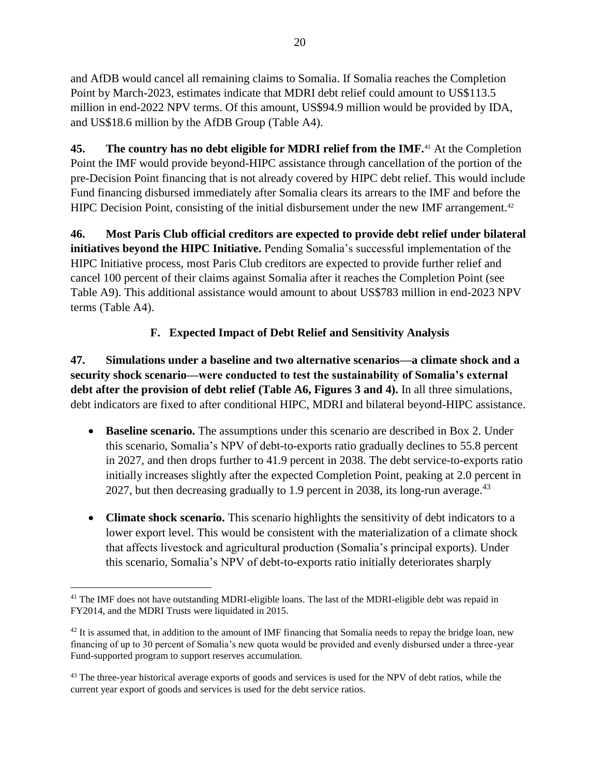and AfDB would cancel all remaining claims to Somalia. If Somalia reaches the Completion Point by March-2023, estimates indicate that MDRI debt relief could amount to US\$113.5 million in end-2022 NPV terms. Of this amount, US\$94.9 million would be provided by IDA, and US\$18.6 million by the AfDB Group (Table A4).

**45. The country has no debt eligible for MDRI relief from the IMF.**<sup>41</sup> At the Completion Point the IMF would provide beyond-HIPC assistance through cancellation of the portion of the pre-Decision Point financing that is not already covered by HIPC debt relief. This would include Fund financing disbursed immediately after Somalia clears its arrears to the IMF and before the HIPC Decision Point, consisting of the initial disbursement under the new IMF arrangement.<sup>42</sup>

**46. Most Paris Club official creditors are expected to provide debt relief under bilateral initiatives beyond the HIPC Initiative.** Pending Somalia's successful implementation of the HIPC Initiative process, most Paris Club creditors are expected to provide further relief and cancel 100 percent of their claims against Somalia after it reaches the Completion Point (see Table A9). This additional assistance would amount to about US\$783 million in end-2023 NPV terms (Table A4).

# **F. Expected Impact of Debt Relief and Sensitivity Analysis**

<span id="page-25-0"></span>**47. Simulations under a baseline and two alternative scenarios—a climate shock and a security shock scenario—were conducted to test the sustainability of Somalia's external debt after the provision of debt relief (Table A6, Figures 3 and 4).** In all three simulations, debt indicators are fixed to after conditional HIPC, MDRI and bilateral beyond-HIPC assistance.

- **Baseline scenario.** The assumptions under this scenario are described in Box 2. Under this scenario, Somalia's NPV of debt-to-exports ratio gradually declines to 55.8 percent in 2027, and then drops further to 41.9 percent in 2038. The debt service-to-exports ratio initially increases slightly after the expected Completion Point, peaking at 2.0 percent in 2027, but then decreasing gradually to 1.9 percent in 2038, its long-run average.<sup>43</sup>
- **Climate shock scenario.** This scenario highlights the sensitivity of debt indicators to a lower export level. This would be consistent with the materialization of a climate shock that affects livestock and agricultural production (Somalia's principal exports). Under this scenario, Somalia's NPV of debt-to-exports ratio initially deteriorates sharply

<sup>&</sup>lt;sup>41</sup> The IMF does not have outstanding MDRI-eligible loans. The last of the MDRI-eligible debt was repaid in FY2014, and the MDRI Trusts were liquidated in 2015.

 $42$  It is assumed that, in addition to the amount of IMF financing that Somalia needs to repay the bridge loan, new financing of up to 30 percent of Somalia's new quota would be provided and evenly disbursed under a three-year Fund-supported program to support reserves accumulation.

<sup>&</sup>lt;sup>43</sup> The three-year historical average exports of goods and services is used for the NPV of debt ratios, while the current year export of goods and services is used for the debt service ratios.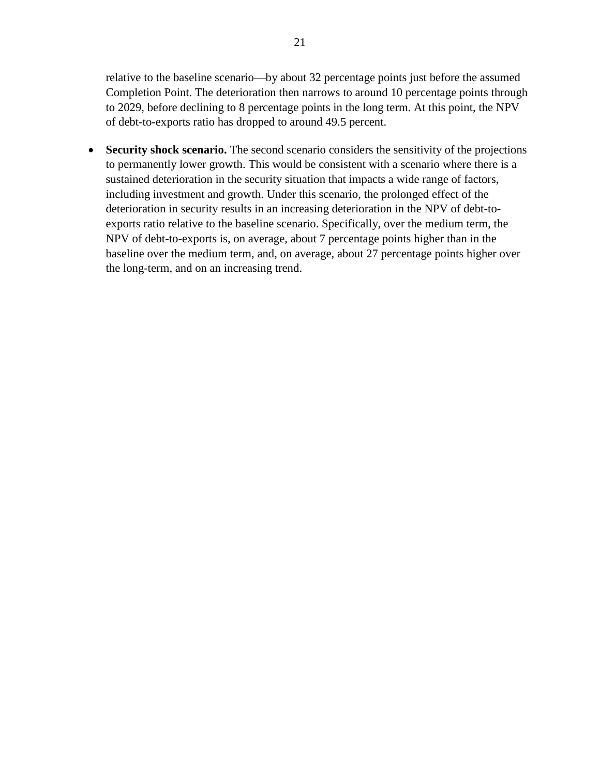relative to the baseline scenario—by about 32 percentage points just before the assumed Completion Point. The deterioration then narrows to around 10 percentage points through to 2029, before declining to 8 percentage points in the long term. At this point, the NPV of debt-to-exports ratio has dropped to around 49.5 percent.

• **Security shock scenario.** The second scenario considers the sensitivity of the projections to permanently lower growth. This would be consistent with a scenario where there is a sustained deterioration in the security situation that impacts a wide range of factors, including investment and growth. Under this scenario, the prolonged effect of the deterioration in security results in an increasing deterioration in the NPV of debt-toexports ratio relative to the baseline scenario. Specifically, over the medium term, the NPV of debt-to-exports is, on average, about 7 percentage points higher than in the baseline over the medium term, and, on average, about 27 percentage points higher over the long-term, and on an increasing trend.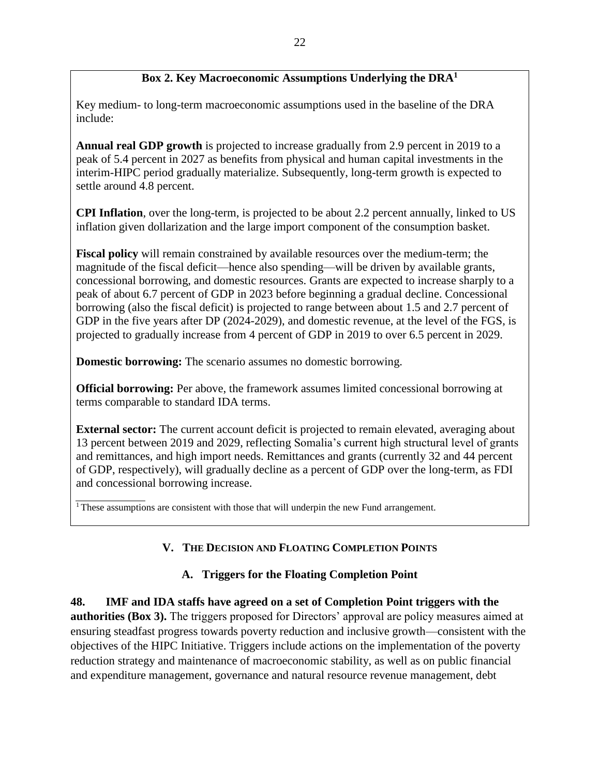### **Box 2. Key Macroeconomic Assumptions Underlying the DRA<sup>1</sup>**

Key medium- to long-term macroeconomic assumptions used in the baseline of the DRA include:

**Annual real GDP growth** is projected to increase gradually from 2.9 percent in 2019 to a peak of 5.4 percent in 2027 as benefits from physical and human capital investments in the interim-HIPC period gradually materialize. Subsequently, long-term growth is expected to settle around 4.8 percent.

**CPI Inflation**, over the long-term, is projected to be about 2.2 percent annually, linked to US inflation given dollarization and the large import component of the consumption basket.

**Fiscal policy** will remain constrained by available resources over the medium-term; the magnitude of the fiscal deficit—hence also spending—will be driven by available grants, concessional borrowing, and domestic resources. Grants are expected to increase sharply to a peak of about 6.7 percent of GDP in 2023 before beginning a gradual decline. Concessional borrowing (also the fiscal deficit) is projected to range between about 1.5 and 2.7 percent of GDP in the five years after DP (2024-2029), and domestic revenue, at the level of the FGS, is projected to gradually increase from 4 percent of GDP in 2019 to over 6.5 percent in 2029.

**Domestic borrowing:** The scenario assumes no domestic borrowing.

**Official borrowing:** Per above, the framework assumes limited concessional borrowing at terms comparable to standard IDA terms.

**External sector:** The current account deficit is projected to remain elevated, averaging about 13 percent between 2019 and 2029, reflecting Somalia's current high structural level of grants and remittances, and high import needs. Remittances and grants (currently 32 and 44 percent of GDP, respectively), will gradually decline as a percent of GDP over the long-term, as FDI and concessional borrowing increase.

<span id="page-27-0"></span> $1$ <sup>1</sup> These assumptions are consistent with those that will underpin the new Fund arrangement.

# **V. THE DECISION AND FLOATING COMPLETION POINTS**

#### **A. Triggers for the Floating Completion Point**

<span id="page-27-1"></span>**48. IMF and IDA staffs have agreed on a set of Completion Point triggers with the authorities (Box 3).** The triggers proposed for Directors' approval are policy measures aimed at ensuring steadfast progress towards poverty reduction and inclusive growth—consistent with the objectives of the HIPC Initiative. Triggers include actions on the implementation of the poverty reduction strategy and maintenance of macroeconomic stability, as well as on public financial and expenditure management, governance and natural resource revenue management, debt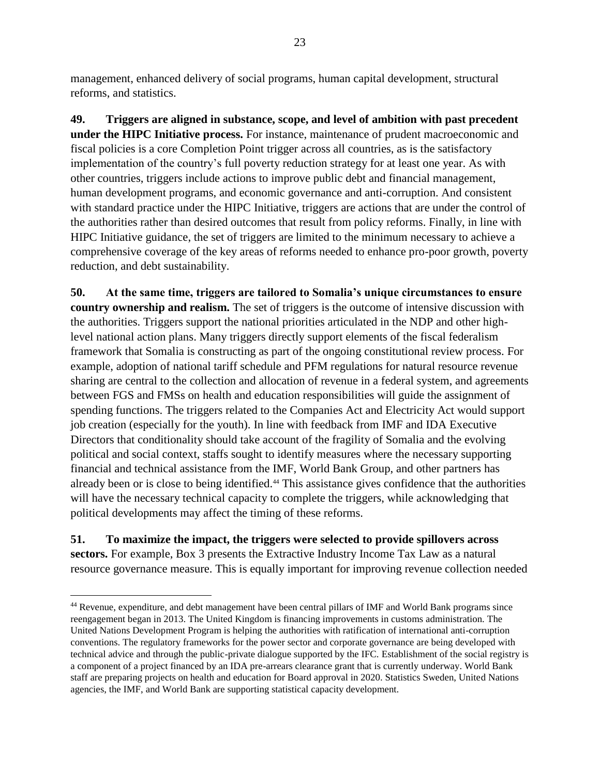management, enhanced delivery of social programs, human capital development, structural reforms, and statistics.

**49. Triggers are aligned in substance, scope, and level of ambition with past precedent under the HIPC Initiative process.** For instance, maintenance of prudent macroeconomic and fiscal policies is a core Completion Point trigger across all countries, as is the satisfactory implementation of the country's full poverty reduction strategy for at least one year. As with other countries, triggers include actions to improve public debt and financial management, human development programs, and economic governance and anti-corruption. And consistent with standard practice under the HIPC Initiative, triggers are actions that are under the control of the authorities rather than desired outcomes that result from policy reforms. Finally, in line with HIPC Initiative guidance, the set of triggers are limited to the minimum necessary to achieve a comprehensive coverage of the key areas of reforms needed to enhance pro-poor growth, poverty reduction, and debt sustainability.

**50. At the same time, triggers are tailored to Somalia's unique circumstances to ensure country ownership and realism.** The set of triggers is the outcome of intensive discussion with the authorities. Triggers support the national priorities articulated in the NDP and other highlevel national action plans. Many triggers directly support elements of the fiscal federalism framework that Somalia is constructing as part of the ongoing constitutional review process. For example, adoption of national tariff schedule and PFM regulations for natural resource revenue sharing are central to the collection and allocation of revenue in a federal system, and agreements between FGS and FMSs on health and education responsibilities will guide the assignment of spending functions. The triggers related to the Companies Act and Electricity Act would support job creation (especially for the youth). In line with feedback from IMF and IDA Executive Directors that conditionality should take account of the fragility of Somalia and the evolving political and social context, staffs sought to identify measures where the necessary supporting financial and technical assistance from the IMF, World Bank Group, and other partners has already been or is close to being identified.<sup>44</sup> This assistance gives confidence that the authorities will have the necessary technical capacity to complete the triggers, while acknowledging that political developments may affect the timing of these reforms.

**51. To maximize the impact, the triggers were selected to provide spillovers across sectors.** For example, Box 3 presents the Extractive Industry Income Tax Law as a natural resource governance measure. This is equally important for improving revenue collection needed

<sup>44</sup> Revenue, expenditure, and debt management have been central pillars of IMF and World Bank programs since reengagement began in 2013. The United Kingdom is financing improvements in customs administration. The United Nations Development Program is helping the authorities with ratification of international anti-corruption conventions. The regulatory frameworks for the power sector and corporate governance are being developed with technical advice and through the public-private dialogue supported by the IFC. Establishment of the social registry is a component of a project financed by an IDA pre-arrears clearance grant that is currently underway. World Bank staff are preparing projects on health and education for Board approval in 2020. Statistics Sweden, United Nations agencies, the IMF, and World Bank are supporting statistical capacity development.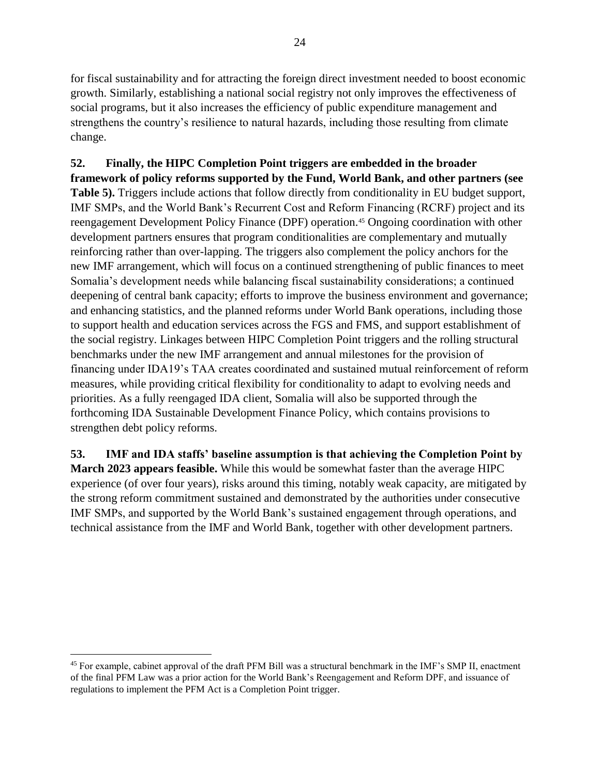for fiscal sustainability and for attracting the foreign direct investment needed to boost economic growth. Similarly, establishing a national social registry not only improves the effectiveness of social programs, but it also increases the efficiency of public expenditure management and strengthens the country's resilience to natural hazards, including those resulting from climate change.

**52. Finally, the HIPC Completion Point triggers are embedded in the broader framework of policy reforms supported by the Fund, World Bank, and other partners (see Table 5).** Triggers include actions that follow directly from conditionality in EU budget support, IMF SMPs, and the World Bank's Recurrent Cost and Reform Financing (RCRF) project and its reengagement Development Policy Finance (DPF) operation.<sup>45</sup> Ongoing coordination with other development partners ensures that program conditionalities are complementary and mutually reinforcing rather than over-lapping. The triggers also complement the policy anchors for the new IMF arrangement, which will focus on a continued strengthening of public finances to meet Somalia's development needs while balancing fiscal sustainability considerations; a continued deepening of central bank capacity; efforts to improve the business environment and governance; and enhancing statistics, and the planned reforms under World Bank operations, including those to support health and education services across the FGS and FMS, and support establishment of the social registry. Linkages between HIPC Completion Point triggers and the rolling structural benchmarks under the new IMF arrangement and annual milestones for the provision of financing under IDA19's TAA creates coordinated and sustained mutual reinforcement of reform measures, while providing critical flexibility for conditionality to adapt to evolving needs and priorities. As a fully reengaged IDA client, Somalia will also be supported through the forthcoming IDA Sustainable Development Finance Policy, which contains provisions to strengthen debt policy reforms.

**53. IMF and IDA staffs' baseline assumption is that achieving the Completion Point by March 2023 appears feasible.** While this would be somewhat faster than the average HIPC experience (of over four years), risks around this timing, notably weak capacity, are mitigated by the strong reform commitment sustained and demonstrated by the authorities under consecutive IMF SMPs, and supported by the World Bank's sustained engagement through operations, and technical assistance from the IMF and World Bank, together with other development partners.

<sup>&</sup>lt;sup>45</sup> For example, cabinet approval of the draft PFM Bill was a structural benchmark in the IMF's SMP II, enactment of the final PFM Law was a prior action for the World Bank's Reengagement and Reform DPF, and issuance of regulations to implement the PFM Act is a Completion Point trigger.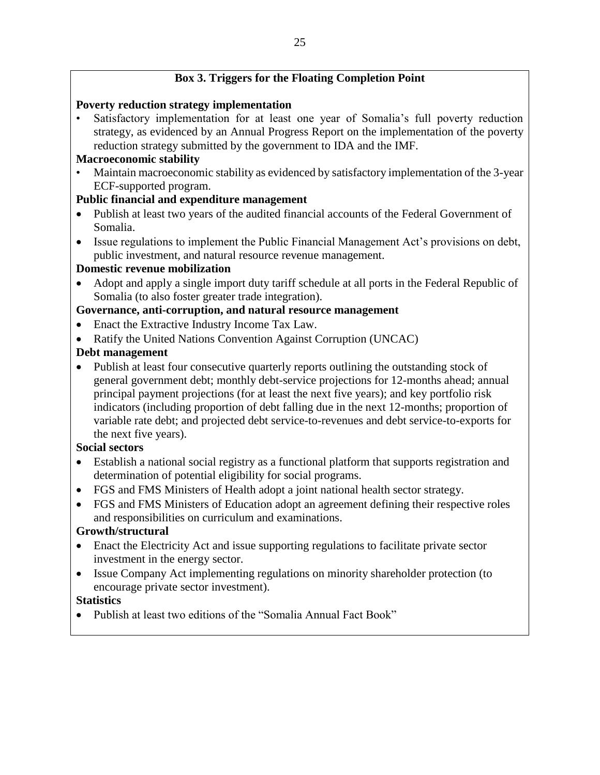# **Box 3. Triggers for the Floating Completion Point**

### **Poverty reduction strategy implementation**

• Satisfactory implementation for at least one year of Somalia's full poverty reduction strategy, as evidenced by an Annual Progress Report on the implementation of the poverty reduction strategy submitted by the government to IDA and the IMF.

### **Macroeconomic stability**

• Maintain macroeconomic stability as evidenced by satisfactory implementation of the 3-year ECF-supported program.

# **Public financial and expenditure management**

- Publish at least two years of the audited financial accounts of the Federal Government of Somalia.
- Issue regulations to implement the Public Financial Management Act's provisions on debt, public investment, and natural resource revenue management.

### **Domestic revenue mobilization**

• Adopt and apply a single import duty tariff schedule at all ports in the Federal Republic of Somalia (to also foster greater trade integration).

### **Governance, anti-corruption, and natural resource management**

- Enact the Extractive Industry Income Tax Law.
- Ratify the United Nations Convention Against Corruption (UNCAC)

### **Debt management**

• Publish at least four consecutive quarterly reports outlining the outstanding stock of general government debt; monthly debt-service projections for 12-months ahead; annual principal payment projections (for at least the next five years); and key portfolio risk indicators (including proportion of debt falling due in the next 12-months; proportion of variable rate debt; and projected debt service-to-revenues and debt service-to-exports for the next five years).

#### **Social sectors**

- Establish a national social registry as a functional platform that supports registration and determination of potential eligibility for social programs.
- FGS and FMS Ministers of Health adopt a joint national health sector strategy.
- FGS and FMS Ministers of Education adopt an agreement defining their respective roles and responsibilities on curriculum and examinations.

#### **Growth/structural**

- Enact the Electricity Act and issue supporting regulations to facilitate private sector investment in the energy sector.
- Issue Company Act implementing regulations on minority shareholder protection (to encourage private sector investment).

#### **Statistics**

• Publish at least two editions of the "Somalia Annual Fact Book"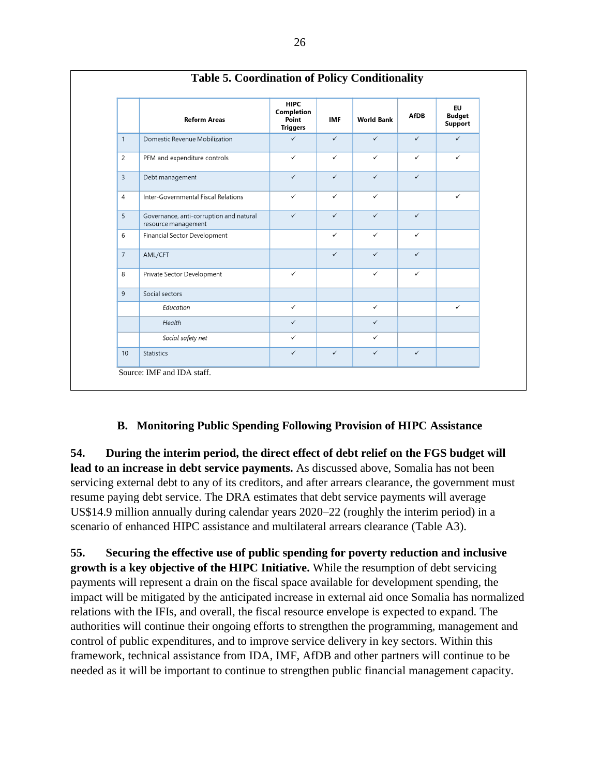|                | <b>Reform Areas</b>                                            | <b>HIPC</b><br>Completion<br>Point<br><b>Triggers</b> | <b>IMF</b>   | <b>World Bank</b> | <b>AfDB</b>  | EU<br><b>Budget</b><br><b>Support</b> |
|----------------|----------------------------------------------------------------|-------------------------------------------------------|--------------|-------------------|--------------|---------------------------------------|
| $\mathbf{1}$   | Domestic Revenue Mobilization                                  | $\checkmark$                                          | $\checkmark$ | $\checkmark$      | $\checkmark$ | $\checkmark$                          |
| $\overline{2}$ | PFM and expenditure controls                                   | $\checkmark$                                          | $\checkmark$ | $\checkmark$      | $\checkmark$ | $\checkmark$                          |
| $\overline{3}$ | Debt management                                                | $\checkmark$                                          | $\checkmark$ | $\checkmark$      | $\checkmark$ |                                       |
| $\overline{4}$ | Inter-Governmental Fiscal Relations                            | $\checkmark$                                          | $\checkmark$ | $\checkmark$      |              | $\checkmark$                          |
| 5              | Governance, anti-corruption and natural<br>resource management | $\checkmark$                                          | $\checkmark$ | $\checkmark$      | $\checkmark$ |                                       |
| 6              | Financial Sector Development                                   |                                                       | $\checkmark$ | $\checkmark$      | $\checkmark$ |                                       |
| $\overline{7}$ | AML/CFT                                                        |                                                       | $\checkmark$ | $\checkmark$      | $\checkmark$ |                                       |
| 8              | Private Sector Development                                     | $\checkmark$                                          |              | $\checkmark$      | $\checkmark$ |                                       |
| 9              | Social sectors                                                 |                                                       |              |                   |              |                                       |
|                | Education                                                      | $\checkmark$                                          |              | $\checkmark$      |              | ✓                                     |
|                | Health                                                         | $\checkmark$                                          |              | $\checkmark$      |              |                                       |
|                | Social safety net                                              | $\checkmark$                                          |              | $\checkmark$      |              |                                       |
| 10             | <b>Statistics</b>                                              | $\checkmark$                                          | $\checkmark$ | $\checkmark$      | $\checkmark$ |                                       |

# **B. Monitoring Public Spending Following Provision of HIPC Assistance**

<span id="page-31-0"></span>**54. During the interim period, the direct effect of debt relief on the FGS budget will lead to an increase in debt service payments.** As discussed above, Somalia has not been servicing external debt to any of its creditors, and after arrears clearance, the government must resume paying debt service. The DRA estimates that debt service payments will average US\$14.9 million annually during calendar years 2020–22 (roughly the interim period) in a scenario of enhanced HIPC assistance and multilateral arrears clearance (Table A3).

**55. Securing the effective use of public spending for poverty reduction and inclusive growth is a key objective of the HIPC Initiative.** While the resumption of debt servicing payments will represent a drain on the fiscal space available for development spending, the impact will be mitigated by the anticipated increase in external aid once Somalia has normalized relations with the IFIs, and overall, the fiscal resource envelope is expected to expand. The authorities will continue their ongoing efforts to strengthen the programming, management and control of public expenditures, and to improve service delivery in key sectors. Within this framework, technical assistance from IDA, IMF, AfDB and other partners will continue to be needed as it will be important to continue to strengthen public financial management capacity.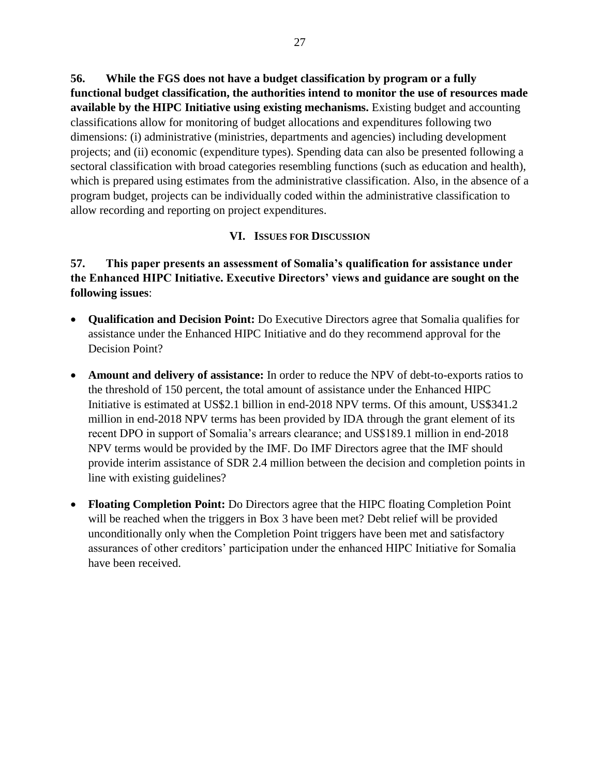**56. While the FGS does not have a budget classification by program or a fully functional budget classification, the authorities intend to monitor the use of resources made available by the HIPC Initiative using existing mechanisms.** Existing budget and accounting classifications allow for monitoring of budget allocations and expenditures following two dimensions: (i) administrative (ministries, departments and agencies) including development projects; and (ii) economic (expenditure types). Spending data can also be presented following a sectoral classification with broad categories resembling functions (such as education and health), which is prepared using estimates from the administrative classification. Also, in the absence of a program budget, projects can be individually coded within the administrative classification to allow recording and reporting on project expenditures.

#### **VI. ISSUES FOR DISCUSSION**

### <span id="page-32-0"></span>**57. This paper presents an assessment of Somalia's qualification for assistance under the Enhanced HIPC Initiative. Executive Directors' views and guidance are sought on the following issues**:

- **Qualification and Decision Point:** Do Executive Directors agree that Somalia qualifies for assistance under the Enhanced HIPC Initiative and do they recommend approval for the Decision Point?
- **Amount and delivery of assistance:** In order to reduce the NPV of debt-to-exports ratios to the threshold of 150 percent, the total amount of assistance under the Enhanced HIPC Initiative is estimated at US\$2.1 billion in end-2018 NPV terms. Of this amount, US\$341.2 million in end-2018 NPV terms has been provided by IDA through the grant element of its recent DPO in support of Somalia's arrears clearance; and US\$189.1 million in end-2018 NPV terms would be provided by the IMF. Do IMF Directors agree that the IMF should provide interim assistance of SDR 2.4 million between the decision and completion points in line with existing guidelines?
- **Floating Completion Point:** Do Directors agree that the HIPC floating Completion Point will be reached when the triggers in Box 3 have been met? Debt relief will be provided unconditionally only when the Completion Point triggers have been met and satisfactory assurances of other creditors' participation under the enhanced HIPC Initiative for Somalia have been received.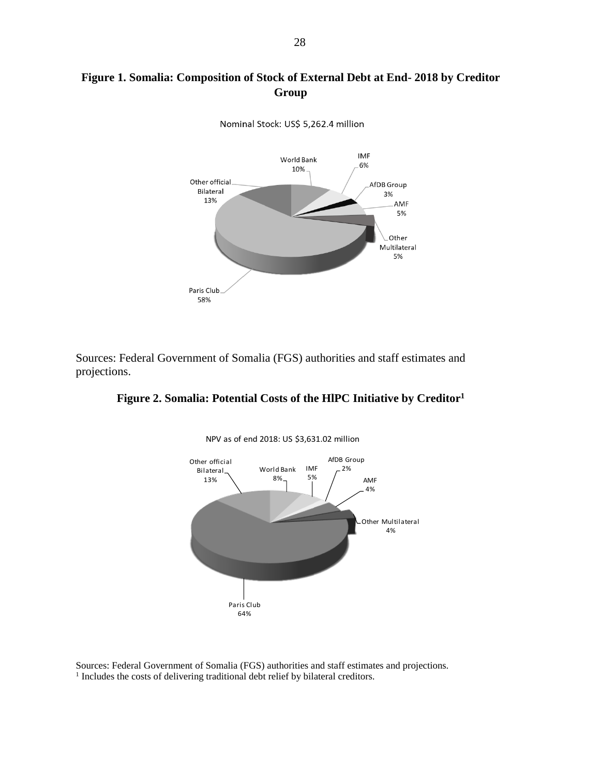# **Figure 1. Somalia: Composition of Stock of External Debt at End- 2018 by Creditor Group**



Nominal Stock: US\$ 5,262.4 million

Sources: Federal Government of Somalia (FGS) authorities and staff estimates and projections.

#### **Figure 2. Somalia: Potential Costs of the HlPC Initiative by Creditor<sup>1</sup>**



NPV as of end 2018: US \$3,631.02 million

Sources: Federal Government of Somalia (FGS) authorities and staff estimates and projections. <sup>1</sup> Includes the costs of delivering traditional debt relief by bilateral creditors.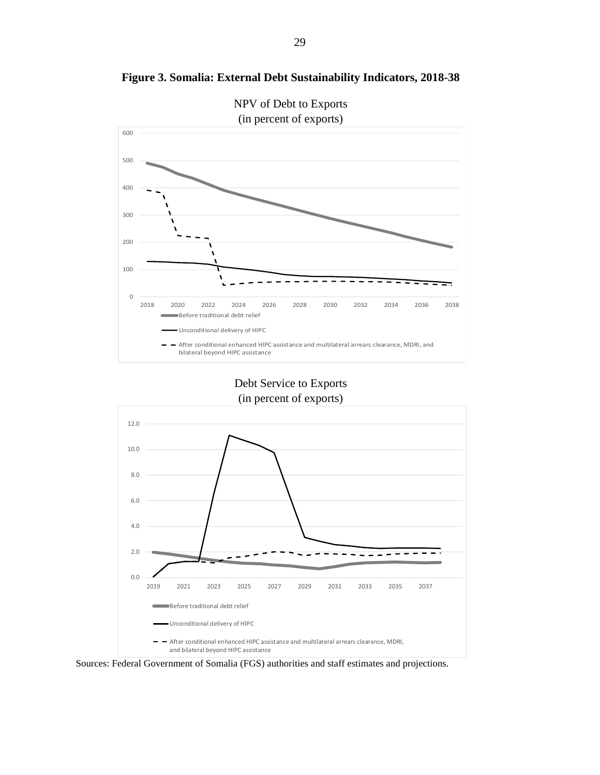

**Figure 3. Somalia: External Debt Sustainability Indicators, 2018-38**

Debt Service to Exports (in percent of exports)



Sources: Federal Government of Somalia (FGS) authorities and staff estimates and projections.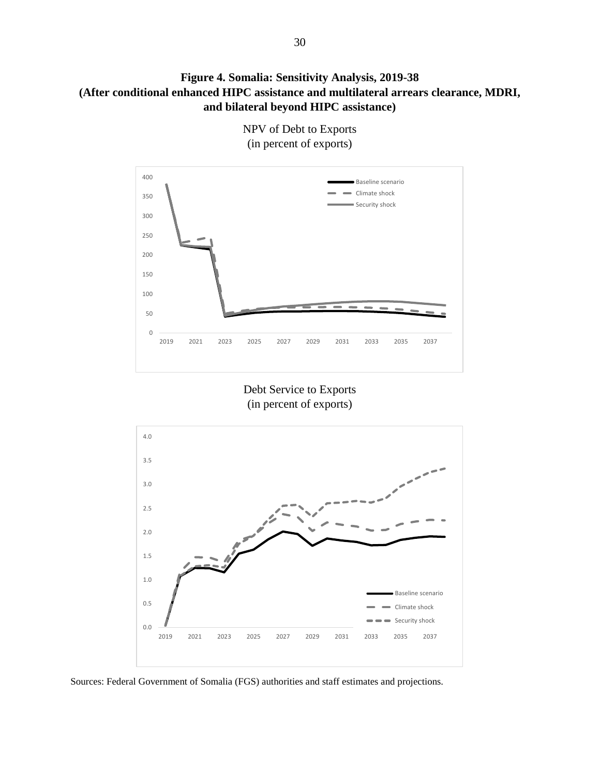**Figure 4. Somalia: Sensitivity Analysis, 2019-38 (After conditional enhanced HIPC assistance and multilateral arrears clearance, MDRI, and bilateral beyond HIPC assistance)**



NPV of Debt to Exports (in percent of exports)

Debt Service to Exports (in percent of exports)



Sources: Federal Government of Somalia (FGS) authorities and staff estimates and projections.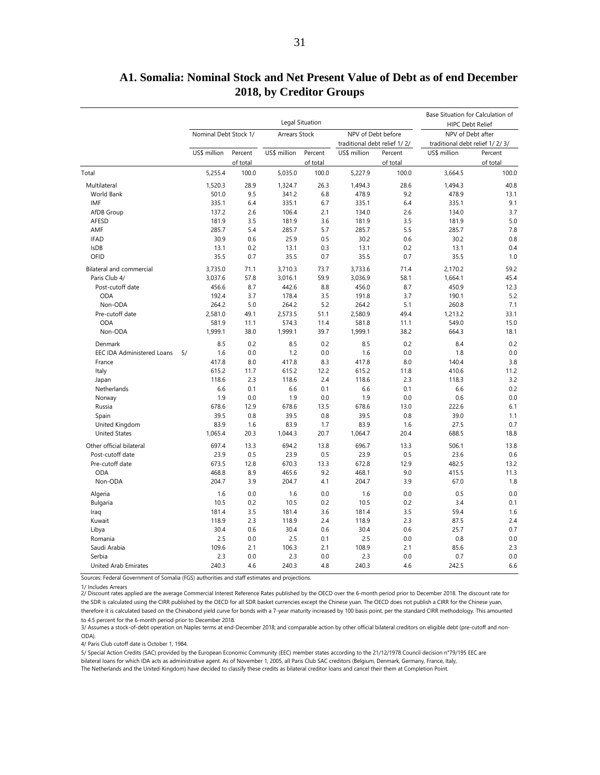|                                   |                       |                     | Base Situation for Calculation of<br><b>HIPC Debt Relief</b> |                     |                                                    |                     |                                                     |                     |  |
|-----------------------------------|-----------------------|---------------------|--------------------------------------------------------------|---------------------|----------------------------------------------------|---------------------|-----------------------------------------------------|---------------------|--|
|                                   | Nominal Debt Stock 1/ |                     | <b>Arrears Stock</b>                                         |                     | NPV of Debt before<br>traditional debt relief 1/2/ |                     | NPV of Debt after<br>traditional debt relief 1/2/3/ |                     |  |
|                                   | US\$ million          | Percent<br>of total | US\$ million                                                 | Percent<br>of total | US\$ million                                       | Percent<br>of total | US\$ million                                        | Percent<br>of total |  |
| Total                             | 5,255.4               | 100.0               | 5,035.0                                                      | 100.0               | 5,227.9                                            | 100.0               | 3,664.5                                             | 100.0               |  |
| Multilateral                      | 1,520.3               | 28.9                | 1,324.7                                                      | 26.3                | 1,494.3                                            | 28.6                | 1,494.3                                             | 40.8                |  |
| <b>World Bank</b>                 | 501.0                 | 9.5                 | 341.2                                                        | 6.8                 | 478.9                                              | 9.2                 | 478.9                                               | 13.1                |  |
| IMF                               |                       | 6.4                 |                                                              | 6.7                 |                                                    | 6.4                 |                                                     | 9.1                 |  |
|                                   | 335.1                 | 2.6                 | 335.1                                                        | 2.1                 | 335.1                                              | 2.6                 | 335.1                                               |                     |  |
| AfDB Group                        | 137.2<br>181.9        | 3.5                 | 106.4                                                        | 3.6                 | 134.0                                              | 3.5                 | 134.0                                               | 3.7<br>5.0          |  |
| AFESD<br>AMF                      | 285.7                 | 5.4                 | 181.9<br>285.7                                               | 5.7                 | 181.9<br>285.7                                     | 5.5                 | 181.9<br>285.7                                      | 7.8                 |  |
|                                   |                       |                     |                                                              |                     |                                                    |                     |                                                     |                     |  |
| <b>IFAD</b>                       | 30.9                  | 0.6                 | 25.9                                                         | 0.5                 | 30.2                                               | 0.6                 | 30.2                                                | 0.8                 |  |
| <b>IsDB</b>                       | 13.1                  | 0.2                 | 13.1                                                         | 0.3                 | 13.1                                               | 0.2                 | 13.1                                                | 0.4                 |  |
| OFID                              | 35.5                  | 0.7                 | 35.5                                                         | 0.7                 | 35.5                                               | 0.7                 | 35.5                                                | 1.0                 |  |
| <b>Bilateral and commercial</b>   | 3,735.0               | 71.1                | 3,710.3                                                      | 73.7                | 3,733.6                                            | 71.4                | 2,170.2                                             | 59.2                |  |
| Paris Club 4/                     | 3,037.6               | 57.8                | 3,016.1                                                      | 59.9                | 3,036.9                                            | 58.1                | 1,664.1                                             | 45.4                |  |
| Post-cutoff date                  | 456.6                 | 8.7                 | 442.6                                                        | 8.8                 | 456.0                                              | 8.7                 | 450.9                                               | 12.3                |  |
| <b>ODA</b>                        | 192.4                 | 3.7                 | 178.4                                                        | 3.5                 | 191.8                                              | 3.7                 | 190.1                                               | 5.2                 |  |
| Non-ODA                           | 264.2                 | 5.0                 | 264.2                                                        | 5.2                 | 264.2                                              | 5.1                 | 260.8                                               | 7.1                 |  |
| Pre-cutoff date                   | 2.581.0               | 49.1                | 2,573.5                                                      | 51.1                | 2,580.9                                            | 49.4                | 1,213.2                                             | 33.1                |  |
| <b>ODA</b>                        | 581.9                 | 11.1                | 574.3                                                        | 11.4                | 581.8                                              | 11.1                | 549.0                                               | 15.0                |  |
| Non-ODA                           | 1,999.1               | 38.0                | 1,999.1<br>39.7                                              |                     | 1,999.1                                            | 38.2                | 664.3                                               | 18.1                |  |
| Denmark                           | 8.5                   | 0.2                 | 8.5                                                          | 0.2                 | 8.5                                                | 0.2                 | 8.4                                                 | 0.2                 |  |
| <b>EEC IDA Administered Loans</b> | 1.6<br>5/             | 0.0                 | 1.2                                                          | 0.0                 | 1.6                                                | 0.0                 | 1.8                                                 | 0.0                 |  |
| France                            | 417.8                 | 8.0                 | 417.8                                                        | 8.3                 | 417.8                                              | 8.0                 | 140.4                                               | 3.8                 |  |
| Italy                             | 615.2                 | 11.7                | 615.2                                                        | 12.2                | 615.2                                              | 11.8                | 410.6                                               | 11.2                |  |
| Japan                             | 118.6                 | 2.3                 | 118.6                                                        | 2.4                 | 118.6                                              | 2.3                 | 118.3                                               | 3.2                 |  |
| Netherlands                       | 6.6                   | 0.1                 | 6.6                                                          | 0.1                 | 6.6                                                | 0.1                 | 6.6                                                 | 0.2                 |  |
| Norway                            | 1.9                   | 0.0                 | 1.9                                                          | 0.0                 | 1.9                                                | 0.0                 | 0.6                                                 | 0.0                 |  |
| Russia                            | 678.6                 | 12.9                | 678.6                                                        | 13.5                | 678.6                                              | 13.0                | 222.6                                               | 6.1                 |  |
| Spain                             | 39.5                  | 0.8                 | 39.5                                                         | 0.8                 | 39.5                                               | 0.8                 | 39.0                                                | 1.1                 |  |
| United Kingdom                    | 83.9                  | 1.6                 | 83.9                                                         | 1.7                 | 83.9                                               | 1.6                 | 27.5                                                | 0.7                 |  |
| <b>United States</b>              | 1,065.4               | 20.3                | 1,044.3                                                      | 20.7                | 1,064.7                                            | 20.4                | 688.5                                               | 18.8                |  |
| Other official bilateral          | 697.4                 | 13.3                | 694.2                                                        | 13.8                | 696.7                                              | 13.3                | 506.1                                               | 13.8                |  |
| Post-cutoff date                  | 23.9                  | 0.5                 | 23.9                                                         | 0.5                 | 23.9                                               | 0.5                 | 23.6                                                | 0.6                 |  |
| Pre-cutoff date                   | 673.5                 | 12.8                | 670.3                                                        | 13.3                | 672.8                                              | 12.9                | 482.5                                               | 13.2                |  |
| ODA                               | 468.8                 | 8.9                 | 465.6                                                        | 9.2                 | 468.1                                              | 9.0                 | 415.5                                               | 11.3                |  |
| Non-ODA                           | 204.7                 | 3.9                 | 204.7                                                        | 4.1                 | 204.7                                              | 3.9                 | 67.0                                                | 1.8                 |  |
| Algeria                           | 1.6                   | 0.0                 | 1.6                                                          | 0.0                 | 1.6                                                | 0.0                 | 0.5                                                 | 0.0                 |  |
| Bulgaria                          | 10.5                  | 0.2                 | 10.5                                                         | 0.2                 | 10.5                                               | 0.2                 | 3.4                                                 | 0.1                 |  |
| Iraq                              | 181.4                 | 3.5                 | 181.4                                                        | 3.6                 | 181.4                                              | 3.5                 | 59.4                                                | 1.6                 |  |
| Kuwait                            | 118.9                 | 2.3                 | 118.9                                                        | 2.4                 | 118.9                                              | 2.3                 | 87.5                                                | 2.4                 |  |
| Libya                             | 30.4                  | 0.6                 | 30.4                                                         | 0.6                 | 30.4                                               | 0.6                 | 25.7                                                | 0.7                 |  |
| Romania                           | 2.5                   | 0.0                 | 2.5                                                          | 0.1                 | 2.5                                                | 0.0                 | 0.8                                                 | 0.0                 |  |
| Saudi Arabia                      | 109.6                 | 2.1                 | 106.3                                                        | 2.1                 | 108.9                                              | 2.1                 | 85.6                                                | 2.3                 |  |
| Serbia                            | 2.3                   | 0.0                 | 2.3                                                          | 0.0                 | 2.3                                                | 0.0                 | 0.7                                                 | 0.0                 |  |
| <b>United Arab Emirates</b>       | 240.3                 | 4.6                 | 240.3                                                        | 4.8                 | 240.3                                              | 4.6                 | 242.5                                               | 6.6                 |  |

### **A1. Somalia: Nominal Stock and Net Present Value of Debt as of end December 2018, by Creditor Groups**

Sources: Federal Government of Somalia (FGS) authorities and staff estimates and projections.

1/ Includes Arrears 2/ Discount rates applied are the average Commercial Interest Reference Rates published by the OECD over the 6-month period prior to December 2018. The discount rate for the SDR is calculated using the CIRR published by the OECD for all SDR basket currencies except the Chinese yuan. The OECD does not publish a CIRR for the Chinese yuan, therefore it is calculated based on the Chinabond yield curve for bonds with a 7-year maturity increased by 100 basis point, per the standard CIRR methodology. This amounted

to 4.5 percent for the 6-month period prior to December 2018.

3/ Assumes a stock-of-debt operation on Naples terms at end-December 2018; and comparable action by other official bilateral creditors on eligible debt (pre-cutoff and non-ODA).

4/ Paris Club cutoff date is October 1, 1984.

The Netherlands and the United-Kingdom) have decided to classify these credits as bilateral creditor loans and cancel their them at Completion Point. 5/ Special Action Credits (SAC) provided by the European Economic Community (EEC) member states according to the 21/12/1978 Council decision n°79/195 EEC are bilateral loans for which IDA acts as administrative agent. As of November 1, 2005, all Paris Club SAC creditors (Belgium, Denmark, Germany, France, Italy,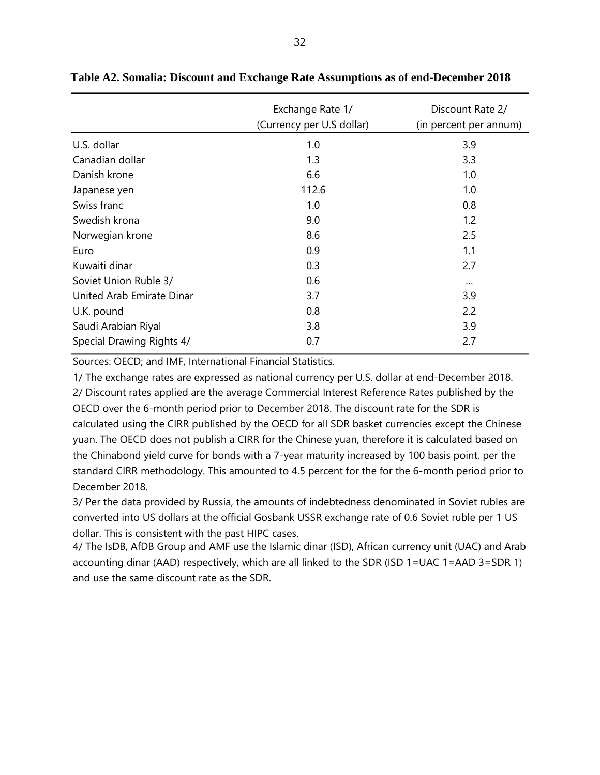|                           | Exchange Rate 1/<br>(Currency per U.S dollar) | Discount Rate 2/<br>(in percent per annum) |
|---------------------------|-----------------------------------------------|--------------------------------------------|
| U.S. dollar               | 1.0                                           | 3.9                                        |
| Canadian dollar           | 1.3                                           | 3.3                                        |
| Danish krone              | 6.6                                           | 1.0                                        |
| Japanese yen              | 112.6                                         | 1.0                                        |
| Swiss franc               | 1.0                                           | 0.8                                        |
| Swedish krona             | 9.0                                           | 1.2                                        |
| Norwegian krone           | 8.6                                           | 2.5                                        |
| Euro                      | 0.9                                           | 1.1                                        |
| Kuwaiti dinar             | 0.3                                           | 2.7                                        |
| Soviet Union Ruble 3/     | 0.6                                           | $\cdots$                                   |
| United Arab Emirate Dinar | 3.7                                           | 3.9                                        |
| U.K. pound                | 0.8                                           | 2.2                                        |
| Saudi Arabian Riyal       | 3.8                                           | 3.9                                        |
| Special Drawing Rights 4/ | 0.7                                           | 2.7                                        |

#### **Table A2. Somalia: Discount and Exchange Rate Assumptions as of end-December 2018**

Sources: OECD; and IMF, International Financial Statistics.

1/ The exchange rates are expressed as national currency per U.S. dollar at end-December 2018. 2/ Discount rates applied are the average Commercial Interest Reference Rates published by the OECD over the 6-month period prior to December 2018. The discount rate for the SDR is calculated using the CIRR published by the OECD for all SDR basket currencies except the Chinese yuan. The OECD does not publish a CIRR for the Chinese yuan, therefore it is calculated based on the Chinabond yield curve for bonds with a 7-year maturity increased by 100 basis point, per the standard CIRR methodology. This amounted to 4.5 percent for the for the 6-month period prior to December 2018.

3/ Per the data provided by Russia, the amounts of indebtedness denominated in Soviet rubles are converted into US dollars at the official Gosbank USSR exchange rate of 0.6 Soviet ruble per 1 US dollar. This is consistent with the past HIPC cases.

4/ The IsDB, AfDB Group and AMF use the Islamic dinar (ISD), African currency unit (UAC) and Arab accounting dinar (AAD) respectively, which are all linked to the SDR (ISD 1=UAC 1=AAD 3=SDR 1) and use the same discount rate as the SDR.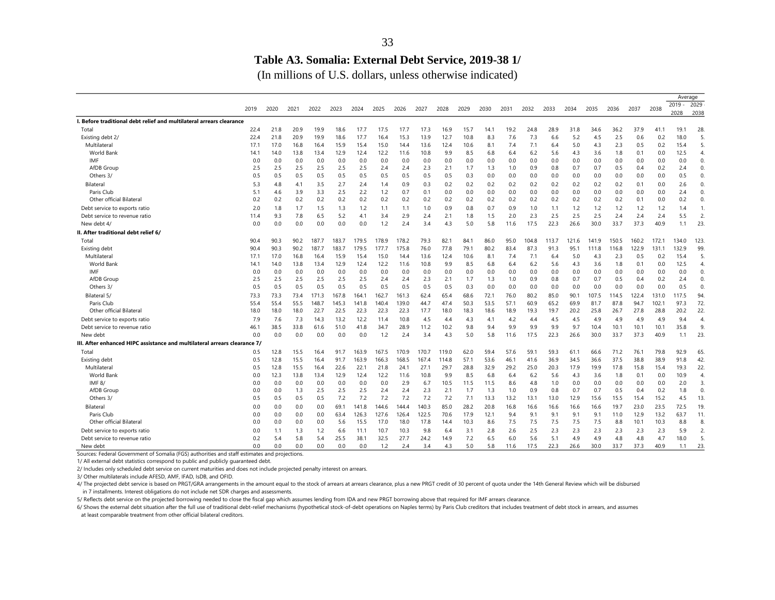### **Table A3. Somalia: External Debt Service, 2019-38 1/**

(In millions of U.S. dollars, unless otherwise indicated)

|                                                                           |      |      |      |       |       |       |       |       |       |       |      |      |      |       |       |       |       |       |       |       | Average          |                |
|---------------------------------------------------------------------------|------|------|------|-------|-------|-------|-------|-------|-------|-------|------|------|------|-------|-------|-------|-------|-------|-------|-------|------------------|----------------|
|                                                                           | 2019 | 2020 | 2021 | 2022  | 2023  | 2024  | 2025  | 2026  | 2027  | 2028  | 2029 | 2030 | 2031 | 2032  | 2033  | 2034  | 2035  | 2036  | 2037  | 2038  | $2019 -$<br>2028 | 2029<br>2038   |
| I. Before traditional debt relief and multilateral arrears clearance      |      |      |      |       |       |       |       |       |       |       |      |      |      |       |       |       |       |       |       |       |                  |                |
| Total                                                                     | 22.4 | 21.8 | 20.9 | 19.9  | 18.6  | 17.7  | 17.5  | 17.7  | 17.3  | 16.9  | 15.7 | 14.1 | 19.2 | 24.8  | 28.9  | 31.8  | 34.6  | 36.2  | 37.9  | 41.1  | 19.1             | 28.            |
| Existing debt 2/                                                          | 22.4 | 21.8 | 20.9 | 19.9  | 18.6  | 17.7  | 16.4  | 15.3  | 13.9  | 12.7  | 10.8 | 8.3  | 7.6  | 7.3   | 6.6   | 5.2   | 4.5   | 2.5   | 0.6   | 0.2   | 18.0             | 5.             |
| Multilateral                                                              | 17.1 | 17.0 | 16.8 | 16.4  | 15.9  | 15.4  | 15.0  | 14.4  | 13.6  | 12.4  | 10.6 | 8.1  | 7.4  | 7.1   | 6.4   | 5.0   | 4.3   | 2.3   | 0.5   | 0.2   | 15.4             | 5.             |
| World Bank                                                                | 14.1 | 14.0 | 13.8 | 13.4  | 12.9  | 12.4  | 12.2  | 11.6  | 10.8  | 9.9   | 8.5  | 6.8  | 6.4  | 6.2   | 5.6   | 4.3   | 3.6   | 1.8   | 0.1   | 0.0   | 12.5             | $\overline{4}$ |
| <b>IMF</b>                                                                | 0.0  | 0.0  | 0.0  | 0.0   | 0.0   | 0.0   | 0.0   | 0.0   | 0.0   | 0.0   | 0.0  | 0.0  | 0.0  | 0.0   | 0.0   | 0.0   | 0.0   | 0.0   | 0.0   | 0.0   | 0.0              | 0.             |
| AfDB Group                                                                | 2.5  | 2.5  | 2.5  | 2.5   | 2.5   | 2.5   | 2.4   | 2.4   | 2.3   | 2.1   | 1.7  | 1.3  | 1.0  | 0.9   | 0.8   | 0.7   | 0.7   | 0.5   | 0.4   | 0.2   | 2.4              | 0.             |
| Others 3/                                                                 | 0.5  | 0.5  | 0.5  | 0.5   | 0.5   | 0.5   | 0.5   | 0.5   | 0.5   | 0.5   | 0.3  | 0.0  | 0.0  | 0.0   | 0.0   | 0.0   | 0.0   | 0.0   | 0.0   | 0.0   | 0.5              | 0.             |
| Bilateral                                                                 | 5.3  | 4.8  | 4.1  | 3.5   | 2.7   | 2.4   | 1.4   | 0.9   | 0.3   | 0.2   | 0.2  | 0.2  | 0.2  | 0.2   | 0.2   | 0.2   | 0.2   | 0.2   | 0.1   | 0.0   | 2.6              | 0.             |
| Paris Club                                                                | 5.1  | 4.6  | 3.9  | 3.3   | 2.5   | 2.2   | 1.2   | 0.7   | 0.1   | 0.0   | 0.0  | 0.0  | 0.0  | 0.0   | 0.0   | 0.0   | 0.0   | 0.0   | 0.0   | 0.0   | 2.4              | 0.             |
| Other official Bilateral                                                  | 0.2  | 0.2  | 0.2  | 0.2   | 0.2   | 0.2   | 0.2   | 0.2   | 0.2   | 0.2   | 0.2  | 0.2  | 0.2  | 0.2   | 0.2   | 0.2   | 0.2   | 0.2   | 0.1   | 0.0   | 0.2              | 0.             |
| Debt service to exports ratio                                             | 2.0  | 1.8  | 1.7  | 1.5   | 1.3   | 1.2   | 1.1   | 1.1   | 1.0   | 0.9   | 0.8  | 0.7  | 0.9  | 1.0   | 1.1   | 1.2   | 1.2   | 1.2   | 1.2   | 1.2   | 1.4              | 1.             |
| Debt service to revenue ratio                                             | 11.4 | 9.3  | 7.8  | 6.5   | 5.2   | 4.1   | 3.4   | 2.9   | 2.4   | 2.1   | 1.8  | 1.5  | 2.0  | 2.3   | 2.5   | 2.5   | 2.5   | 2.4   | 2.4   | 2.4   | 5.5              | 2.             |
| New debt 4/                                                               | 0.0  | 0.0  | 0.0  | 0.0   | 0.0   | 0.0   | 1.2   | 2.4   | 3.4   | 4.3   | 5.0  | 5.8  | 11.6 | 17.5  | 22.3  | 26.6  | 30.0  | 33.7  | 37.3  | 40.9  | 1.1              | 23.            |
| II. After traditional debt relief 6/                                      |      |      |      |       |       |       |       |       |       |       |      |      |      |       |       |       |       |       |       |       |                  |                |
| Total                                                                     | 90.4 | 90.3 | 90.2 | 187.7 | 183.7 | 179.5 | 178.9 | 178.2 | 79.3  | 82.1  | 84.1 | 86.0 | 95.0 | 104.8 | 113.7 | 121.6 | 141.9 | 150.5 | 160.2 | 172.1 | 134.0            | 123.           |
| Existing debt                                                             | 90.4 | 90.3 | 90.2 | 187.7 | 183.7 | 179.5 | 177.7 | 175.8 | 76.0  | 77.8  | 79.1 | 80.2 | 83.4 | 87.3  | 91.3  | 95.1  | 111.8 | 116.8 | 122.9 | 131.1 | 132.9            | 99.            |
| Multilateral                                                              | 17.1 | 17.0 | 16.8 | 16.4  | 15.9  | 15.4  | 15.0  | 14.4  | 13.6  | 12.4  | 10.6 | 8.1  | 7.4  | 7.1   | 6.4   | 5.0   | 4.3   | 2.3   | 0.5   | 0.2   | 15.4             | 5.             |
| World Bank                                                                | 14.1 | 14.0 | 13.8 | 13.4  | 12.9  | 12.4  | 12.2  | 11.6  | 10.8  | 9.9   | 8.5  | 6.8  | 6.4  | 6.2   | 5.6   | 4.3   | 3.6   | 1.8   | 0.1   | 0.0   | 12.5             | $\overline{4}$ |
| IMF                                                                       | 0.0  | 0.0  | 0.0  | 0.0   | 0.0   | 0.0   | 0.0   | 0.0   | 0.0   | 0.0   | 0.0  | 0.0  | 0.0  | 0.0   | 0.0   | 0.0   | 0.0   | 0.0   | 0.0   | 0.0   | 0.0              | 0.             |
| AfDB Group                                                                | 2.5  | 2.5  | 2.5  | 2.5   | 2.5   | 2.5   | 2.4   | 2.4   | 2.3   | 2.1   | 1.7  | 1.3  | 1.0  | 0.9   | 0.8   | 0.7   | 0.7   | 0.5   | 0.4   | 0.2   | 2.4              | 0.             |
| Others 3/                                                                 | 0.5  | 0.5  | 0.5  | 0.5   | 0.5   | 0.5   | 0.5   | 0.5   | 0.5   | 0.5   | 0.3  | 0.0  | 0.0  | 0.0   | 0.0   | 0.0   | 0.0   | 0.0   | 0.0   | 0.0   | 0.5              | 0.             |
| Bilateral 5/                                                              | 73.3 | 73.3 | 73.4 | 171.3 | 167.8 | 164.1 | 162.7 | 161.3 | 62.4  | 65.4  | 68.6 | 72.1 | 76.0 | 80.2  | 85.0  | 90.1  | 107.5 | 114.5 | 122.4 | 131.0 | 117.5            | 94.            |
| Paris Club                                                                | 55.4 | 55.4 | 55.5 | 148.7 | 145.3 | 141.8 | 140.4 | 139.0 | 44.7  | 47.4  | 50.3 | 53.5 | 57.1 | 60.9  | 65.2  | 69.9  | 81.7  | 87.8  | 94.7  | 102.1 | 97.3             | 72.            |
| Other official Bilateral                                                  | 18.0 | 18.0 | 18.0 | 22.7  | 22.5  | 22.3  | 22.3  | 22.3  | 17.7  | 18.0  | 18.3 | 18.6 | 18.9 | 19.3  | 19.7  | 20.2  | 25.8  | 26.7  | 27.8  | 28.8  | 20.2             | 22.            |
| Debt service to exports ratio                                             | 7.9  | 7.6  | 7.3  | 14.3  | 13.2  | 12.2  | 11.4  | 10.8  | 4.5   | 4.4   | 4.3  | 4.1  | 4.2  | 4.4   | 4.5   | 4.5   | 4.9   | 4.9   | 4.9   | 4.9   | 9.4              | $\overline{4}$ |
| Debt service to revenue ratio                                             | 46.1 | 38.5 | 33.8 | 61.6  | 51.0  | 41.8  | 34.7  | 28.9  | 11.2  | 10.2  | 9.8  | 9.4  | 9.9  | 9.9   | 9.9   | 9.7   | 10.4  | 10.1  | 10.1  | 10.1  | 35.8             | 9.             |
| New debt                                                                  | 0.0  | 0.0  | 0.0  | 0.0   | 0.0   | 0.0   | 1.2   | 2.4   | 3.4   | 4.3   | 5.0  | 5.8  | 11.6 | 17.5  | 22.3  | 26.6  | 30.0  | 33.7  | 37.3  | 40.9  | 1.1              | 23.            |
| III. After enhanced HIPC assistance and multilateral arrears clearance 7/ |      |      |      |       |       |       |       |       |       |       |      |      |      |       |       |       |       |       |       |       |                  |                |
| Total                                                                     | 0.5  | 12.8 | 15.5 | 16.4  | 91.7  | 163.9 | 167.5 | 170.9 | 170.7 | 119.0 | 62.0 | 59.4 | 57.6 | 59.7  | 59.3  | 61.1  | 66.6  | 71.2  | 76.1  | 79.8  | 92.9             | 65.            |
| Existing debt                                                             | 0.5  | 12.8 | 15.5 | 16.4  | 91.7  | 163.9 | 166.3 | 168.5 | 167.4 | 114.8 | 57.1 | 53.6 | 46.1 | 41.6  | 36.9  | 34.5  | 36.6  | 37.5  | 38.8  | 38.9  | 91.8             | 42.            |
| Multilateral                                                              | 0.5  | 12.8 | 15.5 | 16.4  | 22.6  | 22.1  | 21.8  | 24.1  | 27.1  | 29.7  | 28.8 | 32.9 | 29.2 | 25.0  | 20.3  | 17.9  | 19.9  | 17.8  | 15.8  | 15.4  | 19.3             | 22.            |
| World Bank                                                                | 0.0  | 12.3 | 13.8 | 13.4  | 12.9  | 12.4  | 12.2  | 11.6  | 10.8  | 9.9   | 8.5  | 6.8  | 6.4  | 6.2   | 5.6   | 4.3   | 3.6   | 1.8   | 0.1   | 0.0   | 10.9             | $\overline{4}$ |
| <b>IMF 8/</b>                                                             | 0.0  | 0.0  | 0.0  | 0.0   | 0.0   | 0.0   | 0.0   | 2.9   | 6.7   | 10.5  | 11.5 | 11.5 | 8.6  | 4.8   | 1.0   | 0.0   | 0.0   | 0.0   | 0.0   | 0.0   | 2.0              | 3.             |
| AfDB Group                                                                | 0.0  | 0.0  | 1.3  | 2.5   | 2.5   | 2.5   | 2.4   | 2.4   | 2.3   | 2.1   | 1.7  | 1.3  | 1.0  | 0.9   | 0.8   | 0.7   | 0.7   | 0.5   | 0.4   | 0.2   | 1.8              | 0.             |
| Others 3/                                                                 | 0.5  | 0.5  | 0.5  | 0.5   | 7.2   | 7.2   | 7.2   | 7.2   | 7.2   | 7.2   | 7.1  | 13.3 | 13.2 | 13.1  | 13.0  | 12.9  | 15.6  | 15.5  | 15.4  | 15.2  | 4.5              | 13.            |
| Bilateral                                                                 | 0.0  | 0.0  | 0.0  | 0.0   | 69.1  | 141.8 | 144.6 | 144.4 | 140.3 | 85.0  | 28.2 | 20.8 | 16.8 | 16.6  | 16.6  | 16.6  | 16.6  | 19.7  | 23.0  | 23.5  | 72.5             | 19.            |
| Paris Club                                                                | 0.0  | 0.0  | 0.0  | 0.0   | 63.4  | 126.3 | 127.6 | 126.4 | 122.5 | 70.6  | 17.9 | 12.1 | 9.4  | 9.1   | 9.1   | 9.1   | 9.1   | 11.0  | 12.9  | 13.2  | 63.7             | 11.            |
| Other official Bilateral                                                  | 0.0  | 0.0  | 0.0  | 0.0   | 5.6   | 15.5  | 17.0  | 18.0  | 17.8  | 14.4  | 10.3 | 8.6  | 7.5  | 7.5   | 7.5   | 7.5   | 7.5   | 8.8   | 10.1  | 10.3  | 8.8              | 8.             |
| Debt service to exports ratio                                             | 0.0  | 1.1  | 1.3  | 1.2   | 6.6   | 11.1  | 10.7  | 10.3  | 9.8   | 6.4   | 3.1  | 2.8  | 2.6  | 2.5   | 2.3   | 2.3   | 2.3   | 2.3   | 2.3   | 2.3   | 5.9              | 2.             |
| Debt service to revenue ratio                                             | 0.2  | 5.4  | 5.8  | 5.4   | 25.5  | 38.1  | 32.5  | 27.7  | 24.2  | 14.9  | 7.2  | 6.5  | 6.0  | 5.6   | 5.1   | 4.9   | 4.9   | 4.8   | 4.8   | 4.7   | 18.0             | 5.             |
| New debt                                                                  | 0.0  | 0.0  | 0.0  | 0.0   | 0.0   | 0.0   | 1.2   | 2.4   | 3.4   | 4.3   | 5.0  | 5.8  | 11.6 | 17.5  | 22.3  | 26.6  | 30.0  | 33.7  | 37.3  | 40.9  | 1.1              | 23.            |

Sources: Federal Government of Somalia (FGS) authorities and staff estimates and projections.

1/ All external debt statistics correspond to public and publicly guaranteed debt.

2/ Includes only scheduled debt service on current maturities and does not include projected penalty interest on arrears.

3/ Other multilaterals include AFESD, AMF, IFAD, IsDB, and OFID.

4/ The projected debt service is based on PRGT/GRA arrangements in the amount equal to the stock of arrears at arrears clearance, plus a new PRGT credit of 30 percent of quota under the 14th General Review which will be di in 7 installments. Interest obligations do not include net SDR charges and assessments.

5/ Reflects debt service on the projected borrowing needed to close the fiscal gap which assumes lending from IDA and new PRGT borrowing above that required for IMF arrears clearance.

6/ Shows the external debt situation after the full use of traditional debt-relief mechanisms (hypothetical stock-of-debt operations on Naples terms) by Paris Club creditors that includes treatment of debt stock in arrears at least comparable treatment from other official bilateral creditors.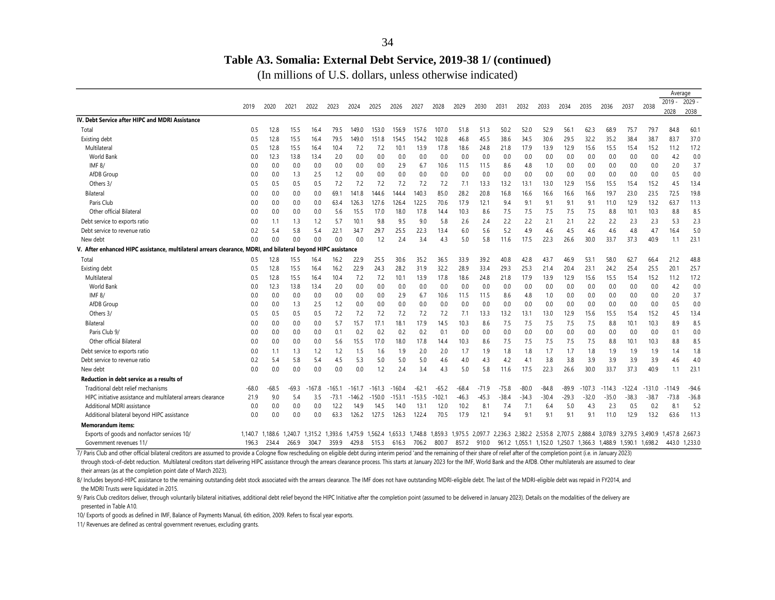### **Table A3. Somalia: External Debt Service, 2019-38 1/ (continued)**

(In millions of U.S. dollars, unless otherwise indicated)

|                                                                                                               |         |         |         |         |         |          |          |          |          |         |         |         |         |         |         |         |                                                               |          |          |          | Average  |          |
|---------------------------------------------------------------------------------------------------------------|---------|---------|---------|---------|---------|----------|----------|----------|----------|---------|---------|---------|---------|---------|---------|---------|---------------------------------------------------------------|----------|----------|----------|----------|----------|
|                                                                                                               | 2019    | 2020    | 2021    | 2022    | 2023    | 2024     | 2025     | 2026     | 2027     | 2028    | 2029    | 2030    | 2031    | 2032    | 2033    | 2034    | 2035                                                          | 2036     | 2037     | 2038     | $2019 -$ | $2029 -$ |
|                                                                                                               |         |         |         |         |         |          |          |          |          |         |         |         |         |         |         |         |                                                               |          |          |          | 2028     | 2038     |
| IV. Debt Service after HIPC and MDRI Assistance                                                               |         |         |         |         |         |          |          |          |          |         |         |         |         |         |         |         |                                                               |          |          |          |          |          |
| Total                                                                                                         | 0.5     | 12.8    | 15.5    | 16.4    | 79.5    | 149.0    | 153.0    | 156.9    | 157.6    | 107.0   | 51.8    | 51.3    | 50.2    | 52.0    | 52.9    | 56.1    | 62.3                                                          | 68.9     | 75.7     | 79.7     | 84.8     | 60.1     |
| Existing debt                                                                                                 | 0.5     | 12.8    | 15.5    | 16.4    | 79.5    | 149.0    | 151.8    | 154.5    | 154.2    | 102.8   | 46.8    | 45.5    | 38.6    | 34.5    | 30.6    | 29.5    | 32.2                                                          | 35.2     | 38.4     | 38.7     | 83.7     | 37.0     |
| Multilateral                                                                                                  | 0.5     | 12.8    | 15.5    | 16.4    | 10.4    | 7.2      | 7.2      | 10.1     | 13.9     | 17.8    | 18.6    | 24.8    | 21.8    | 17.9    | 13.9    | 12.9    | 15.6                                                          | 15.5     | 15.4     | 15.2     | 11.2     | 17.2     |
| <b>World Bank</b>                                                                                             | 0.0     | 12.3    | 13.8    | 13.4    | 2.0     | 0.0      | 0.0      | 0.0      | 0.0      | 0.0     | 0.0     | 0.0     | 0.0     | 0.0     | 0.0     | 0.0     | 0.0                                                           | 0.0      | 0.0      | 0.0      | 4.2      | 0.0      |
| <b>IMF 8/</b>                                                                                                 | 0.0     | 0.0     | 0.0     | 0.0     | 0.0     | 0.0      | 0.0      | 2.9      | 6.7      | 10.6    | 11.5    | 11.5    | 8.6     | 4.8     | 1.0     | 0.0     | 0.0                                                           | 0.0      | 0.0      | 0.0      | 2.0      | 3.7      |
| AfDB Group                                                                                                    | 0.0     | 0.0     | 1.3     | 2.5     | 1.2     | 0.0      | 0.0      | 0.0      | 0.0      | 0.0     | 0.0     | 0.0     | 0.0     | 0.0     | 0.0     | 0.0     | 0.0                                                           | 0.0      | 0.0      | 0.0      | 0.5      | 0.0      |
| Others 3/                                                                                                     | 0.5     | 0.5     | 0.5     | 0.5     | 7.2     | 7.2      | 7.2      | 7.2      | 7.2      | 7.2     | 7.1     | 13.3    | 13.2    | 13.1    | 13.0    | 12.9    | 15.6                                                          | 15.5     | 15.4     | 15.2     | 4.5      | 13.4     |
| Bilateral                                                                                                     | 0.0     | 0.0     | 0.0     | 0.0     | 69.1    | 141.8    | 144.6    | 144.4    | 40.3     | 85.0    | 28.2    | 20.8    | 16.8    | 16.6    | 16.6    | 16.6    | 16.6                                                          | 19.7     | 23.0     | 23.5     | 72.5     | 19.8     |
| Paris Club                                                                                                    | 0.0     | 0.0     | 0.0     | 0.0     | 63.4    | 126.3    | 127.6    | 126.4    | 122.5    | 70.6    | 17.9    | 12.1    | 9.4     | 9.1     | 9.1     | 9.1     | 9.1                                                           | 11.0     | 12.9     | 13.2     | 63.7     | 11.3     |
| Other official Bilateral                                                                                      | 0.0     | 0.0     | 0.0     | 0.0     | 5.6     | 15.5     | 17.0     | 18.0     | 17.8     | 14.4    | 10.3    | 8.6     | 7.5     | 7.5     | 7.5     | 7.5     | 7.5                                                           | 8.8      | 10.1     | 10.3     | 8.8      | 8.5      |
| Debt service to exports ratio                                                                                 | 0.0     | 1.1     | 1.3     | 1.2     | 5.7     | 10.1     | 9.8      | 9.5      | 9.0      | 5.8     | 2.6     | 2.4     | 2.2     | 2.2     | 2.1     | 2.1     | 2.2                                                           | 2.2      | 2.3      | 2.3      | 5.3      | 2.3      |
| Debt service to revenue ratio                                                                                 | 0.2     | 5.4     | 5.8     | 5.4     | 22.1    | 34.7     | 29.7     | 25.5     | 22.3     | 13.4    | 6.0     | 5.6     | 5.2     | 4.9     | 4.6     | 4.5     | 4.6                                                           | 4.6      | 4.8      | 4.7      | 16.4     | 5.0      |
| New debt                                                                                                      | 0.0     | 0.0     | 0.0     | 0.0     | 0.0     | 0.0      | 1.2      | 2.4      | 3.4      | 4.3     | 5.0     | 5.8     | 11.6    | 17.5    | 22.3    | 26.6    | 30.0                                                          | 33.7     | 37.3     | 40.9     | 1.1      | 23.1     |
| V. After enhanced HIPC assistance, multilateral arrears clearance, MDRI, and bilateral beyond HIPC assistance |         |         |         |         |         |          |          |          |          |         |         |         |         |         |         |         |                                                               |          |          |          |          |          |
| Total                                                                                                         | 0.5     | 12.8    | 15.5    | 16.4    | 16.2    | 22.9     | 25.5     | 30.6     | 35.2     | 36.5    | 33.9    | 39.2    | 40.8    | 42.8    | 43.7    | 46.9    | 53.1                                                          | 58.0     | 62.7     | 66.4     | 21.2     | 48.8     |
| Existing debt                                                                                                 | 0.5     | 12.8    | 15.5    | 16.4    | 16.2    | 22.9     | 24.3     | 28.2     | 31.9     | 32.2    | 28.9    | 33.4    | 29.3    | 25.3    | 21.4    | 20.4    | 23.1                                                          | 24.2     | 25.4     | 25.5     | 20.7     | 25.7     |
| Multilateral                                                                                                  | 0.5     | 12.8    | 15.5    | 16.4    | 10.4    | 7.2      | 7.2      | 10.1     | 13.9     | 17.8    | 18.6    | 24.8    | 21.8    | 17.9    | 13.9    | 12.9    | 15.6                                                          | 15.5     | 15.4     | 15.2     | 11.2     | 17.2     |
| World Bank                                                                                                    | 0.0     | 12.3    | 13.8    | 13.4    | 2.0     | 0.0      | 0.0      | 0.0      | 0.0      | 0.0     | 0.0     | 0.0     | 0.0     | 0.0     | 0.0     | 0.0     | 0.0                                                           | 0.0      | 0.0      | 0.0      | 4.2      | $0.0\,$  |
| <b>IMF 8/</b>                                                                                                 | 0.0     | 0.0     | 0.0     | 0.0     | 0.0     | 0.0      | 0.0      | 2.9      | 6.7      | 10.6    | 11.5    | 11.5    | 8.6     | 4.8     | 1.0     | 0.0     | 0.0                                                           | 0.0      | 0.0      | 0.0      | 2.0      | 3.7      |
| AfDB Group                                                                                                    | 0.0     | 0.0     | 1.3     | 2.5     | 1.2     | 0.0      | 0.0      | 0.0      | 0.0      | 0.0     | 0.0     | 0.0     | 0.0     | 0.0     | 0.0     | 0.0     | 0.0                                                           | 0.0      | 0.0      | 0.0      | 0.5      | 0.0      |
| Others 3/                                                                                                     | 0.5     | 0.5     | 0.5     | 0.5     | 7.2     | 7.2      | 7.2      | 7.2      | 7.2      | 7.2     | 7.1     | 13.3    | 13.2    | 13.1    | 13.0    | 12.9    | 15.6                                                          | 15.5     | 15.4     | 15.2     | 4.5      | 13.4     |
| Bilateral                                                                                                     | 0.0     | 0.0     | 0.0     | 0.0     | 5.7     | 15.7     | 17.1     | 18.1     | 17.9     | 14.5    | 10.3    | 8.6     | 7.5     | 7.5     | 7.5     | 7.5     | 7.5                                                           | 8.8      | 10.1     | 10.3     | 8.9      | 8.5      |
| Paris Club 9/                                                                                                 | 0.0     | 0.0     | 0.0     | 0.0     | 0.1     | 0.2      | 0.2      | 0.2      | 0.2      | 0.7     | 0.0     | 0.0     | 0.0     | 0.0     | 0.0     | 0.0     | 0.0                                                           | 0.0      | 0.0      | 0.0      | 0.1      | 0.0      |
| Other official Bilateral                                                                                      | 0.0     | 0.0     | 0.0     | 0.0     | 5.6     | 15.5     | 17.0     | 18.0     | 17.8     | 14.4    | 10.3    | 8.6     | 7.5     | 7.5     | 7.5     | 7.5     | 7.5                                                           | 8.8      | 10.1     | 10.3     | 8.8      | 8.5      |
| Debt service to exports ratio                                                                                 | 0.0     | 1.1     | 1.3     | 1.2     | 1.2     | 1.5      | 1.6      | 1.9      | 2.0      | 2.0     | 1.7     | 1.9     | 1.8     | 1.8     | 1.7     | 1.7     | 1.8                                                           | 1.9      | 1.9      | 1.9      | 1.4      | 1.8      |
| Debt service to revenue ratio                                                                                 | 0.2     | 5.4     | 5.8     | 5.4     | 4.5     | 5.3      | 5.0      | 5.0      | 5.0      | 4.6     | 4.0     | 4.3     | 4.2     | 4.1     | 3.8     | 3.8     | 3.9                                                           | 3.9      | 3.9      | 3.9      | 4.6      | 4.0      |
| New debt                                                                                                      | 0.0     | 0.0     | 0.0     | 0.0     | 0.0     | 0.0      | 1.2      | 2.4      | 3.4      | 4.3     | 5.0     | 5.8     | 11.6    | 17.5    | 22.3    | 26.6    | 30.0                                                          | 33.7     | 37.3     | 40.9     | 1.1      | 23.1     |
| Reduction in debt service as a results of                                                                     |         |         |         |         |         |          |          |          |          |         |         |         |         |         |         |         |                                                               |          |          |          |          |          |
| Traditional debt relief mechanisms                                                                            | $-68.0$ | -68.5   | -69.3   | -167.8  | -165.1  | $-161.7$ | $-161.3$ | $-160.4$ | $-62.7$  | $-65.2$ | $-68.4$ | $-71.9$ | $-75.8$ | $-80.0$ | $-84.8$ | $-89.9$ | $-107.3$                                                      | $-114.3$ | $-122.4$ | $-131.0$ | $-114.9$ | $-94.6$  |
| HIPC initiative assistance and multilateral arrears clearance                                                 | 21.9    | 9.0     | 5.4     | 3.5     | $-73.1$ | $-146.2$ | $-150.0$ | $-153.1$ | $-153.5$ | -102.1  | -46.3   | $-45.3$ | $-38.4$ | $-34.3$ | $-30.4$ | $-29.3$ | $-32.0$                                                       | $-35.0$  | $-38.3$  | $-38.7$  | $-73.8$  | $-36.8$  |
| Additional MDRI assistance                                                                                    | 0.0     | 0.0     | 0.0     | 0.0     | 12.2    | 14.9     | 14.5     | 14.0     | 13.7     | 12.0    | 10.2    | 8.      | 7.4     | 7.1     | 6.4     | 5.0     | 4.3                                                           | 2.3      | 0.5      | 0.2      | 8.       | 5.2      |
| Additional bilateral beyond HIPC assistance                                                                   | 0.0     | 0.0     | 0.0     | 0.0     | 63.3    | 126.2    | 127.5    | 126.3    | 122.4    | 70.5    | 17.9    | 12.1    | 9.4     | 9.1     | 9.1     | 9.1     | 9.1                                                           | 11.0     | 12.9     | 13.2     | 63.6     | 11.3     |
| <b>Memorandum items:</b>                                                                                      |         |         |         |         |         |          |          |          |          |         |         |         |         |         |         |         |                                                               |          |          |          |          |          |
| Exports of goods and nonfactor services 10/                                                                   | 1.140.7 | 1.188.6 | 1.240.7 | 1.315.2 | 1.393.6 | 1.475.9  | 1.562.4  | 1.653.3  | 1.748.8  | .859.3  | 1.975.5 | 2.097.7 | 2.236.3 | 2.382.2 | 2.535.8 | 2.707.5 | 2.888.4                                                       | 3.078.9  | 3.279.5  | 3.490.9  | 1.457.8  | 2.667.3  |
| Government revenues 11/                                                                                       | 196.3   | 234.4   | 266.9   | 304.7   | 359.9   | 429.8    | 515.3    | 616.3    | 706.2    | 800.7   | 857.2   | 910.0   |         |         |         |         | 961.2 1,055.1 1,152.0 1,250.7 1,366.3 1,488.9 1,590.1 1,698.2 |          |          |          | 443.0    | 1,233.0  |

through stock-of-debt reduction. Multilateral creditors start delivering HIPC assistance through the arrears clearance process. This starts at January 2023 for the IMF, World Bank and the AfDB. Other multilaterals are assu their arrears (as at the completion point date of March 2023). 7/ Paris Club and other official bilateral creditors are assumed to provide a Cologne flow rescheduling on eligible debt during interim period 'and the remaining of their share of relief after of the completion point (i.e.

8/ Includes beyond-HIPC assistance to the remaining outstanding debt stock associated with the arrears clearance. The IMF does not have outstanding MDRI-eligible debt. The last of the MDRI-eligible debt was repaid in FY201 the MDRI Trusts were liquidated in 2015.

9/ Paris Club creditors deliver, through voluntarily bilateral initiatives, additional debt relief beyond the HIPC Initiative after the completion point (assumed to be delivered in January 2023). Details on the modalities presented in Table A10.

10/ Exports of goods as defined in IMF, Balance of Payments Manual, 6th edition, 2009. Refers to fiscal year exports.

11/ Revenues are defined as central government revenues, excluding grants.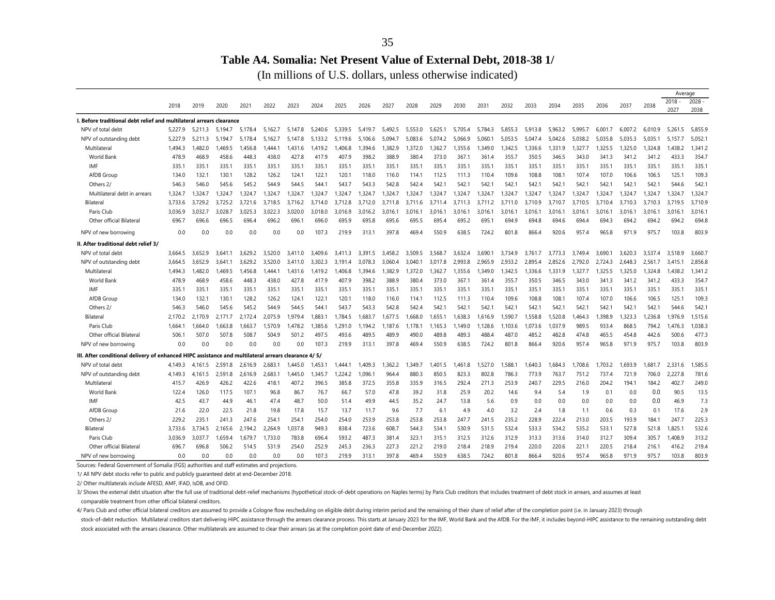#### **Table A4. Somalia: Net Present Value of External Debt, 2018-38 1/**

(In millions of U.S. dollars, unless otherwise indicated)

|                                                                                                      |         |         |              |         |         |         |             |         |         |         |         |         |         |         |         |         |         |         |         |         |         | Average  |          |
|------------------------------------------------------------------------------------------------------|---------|---------|--------------|---------|---------|---------|-------------|---------|---------|---------|---------|---------|---------|---------|---------|---------|---------|---------|---------|---------|---------|----------|----------|
|                                                                                                      | 2018    | 2019    | 2020         | 2021    | 2022    | 2023    | 2024        | 2025    | 2026    | 2027    | 2028    | 2029    | 2030    | 2031    | 2032    | 2033    | 2034    | 2035    | 2036    | 2037    | 2038    | $2018 -$ | $2028 -$ |
|                                                                                                      |         |         |              |         |         |         |             |         |         |         |         |         |         |         |         |         |         |         |         |         |         | 2027     | 2038     |
| I. Before traditional debt relief and multilateral arrears clearance                                 |         |         |              |         |         |         |             |         |         |         |         |         |         |         |         |         |         |         |         |         |         |          |          |
| NPV of total debt                                                                                    | 5.227.9 | 5.211.3 | .5.<br>194.7 | 5.178.4 | 5.162.7 | 5.147.8 | 5.240.6     | 5.339.5 | 5.419.7 | 5.492.5 | 5.553.0 | 5.625.1 | 5.705.4 | 5.784.3 | 5.855.3 | 5.913.8 | 5.963.2 | 5.995.7 | 6.001.7 | 6.007.2 | 6.010.9 | 5.261.5  | 5.855.9  |
| NPV of outstanding debt                                                                              | 5.227.9 | 5.211.3 | 5.194.7      | 5.178.4 | 5.162.7 | 5.147.8 | 5.<br>133.2 | 5.119.6 | 5.106.6 | 5.094   | 5.083.6 | 5.074.2 | 5.066.9 | 5.060.  | 5.053.5 | 5.047.4 | 5.042.6 | 5.038.2 | 5.035.8 | 5.035.3 | 5.035.1 | 5.157.7  | 5,052.1  |
| Multilateral                                                                                         | 1.494.3 | 1.482.0 | 1.469.5      | .456.8  | 0.444.  | 1.431.6 | 1.419.2     | 1.406.8 | 1,394.6 | .382.9  | 1.372.0 | 1.362.7 | 1.355.6 | 1.349.0 | 1.342.5 | 1,336.6 | 1.331.9 | 1.327.7 | 1.325.5 | 1.325.0 | 1.324.8 | 1.438.2  | 1,341.2  |
| World Bank                                                                                           | 478.9   | 468.9   | 458.6        | 448.3   | 438.0   | 427.8   | 417.9       | 407.9   | 398.2   | 388.9   | 380.4   | 373.0   | 367.7   | 361.4   | 355.7   | 350.5   | 346.5   | 343.0   | 341.3   | 341.2   | 341.2   | 433.3    | 354.7    |
| IMF                                                                                                  | 335.1   | 335.1   | 335.1        | 335.1   | 335.1   | 335.1   | 335.        | 335.1   | 335.1   | 335.1   | 335.1   | 335.1   | 335.    | 335.1   | 335.1   | 335.1   | 335.    | 335.1   | 335.1   | 335.    | 335.1   | 335.1    | 335.1    |
| AfDB Group                                                                                           | 134.0   | 132.1   | 130.1        | 128.2   | 126.2   | 124.1   | 122.1       | 120.1   | 118.0   | 116.0   | 114.1   | 112.5   | 111.3   | 110.4   | 109.6   | 108.8   | 108.1   | 107.4   | 107.0   | 106.6   | 106.5   | 125.1    | 109.3    |
| Others 2/                                                                                            | 546.3   | 546.0   | 545.6        | 545.2   | 544.9   | 544.5   | 544.1       | 543.7   | 543.3   | 542.8   | 542.4   | 542.1   | 542.1   | 542.1   | 542.1   | 542.1   | 542.1   | 542.1   | 542.1   | 542.1   | 542.1   | 544.6    | 542.1    |
| Multilateral debt in arrears                                                                         | 1,324.7 | 1,324.7 | 1.324.7      | 1.324.7 | 1.324.7 | 1.324.7 | 1.324.7     | 1.324.7 | 1.324.7 | 1.324.7 | 1.324.7 | 1.324.7 | 1.324.7 | 1.324.7 | 1.324.7 | 1.324.7 | 1.324.7 | 1.324.7 | 1.324.7 | 1.324.7 | 1,324.7 | 1,324.7  | 1,324.7  |
| Bilateral                                                                                            | 3.733.6 | 3.729.2 | 3.725.2      | 3.721.6 | 3.718.5 | 3.716.2 | 3.714.0     | 3.712.8 | 3.712.0 | 3.711.8 | 3.711.6 | 3.711.4 | 3.711.3 | 3.711.2 | 3.711.0 | 3.710.9 | 3.710.7 | 3.710.5 | 3.710.4 | 3.710.3 | 3.710.3 | 3.719.5  | 3.710.9  |
| Paris Club                                                                                           | 3.036.9 | 3.032.7 | 3.028.7      | 3.025.3 | 3.022.3 | 3.020.0 | 3.018.0     | 3.016.9 | 3.016.2 | 3.016.1 | 3.016.1 | 3.016.1 | 3.016.1 | 3.016.1 | 3.016.7 | 3.016.1 | 3.016.1 | 3.016.1 | 3.016.1 | 3.016.7 | 3,016.1 | 3.016.1  | 3,016.1  |
| Other official Bilateral                                                                             | 696.7   | 696.6   | 696.5        | 696.4   | 696.2   | 696.1   | 696.0       | 695.9   | 695.8   | 695.6   | 695.5   | 695.4   | 695.2   | 695.1   | 694.9   | 694.8   | 694.6   | 694.4   | 694.3   | 694.2   | 694.2   | 694.2    | 694.8    |
| NPV of new borrowing                                                                                 | 0.0     | 0.0     | 0.0          | 0.0     | 0.0     | 0.0     | 107.3       | 219.9   | 313.1   | 397.8   | 469.4   | 550.9   | 638.5   | 724.2   | 801.8   | 866.4   | 920.6   | 957.4   | 965.8   | 971.9   | 975.7   | 103.8    | 803.9    |
| II. After traditional debt relief 3/                                                                 |         |         |              |         |         |         |             |         |         |         |         |         |         |         |         |         |         |         |         |         |         |          |          |
| NPV of total debt                                                                                    | 3.664.5 | 3,652.9 | 3.641.1      | 3.629.2 | 3.520.0 | 3.411.0 | 3.409.6     | 3.411.3 | 3.391.5 | 3.458.2 | 3.509.5 | 3.568.7 | 3.632.4 | 3.690.1 | 3.734.9 | 3.761.7 | 3.773.3 | 3.749.4 | 3.690.  | 3.620.3 | 3.537.4 | 3.518.9  | 3.660.7  |
| NPV of outstanding debt                                                                              | 3.664.5 | 3.652.9 | 3.641.1      | 3.629.2 | 3.520.0 | 3,411.0 | 3.302.3     | 3.191.4 | 3.078.3 | 3.060.4 | 3.040.1 | 3.017.8 | 2.993.8 | 2.965.9 | 2.933.2 | 2.895.4 | 2.852.6 | 2.792.0 | 2.724.3 | 2.648.3 | 2.561.7 | 3,415.1  | 2,856.8  |
| Multilateral                                                                                         | 1.494.3 | 1.482.0 | .469.5       | .456.8  | .444.1  | 1.431.6 | 1.419.2     | 1.406.8 | .394.6  | .382.9  | 1.372.0 | 1.362.7 | 1.355.6 | 1.349.0 | 1.342.5 | .336.6  | 1.331.9 | 1.327.7 | 1.325.5 | 1.325.0 | 1,324.8 | .438.2   | 1.341.2  |
| World Bank                                                                                           | 478.9   | 468.9   | 458.6        | 448.3   | 438.0   | 427.8   | 417.9       | 407.9   | 398.2   | 388.9   | 380.4   | 373.0   | 367.1   | 361.4   | 355.7   | 350.5   | 346.5   | 343.0   | 341.3   | 341.2   | 341.2   | 433.3    | 354.7    |
| IMF                                                                                                  | 335.1   | 335.1   | 335.1        | 335.1   | 335.1   | 335.1   | 335.        | 335.1   | 335.1   | 335.1   | 335.1   | 335.1   | 335.    | 335.1   | 335.1   | 335.1   | 335.    | 335.1   | 335.1   | 335.    | 335.1   | 335.1    | 335.1    |
| AfDB Group                                                                                           | 134.0   | 132.1   | 130.1        | 128.2   | 126.2   | 124.1   | 122.1       | 120.    | 118.0   | 116.0   | 114.1   | 112.5   | 111.3   | 110.4   | 109.6   | 108.8   | 108.7   | 107.4   | 107.0   | 106.6   | 106.5   | 125.1    | 109.3    |
| Others 2/                                                                                            | 546.3   | 546.0   | 545.6        | 545.2   | 544.9   | 544.5   | 544.        | 543.7   | 543.3   | 542.8   | 542.4   | 542.1   | 542.7   | 542.1   | 542.1   | 542.1   | 542.1   | 542.1   | 542.    | 542.    | 542.1   | 544.6    | 542.1    |
| Bilateral                                                                                            | 2,170.2 | 2,170.9 | 2.171.7      | 2.172.4 | 2.075.9 | 1.979.4 | 1.883.1     | 1.784.5 | 1.683.7 | .677.5  | 1.668.0 | 1.655.1 | 1.638.3 | 1.616.9 | 1.590.7 | .558.8  | 1.520.8 | .464.3  | 1.398.9 | 1,323.3 | 1,236.8 | 1.976.9  | 1,515.6  |
| Paris Club                                                                                           | 1,664.1 | 1.664.0 | 1,663.8      | ,663.7  | 1.570.9 | 1,478.2 | 1.385.6     | 1.291.0 | 1,194.2 | ,187.6  | 1,178.1 | 1.165.3 | 1.149.0 | 1,128.6 | 1,103.6 | 1,073.6 | 1,037.9 | 989.5   | 933.4   | 868.5   | 794.2   | 1.476.3  | 1,038.3  |
| Other official Bilateral                                                                             | 506.7   | 507.0   | 507.8        | 508.7   | 504.9   | 501.2   | 497.5       | 493.6   | 489.5   | 489.9   | 490.0   | 489.8   | 489.3   | 488.4   | 487.0   | 485.2   | 482.8   | 474.8   | 465.5   | 454.8   | 442.6   | 500.6    | 477.3    |
| NPV of new borrowing                                                                                 | 0.0     | 0.0     | 0.0          | 0.0     | 0.0     | 0.0     | 107.3       | 219.9   | 313.1   | 397.8   | 469.4   | 550.9   | 638.5   | 724.2   | 801.8   | 866.4   | 920.6   | 957.4   | 965.8   | 971.9   | 975.7   | 103.8    | 803.9    |
| /15 III. After conditional delivery of enhanced HIPC assistance and multilateral arrears clearance 4 |         |         |              |         |         |         |             |         |         |         |         |         |         |         |         |         |         |         |         |         |         |          |          |
| NPV of total debt                                                                                    | 4,149.3 | 4.161.5 | 2,591.8      | 2,616.9 | 2,683.  | 1.445.0 | 1.453.      | 1.444   | 1,409.3 | ,362.2  | ,349.7  | 1.401.5 | ,461.8  | 1,527.0 | ,588.   | ,640.3  | 1.684.3 | 1.708.6 | 1,703.2 | 1.693.9 | 1.681.7 | 2,331.6  | 1,585.5  |
| NPV of outstanding debt                                                                              | 4.149.3 | 4.161.5 | 2.591.8      | 2.616.9 | 2.683.  | 1.445.0 | 1.345.7     | 1.224.2 | .096.1  | 964.4   | 880.3   | 850.5   | 823.3   | 802.8   | 786.3   | 773.9   | 763.7   | 751.2   | 737.4   | 721.9   | 706.0   | 2,227.8  | 781.6    |
| Multilateral                                                                                         | 415.7   | 426.9   | 426.2        | 422.6   | 418.1   | 407.2   | 396.5       | 385.8   | 372.5   | 355.8   | 335.9   | 316.5   | 292.4   | 271.3   | 253.9   | 240.7   | 229.5   | 216.0   | 204.2   | 194.1   | 184.2   | 402.7    | 249.0    |
| World Bank                                                                                           | 122.4   | 126.0   | 117.5        | 107.1   | 96.8    | 86.7    | 76.7        | 66.7    | 57.0    | 47.8    | 39.2    | 31.8    | 25.9    | 20.2    | 14.6    | 9.4     | 5.4     | 1.9     | 0.1     | 0.0     | 0.0     | 90.5     | 13.5     |
| IMF                                                                                                  | 42.5    | 43.7    | 44.9         | 46.1    | 47.4    | 48.7    | 50.0        | 51.4    | 49.9    | 44.5    | 35.2    | 24.7    | 13.8    | 5.6     | 0.9     | 0.0     | 0.0     | 0.0     | 0.0     | 0.0     | 0.0     | 46.9     | 7.3      |
| AfDB Group                                                                                           | 21.6    | 22.0    | 22.5         | 21.8    | 19.8    | 17.8    | 15.7        | 13.7    | 11.7    | 9.6     | 7.7     | 6.1     | 4.9     | 4.0     | 3.2     | 2.4     | 1.8     | 1.1     | 0.6     | 0.3     | 0.1     | 17.6     | 2.9      |
| Others 2/                                                                                            | 229.2   | 235.1   | 241.3        | 247.6   | 254.1   | 254.1   | 254.0       | 254.0   | 253.9   | 253.8   | 253.8   | 253.8   | 247.7   | 241.5   | 235.2   | 228.9   | 222.4   | 213.0   | 203.5   | 193.9   | 184.1   | 247.7    | 225.3    |
| Bilateral                                                                                            | 3.733.6 | 3.734.5 | 2.165.6      | 2.194.2 | 2.264.9 | 1.037.8 | 949.3       | 838.4   | 723.6   | 608.7   | 544.3   | 534.1   | 530.9   | 531.5   | 532.4   | 533.3   | 534.2   | 535.2   | 533.1   | 527.8   | 521.8   | 1.825.1  | 532.6    |
| Paris Club                                                                                           | 3.036.9 | 3.037.7 | 1.659.4      | .679.7  | 1.733.0 | 783.8   | 696.4       | 593.2   | 487.3   | 381.4   | 323.1   | 315.1   | 312.5   | 312.6   | 312.9   | 313.3   | 313.6   | 314.0   | 312.7   | 309.4   | 305.7   | 1.408.9  | 313.2    |
| Other official Bilateral                                                                             | 696.7   | 696.8   | 506.2        | 514.5   | 531.9   | 254.0   | 252.9       | 245.3   | 236.3   | 227.3   | 221.2   | 219.0   | 218.4   | 218.9   | 219.4   | 220.0   | 220.6   | 221.1   | 220.5   | 218.4   | 216.1   | 416.2    | 219.4    |
| NPV of new borrowing                                                                                 | 0.0     | 0.0     | 0.0          | 0.0     | 0.0     | 0.0     | 107.3       | 219.9   | 313.1   | 397.8   | 469.4   | 550.9   | 638.5   | 724.2   | 801.8   | 866.4   | 920.6   | 957.4   | 965.8   | 971.9   | 975.7   | 103.8    | 803.9    |
| Sources: Federal Government of Somalia (FGS) authorities and staff estimates and projections.        |         |         |              |         |         |         |             |         |         |         |         |         |         |         |         |         |         |         |         |         |         |          |          |

1/ All NPV debt stocks refer to public and publicly guaranteed debt at end-December 2018.

2/ Other multilaterals include AFESD, AMF, IFAD, IsDB, and OFID.

3/ Shows the external debt situation after the full use of traditional debt-relief mechanisms (hypothetical stock-of-debt operations on Naples terms) by Paris Club creditors that includes treatment of debt stock in arrears

comparable treatment from other official bilateral creditors.

stock-of-debt reduction. Multilateral creditors start delivering HIPC assistance through the arrears clearance process. This starts at January 2023 for the IMF, World Bank and the AfDB. For the IMF, it includes beyond-HIPC stock associated with the arrears clearance. Other multilaterals are assumed to clear their arrears (as at the completion point date of end-December 2022). 4/ Paris Club and other official bilateral creditors are assumed to provide a Cologne flow rescheduling on eligible debt during interim period and the remaining of their share of relief after of the completion point (i.e.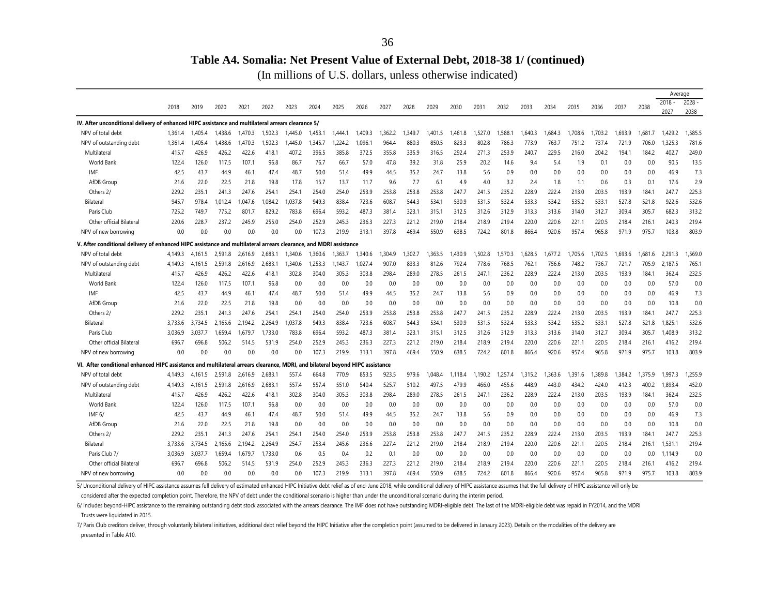#### **Table A4. Somalia: Net Present Value of External Debt, 2018-38 1/ (continued)**

(In millions of U.S. dollars, unless otherwise indicated)

|                                                                                                                   |                |                |               |                |               |               |              |               |                        |               |               |               |               |               |             |            |              |            |              |            |              | Average       |               |
|-------------------------------------------------------------------------------------------------------------------|----------------|----------------|---------------|----------------|---------------|---------------|--------------|---------------|------------------------|---------------|---------------|---------------|---------------|---------------|-------------|------------|--------------|------------|--------------|------------|--------------|---------------|---------------|
|                                                                                                                   | 2018           | 2019           | 2020          | 2021           | 2022          | 2023          | 2024         | 2025          | 2026                   | 2027          | 2028          | 2029          | 2030          | 2031          | 2032        | 2033       | 2034         | 2035       | 2036         | 2037       | 2038         | $2018 -$      | $2028 -$      |
|                                                                                                                   |                |                |               |                |               |               |              |               |                        |               |               |               |               |               |             |            |              |            |              |            |              | 2027          | 2038          |
| IV. After unconditional delivery of enhanced HIPC assistance and multilateral arrears clearance 5/                |                |                |               |                |               |               |              |               |                        |               |               |               |               |               |             |            |              |            |              |            |              |               |               |
| NPV of total debt                                                                                                 | 1.361.4        | 1.405.4        | 1,438.6       | 1,470.3        | 1.502.3       | 1.445.0       | 1,453.1      | 1.444.1       | 1.409.3                | .362.2        | 1.349.7       | 1.401.5       | 1.461.8       | .527.0        | 1.588.7     | 1.640.3    | 1.684.3      | 1.708.6    | .703.2       | 1.693.9    | 1.681.7      | 1.429.2       | 1,585.5       |
| NPV of outstanding debt                                                                                           | 1,361.4        | 1,405.4        | 1.438.6       | 1,470.3        | 1,502.3       | 1.445.0       | 1.345.7      | 1,224.2       | 1.096.                 | 964.4         | 880.3         | 850.5         | 823.3         | 802.8         | 786.3       | 773.9      | 763.7        | 751.2      | 737.4        | 721.9      | 706.0        | 1,325.3       | 781.6         |
| Multilateral<br><b>World Bank</b>                                                                                 | 415.7<br>122.4 | 426.9<br>126.0 | 426.2         | 422.6<br>107.1 | 418.1<br>96.8 | 407.2<br>86.7 | 396.5        | 385.8<br>66.7 | 372.5<br>57.0          | 355.8<br>47.8 | 335.9<br>39.2 | 316.5<br>31.8 | 292.4<br>25.9 | 271.3<br>20.2 | 253.9       | 240.7      | 229.5<br>5.4 | 216.0      | 204.2<br>0.1 | 194.1      | 184.2<br>0.0 | 402.7<br>90.5 | 249.0<br>13.5 |
| IMF                                                                                                               | 42.5           | 43.7           | 117.5<br>44.9 | 46.1           | 47.4          | 48.7          | 76.7<br>50.0 | 51.4          | 49.9                   | 44.5          | 35.2          | 24.7          | 13.8          | 5.6           | 14.6<br>0.9 | 9.4<br>0.0 | 0.0          | 1.9<br>0.0 | 0.0          | 0.0<br>0.0 | 0.0          | 46.9          | 7.3           |
| AfDB Group                                                                                                        | 21.6           | 22.0           | 22.5          | 21.8           | 19.8          | 17.8          | 15.7         | 13.7          | 11.7                   | 9.6           | 7.7           | 6.1           | 4.9           | 4.0           | 3.2         | 2.4        | 1.8          | 1.1        | 0.6          | 0.3        | 0.1          | 17.6          | 2.9           |
| Others 2/                                                                                                         | 229.2          | 235.1          | 241.3         | 247.6          | 254.1         | 254.1         | 254.0        | 254.0         | 253.9                  | 253.8         | 253.8         | 253.8         | 247.7         | 241.5         | 235.2       | 228.9      | 222.4        | 213.0      | 203.5        | 193.9      | 184.1        | 247.7         | 225.3         |
| Bilateral                                                                                                         | 945.7          | 978.4          | 1.012.4       | 1.047.6        | .084.2        | .037.8        | 949.3        | 838.4         | 723.6                  | 608.7         | 544.3         | 534.1         | 530.9         | 531.5         | 532.4       | 533.3      | 534.2        | 535.2      | 533.1        | 527.8      | 521.8        | 922.6         | 532.6         |
| Paris Club                                                                                                        | 725.2          | 749.7          | 775.2         | 801.7          | 829.2         | 783.8         | 696.4        | 593.2         | 487.3                  | 381.4         | 323.1         | 315.1         | 312.5         | 312.6         | 312.9       | 313.3      | 313.6        | 314.0      | 312.7        | 309.4      | 305.7        | 682.3         | 313.2         |
| Other official Bilateral                                                                                          | 220.6          | 228.7          | 237.2         | 245.9          | 255.0         | 254.0         | 252.9        | 245.3         | 236.3                  | 227.3         | 221.2         | 219.0         | 218.4         | 218.9         | 219.4       | 220.0      | 220.6        | 221.1      | 220.5        | 218.4      | 216.1        | 240.3         | 219.4         |
| NPV of new borrowing                                                                                              | 0.0            | 0.0            | 0.0           | 0.0            | 0.0           | 0.0           | 107.3        | 219.9         | 313.1                  | 397.8         | 469.4         | 550.9         | 638.5         | 724.2         | 801.8       | 866.4      | 920.6        | 957.4      | 965.8        | 971.9      | 975.7        | 103.8         | 803.9         |
|                                                                                                                   |                |                |               |                |               |               |              |               |                        |               |               |               |               |               |             |            |              |            |              |            |              |               |               |
| V. After conditional delivery of enhanced HIPC assistance and multilateral arrears clearance, and MDRI assistance |                |                |               |                |               |               |              |               |                        |               |               |               |               |               |             |            |              |            |              |            |              |               |               |
| NPV of total debt                                                                                                 | 4,149.3        | 4,161.5        | 2.591.8       | 2,616.9        | 2,683.1       | 1,340.6       | 1.360.6      | 1,363.7       | 1,340.6                | 1,304.9       | 1,302.7       | 1,363.5       | 1,430.9       | ,502.8        | 1,570.3     | 1,628.5    | 1.677.2      | ,705.6     | ,702.5       | 1.693.6    | 1,681.6      | 2.291.3       | 1,569.0       |
| NPV of outstanding debt                                                                                           | 4.149.3        | 4.161.5        | 2.591.8       | 2.616.9        | 2.683.1       | 1.340.6       | 1.253.3      | 1.143.7       | 1.027.4                | 907.0         | 833.3         | 812.6         | 792.4         | 778.6         | 768.5       | 762.1      | 756.6        | 748.2      | 736.7        | 721.7      | 705.9        | 2.187.5       | 765.1         |
| Multilateral                                                                                                      | 415.7          | 426.9          | 426.2         | 422.6          | 418.1         | 302.8         | 304.0        | 305.3         | 303.8                  | 298.4         | 289.0         | 278.5         | 261.5         | 247.1         | 236.2       | 228.9      | 222.4        | 213.0      | 203.5        | 193.9      | 184.1        | 362.4         | 232.5         |
| <b>World Bank</b>                                                                                                 | 122.4          | 126.0          | 117.5         | 107.1          | 96.8          | 0.0           | 0.0          | 0.0           | 0.0                    | 0.0           | 0.0           | 0.0           | 0.0           | 0.0           | 0.0         | 0.0        | 0.0          | 0.0        | 0.0          | 0.0        | 0.0          | 57.0          | 0.0           |
| IMF                                                                                                               | 42.5           | 43.7           | 44.9          | 46.1           | 47.4          | 48.7          | 50.0         | 51.4          | 49.9                   | 44.5          | 35.2          | 24.7          | 13.8          | 5.6           | 0.9         | 0.0        | 0.0          | 0.0        | 0.0          | 0.0        | 0.0          | 46.9          | 7.3           |
| AfDB Group                                                                                                        | 21.6           | 22.0           | 22.5          | 21.8           | 19.8          | 0.0           | 0.0          | 0.0           | 0.0                    | 0.0           | 0.0           | 0.0           | 0.0           | 0.0           | 0.0         | 0.0        | 0.0          | 0.0        | 0.0          | 0.0        | 0.0          | 10.8          | 0.0           |
| Others 2/                                                                                                         | 229.2          | 235.1          | 241.3         | 247.6          | 254.1         | 254.1         | 254.0        | 254.0         | 253.9                  | 253.8         | 253.8         | 253.8         | 247.7         | 241.5         | 235.2       | 228.9      | 222.4        | 213.0      | 203.5        | 193.9      | 184.1        | 247.7         | 225.3         |
| Bilateral                                                                                                         | 3,733.6        | 3,734.5        | 2,165.6       | 2.194.2        | 2.264.9       | 037.8         | 949.3        | 838.4         | 723.6                  | 608.7         | 544.3         | 534.1         | 530.9         | 531.5         | 532.4       | 533.3      | 534.2        | 535.2      | 533.1        | 527.8      | 521.8        | 1,825.        | 532.6         |
| Paris Club                                                                                                        | 3,036.9        | 3,037.7        | 1,659.4       | 1,679.7        | 1,733.0       | 783.8         | 696.4        | 593.2         | 487.3                  | 381.4         | 323.1         | 315.1         | 312.5         | 312.6         | 312.9       | 313.3      | 313.6        | 314.0      | 312.7        | 309.4      | 305.7        | 1,408.9       | 313.2         |
| Other official Bilateral                                                                                          | 696.7          | 696.8          | 506.2         | 514.5          | 531.9         | 254.0         | 252.9        | 245.3         | 236.3                  | 227.3         | 221.2         | 219.0         | 218.4         | 218.9         | 219.4       | 220.0      | 220.6        | 221.1      | 220.5        | 218.4      | 216.1        | 416.2         | 219.4         |
| NPV of new borrowing                                                                                              | 0.0            | 0.0            | 0.0           | 0.0            | 0.0           | 0.0           | 107.3        | 219.9         | 313.1                  | 397.8         | 469.4         | 550.9         | 638.5         | 724.2         | 801.8       | 866.4      | 920.6        | 957.4      | 965.8        | 971.9      | 975.7        | 103.8         | 803.9         |
| VI. After conditional enhanced HIPC assistance and multilateral arrears clearance, MDRI, and bilateral            |                |                |               |                |               |               |              |               | beyond HIPC assistance |               |               |               |               |               |             |            |              |            |              |            |              |               |               |
| NPV of total debt                                                                                                 | 4.149.3        | 4.161.5        | 2.591.8       | 2.616.9        | 2.683.1       | 557.4         | 664.8        | 770.9         | 853.5                  | 923.5         | 979.6         | .048.4        | l.118.4       | 1.190.2       | .257.4      | 1.315.2    | 1.363.6      | .391.6     | .389.8       | .384.2     | 1.375.9      | 1.997.3       | 1,255.9       |
| NPV of outstanding debt                                                                                           | 4.149.3        | 4,161.5        | 2.591.8       | 2.616.9        | 2.683.7       | 557.4         | 557.4        | 551.0         | 540.4                  | 525.7         | 510.2         | 497.5         | 479.9         | 466.0         | 455.6       | 448.9      | 443.0        | 434.2      | 424.0        | 412.3      | 400.2        | 1.893.4       | 452.0         |
| Multilateral                                                                                                      | 415.7          | 426.9          | 426.2         | 422.6          | 418.1         | 302.8         | 304.0        | 305.3         | 303.8                  | 298.4         | 289.0         | 278.5         | 261.5         | 247.1         | 236.2       | 228.9      | 222.4        | 213.0      | 203.5        | 193.9      | 184.1        | 362.4         | 232.5         |
| <b>World Bank</b>                                                                                                 | 122.4          | 126.0          | 117.5         | 107.1          | 96.8          | 0.0           | 0.0          | 0.0           | 0.0                    | 0.0           | 0.0           | 0.0           | 0.0           | 0.0           | 0.0         | 0.0        | 0.0          | 0.0        | 0.0          | 0.0        | 0.0          | 57.0          | 0.0           |
| IMF $6/$                                                                                                          | 42.5           | 43.7           | 44.9          | 46.1           | 47.4          | 48.7          | 50.0         | 51.4          | 49.9                   | 44.5          | 35.2          | 24.7          | 13.8          | 5.6           | 0.9         | 0.0        | 0.0          | 0.0        | 0.0          | 0.0        | 0.0          | 46.9          | 7.3           |
| AfDB Group                                                                                                        | 21.6           | 22.0           | 22.5          | 21.8           | 19.8          | 0.0           | 0.0          | 0.0           | 0.0                    | 0.0           | 0.0           | 0.0           | 0.0           | 0.0           | 0.0         | 0.0        | 0.0          | 0.0        | 0.0          | 0.0        | 0.0          | 10.8          | 0.0           |
| Others 2/                                                                                                         | 229.2          | 235.1          | 241.3         | 247.6          | 254.1         | 254.1         | 254.0        | 254.0         | 253.9                  | 253.8         | 253.8         | 253.8         | 247.7         | 241.5         | 235.2       | 228.9      | 222.4        | 213.0      | 203.5        | 193.9      | 184.1        | 247.7         | 225.3         |
| Bilateral                                                                                                         | 3.733.6        | 3.734.5        | 2.165.6       | 2.194.2        | 2.264.9       | 254.7         | 253.4        | 245.6         | 236.6                  | 227.4         | 221.2         | 219.0         | 218.4         | 218.9         | 219.4       | 220.0      | 220.6        | 221.1      | 220.5        | 218.4      | 216.1        | 1.531.1       | 219.4         |
| Paris Club 7/                                                                                                     | 3.036.9        | 3.037.7        | 1.659.4       | 1.679.7        | .733.0        | 0.6           | 0.5          | 0.4           | 0.2                    | 0.1           | 0.0           | 0.0           | 0.0           | 0.0           | 0.0         | 0.0        | 0.0          | 0.0        | 0.0          | 0.0        | 0.0          | 1.114.9       | 0.0           |
| Other official Bilateral                                                                                          | 696.7          | 696.8          | 506.2         | 514.5          | 531.9         | 254.0         | 252.9        | 245.3         | 236.3                  | 227.3         | 221.2         | 219.0         | 218.4         | 218.9         | 219.4       | 220.0      | 220.6        | 221.1      | 220.5        | 218.4      | 216.1        | 416.2         | 219.4         |
| NPV of new borrowing                                                                                              | 0.0            | 0.0            | 0.0           | 0.0            | 0.0           | 0.0           | 107.3        | 219.9         | 313.1                  | 397.8         | 469.4         | 550.9         | 638.5         | 724.2         | 801.8       | 866.4      | 920.6        | 957.4      | 965.8        | 971.9      | 975.7        | 103.8         | 803.9         |

5/ Unconditional delivery of HIPC assistance assumes full delivery of estimated enhanced HIPC Initiative debt relief as of end-June 2018, while conditional delivery of HIPC assistance assumes that the full delivery of HIPC

considered after the expected completion point. Therefore, the NPV of debt under the conditional scenario is higher than under the unconditional scenario during the interim period.

6/ Includes beyond-HIPC assistance to the remaining outstanding debt stock associated with the arrears clearance. The IMF does not have outstanding MDRI-eligible debt. The last of the MDRI-eligible debt was repaid in FY201 Trusts were liquidated in 2015.

presented in Table A10. 7/ Paris Club creditors deliver, through voluntarily bilateral initiatives, additional debt relief beyond the HIPC Initiative after the completion point (assumed to be delivered in Janaury 2023). Details on the modalities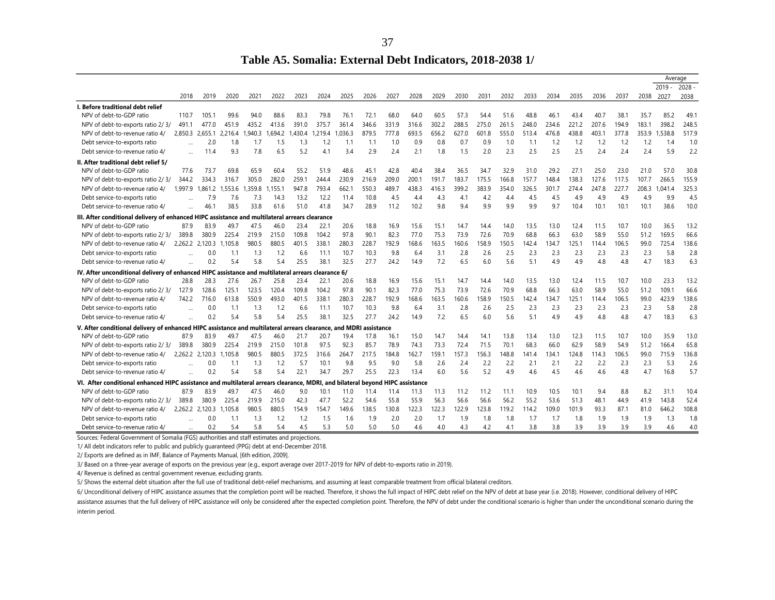**Table A5. Somalia: External Debt Indicators, 2018-2038 1/**

|                                                                                                                                                                                                                                         |              | Average  |
|-----------------------------------------------------------------------------------------------------------------------------------------------------------------------------------------------------------------------------------------|--------------|----------|
|                                                                                                                                                                                                                                         | $2019 -$     | $2028 -$ |
| 2027<br>2029<br>2030<br>2031<br>2032<br>2035<br>2019<br>2020<br>2021<br>2022<br>2023<br>2024<br>2025<br>2026<br>2028<br>2033<br>2034<br>2036<br>2037<br>2018<br>2038                                                                    | 2027         | 2038     |
| I. Before traditional debt relief                                                                                                                                                                                                       |              |          |
| 79.8<br>76.1<br>72.1<br>57.3<br>NPV of debt-to-GDP ratio<br>110.7<br>105.1<br>99.6<br>94.0<br>88.6<br>83.3<br>68.0<br>64.0<br>60.5<br>54.4<br>51.6<br>48.8<br>46.1<br>43.4<br>40.7<br>38.1<br>35.7                                      | 85.2         | 49.1     |
| 361.4<br>331.9<br>302.2<br>288.5<br>248.0<br>207.6<br>183.1<br>435.2<br>391.0<br>375.7<br>346.6<br>316.6<br>275.0<br>261.5<br>234.6<br>221.2<br>194.9<br>NPV of debt-to-exports ratio 2/3/<br>491.1<br>477.0<br>451.9<br>413.6          | 398.2        | 248.5    |
| ,036.3<br>693.5<br>656.2<br>627.0<br>601.8<br>513.4<br>438.8<br>403.1<br>377.8<br>353.9<br>NPV of debt-to-revenue ratio 4/<br>2.850.3<br>,940.3<br>.694.2<br>879.5<br>777.8<br>555.0<br>476.8<br>2.655.1<br>.430.4<br>,219.4<br>2.216.4 | 1,538.8      | 517.9    |
| 0.9<br>0.8<br>0.7<br>0.9<br>1.1<br>1.2<br>1.2<br>1.2<br>Debt service-to-exports ratio<br>2.0<br>1.8<br>1.5<br>1.3<br>1.1<br>1.0<br>1.0<br>1.2<br>1.7<br>1.2<br>1.1                                                                      | 1.2<br>1.4   | 1.0      |
| 6.5<br>2.0<br>2.5<br>2.5<br>2.4<br>9.3<br>7.8<br>5.2<br>3.4<br>2.9<br>2.4<br>2.3<br>2.5<br>2.4<br>Debt service-to-revenue ratio 4/<br>11.4<br>2.1<br>1.8<br>1.5<br>4.1<br>$\ddotsc$                                                     | 5.9<br>2.4   | 2.2      |
| II. After traditional debt relief 5/                                                                                                                                                                                                    |              |          |
| NPV of debt-to-GDP ratio<br>73.7<br>60.4<br>45.1<br>29.2<br>23.0<br>77.6<br>69.8<br>65.9<br>55.2<br>51.9<br>48.6<br>42.8<br>40.4<br>38.4<br>36.5<br>32.9<br>31.0<br>27.1<br>25.0<br>21.0<br>34.7                                        | 57.0         | 30.8     |
| 230.9<br>334.3<br>305.0<br>282.0<br>259.1<br>244.4<br>216.9<br>209.0<br>200.1<br>191.7<br>183.7<br>157.7<br>148.4<br>138.3<br>127.6<br>117.5<br>NPV of debt-to-exports ratio 2/3/<br>344.2<br>316.7<br>175.5<br>166.8<br>107.7          | 266.5        | 155.9    |
| 662.1<br>489.7<br>227.7<br>1.997.9<br>.861.2<br>.359.8<br>155.1<br>793.4<br>550.3<br>438.3<br>416.3<br>399.2<br>383.9<br>354.0<br>326.5<br>301.7<br>274.4<br>247.8<br>208.3<br>NPV of debt-to-revenue ratio 4/<br>947.8<br>.553.6       | 1.041.4      | 325.3    |
| 10.8<br>4.5<br>4.9<br>Debt service-to-exports ratio<br>7.9<br>7.3<br>14.3<br>13.2<br>12.2<br>11.4<br>4.3<br>4.1<br>4.2<br>4.5<br>4.5<br>4.9<br>4.9<br>7.6<br>4.4<br>4.4                                                                 | 4.9<br>9.9   | 4.5      |
| 33.8<br>28.9<br>9.9<br>46.1<br>38.5<br>61.6<br>51.0<br>41.8<br>34.7<br>11.2<br>10.2<br>9.8<br>9.4<br>9.9<br>9.9<br>9.7<br>10.4<br>10.1<br>10.1<br>10.1<br>Debt service-to-revenue ratio 4/                                              | 38.6         | 10.0     |
| III. After conditional delivery of enhanced HIPC assistance and multilateral arrears clearance                                                                                                                                          |              |          |
| NPV of debt-to-GDP ratio<br>87.9<br>20.6<br>18.8<br>16.9<br>15.1<br>14.7<br>13.5<br>13.0<br>10.7<br>10.0<br>83.9<br>49.7<br>46.0<br>23.4<br>22.1<br>15.6<br>14.4<br>14.0<br>12.4<br>11.5<br>47.5                                        | 36.5         | 13.2     |
| 97.8<br>90.1<br>77.0<br>75.3<br>73.9<br>70.9<br>68.8<br>58.9<br>51.2<br>389.8<br>380.9<br>225.4<br>219.9<br>215.0<br>109.8<br>104.2<br>82.3<br>72.6<br>66.3<br>63.0<br>55.0<br>NPV of debt-to-exports ratio 2/3/                        | 169.5        | 66.6     |
| 142.4<br>2,262.2 2,120.3<br>980.5<br>880.5<br>401.5<br>338.1<br>280.3<br>228.7<br>192.9<br>168.6<br>163.5<br>160.6<br>158.9<br>150.5<br>134.7<br>125.1<br>106.5<br>99.0<br>NPV of debt-to-revenue ratio 4/<br>.105.8<br>114.4           | 725.4        | 138.6    |
| 0.0<br>1.2<br>6.6<br>10.7<br>10.3<br>9.8<br>3.1<br>2.8<br>2.6<br>2.3<br>2.3<br>2.3<br>2.3<br>2.3<br>Debt service-to-exports ratio<br>1.3<br>11.1<br>6.4<br>2.5<br>1.1                                                                   | 2.3<br>5.8   | 2.8      |
| 0.2<br>5.8<br>5.4<br>25.5<br>38.1<br>32.5<br>27.7<br>7.2<br>5.1<br>4.9<br>4.8<br>5.4<br>24.2<br>14.9<br>6.5<br>6.0<br>5.6<br>4.9<br>4.8<br>Debt service-to-revenue ratio 4/<br>$\ddotsc$                                                | 4.7<br>18.3  | 6.3      |
| IV. After unconditional delivery of enhanced HIPC assistance and multilateral arrears clearance 6/                                                                                                                                      |              |          |
| 25.8<br>NPV of debt-to-GDP ratio<br>28.8<br>28.3<br>27.6<br>23.4<br>22.7<br>20.6<br>18.8<br>16.9<br>14.7<br>13.5<br>10.7<br>26.7<br>15.6<br>15.1<br>14.4<br>14.0<br>13.0<br>12.4<br>11.5                                                | 10.0<br>23.3 | 13.2     |
| 123.5<br>120.4<br>97.8<br>90.1<br>82.3<br>77.0<br>75.3<br>73.9<br>70.9<br>68.8<br>66.3<br>58.9<br>55.0<br>51.2<br>127.9<br>128.6<br>125.1<br>109.8<br>104.2<br>72.6<br>63.0<br>NPV of debt-to-exports ratio 2/3/                        | 109.1        | 66.6     |
| 716.0<br>550.9<br>493.0<br>338.1<br>280.3<br>228.7<br>192.9<br>163.5<br>160.6<br>150.5<br>142.4<br>134.7<br>99.0<br>NPV of debt-to-revenue ratio 4/<br>742.2<br>613.8<br>401.5<br>168.6<br>158.9<br>125.1<br>106.5<br>114.4             | 423.9        | 138.6    |
| 10.3<br>0.0<br>6.6<br>10.7<br>9.8<br>3.1<br>2.8<br>2.6<br>2.3<br>2.3<br>2.3<br>2.3<br>1.1<br>1.3<br>1.2<br>11.1<br>6.4<br>2.5<br>2.3<br>Debt service-to-exports ratio                                                                   | 2.3<br>5.8   | 2.8      |
| 0.2<br>38.1<br>27.7<br>7.2<br>5.4<br>5.8<br>5.4<br>25.5<br>32.5<br>24.2<br>6.5<br>6.0<br>5.6<br>5.1<br>4.9<br>4.9<br>4.8<br>4.8<br>14.9<br>Debt service-to-revenue ratio 4/                                                             | 4.7<br>18.3  | 6.3      |
| V. After conditional delivery of enhanced HIPC assistance and multilateral arrears clearance, and MDRI assistance                                                                                                                       |              |          |
| NPV of debt-to-GDP ratio<br>20.7<br>10.7<br>10.0<br>87.9<br>83.9<br>49.7<br>47.5<br>46.0<br>21.7<br>19.4<br>17.8<br>16.1<br>15.0<br>14.7<br>14.4<br>14.1<br>13.8<br>13.4<br>13.0<br>12.3<br>11.5                                        | 35.9         | 13.0     |
| 85.7<br>74.3<br>72.4<br>70.1<br>66.0<br>58.9<br>51.2<br>380.9<br>225.4<br>219.9<br>215.0<br>101.8<br>97.5<br>92.3<br>78.9<br>73.3<br>71.5<br>68.3<br>62.9<br>54.9<br>NPV of debt-to-exports ratio 2/3/<br>389.8                         | 166.4        | 65.8     |
| 2,262.2<br>980.5<br>880.5<br>217.5<br>184.8<br>159.1<br>157.3<br>148.8<br>106.5<br>99.0<br>NPV of debt-to-revenue ratio 4/<br>2,120.3<br>.105.8<br>372.5<br>316.6<br>264.7<br>162.7<br>156.3<br>141.4<br>134.1<br>124.8<br>114.3        | 715.9        | 136.8    |
| 9.5<br>2.3<br>0.0<br>5.7<br>10.1<br>9.8<br>9.0<br>5.8<br>2.6<br>2.4<br>2.2<br>2.2<br>2.1<br>2.1<br>2.2<br>2.2<br>Debt service-to-exports ratio<br>1.3<br>1.2<br>1.1                                                                     | 5.3<br>2.3   | 2.6      |
| 0.2<br>5.4<br>5.8<br>5.4<br>22.1<br>29.7<br>25.5<br>22.3<br>5.6<br>5.2<br>4.9<br>4.6<br>34.7<br>13.4<br>6.0<br>4.6<br>4.5<br>4.6<br>4.8<br>Debt service-to-revenue ratio 4/                                                             | 4.7<br>16.8  | 5.7      |
| VI. After conditional enhanced HIPC assistance and multilateral arrears clearance, MDRI, and<br>beyond HIPC assistance<br>bilateral                                                                                                     |              |          |
| NPV of debt-to-GDP ratio<br>87.9<br>46.0<br>10.9<br>10.5<br>10.1<br>83.9<br>49.7<br>47.5<br>9.0<br>10.1<br>11.3<br>11.2<br>11.2<br>11.1<br>9.4<br>8.8<br>11.0<br>11.4<br>11.4<br>11.3                                                   | 8.2<br>31.1  | 10.4     |
| 42.3<br>47.7<br>52.2<br>55.9<br>56.3<br>56.6<br>56.2<br>53.6<br>48.1<br>41.9<br>NPV of debt-to-exports ratio 2/3/<br>389.8<br>380.9<br>225.4<br>219.9<br>215.0<br>54.6<br>55.8<br>56.6<br>55.2<br>51.3<br>44.9                          | 143.8        | 52.4     |
| NPV of debt-to-revenue ratio 4/<br>980.5<br>880.5<br>154.9<br>149.6<br>138.5<br>130.8<br>122.3<br>122.3<br>122.9<br>123.8<br>109.0<br>101.9<br>93.3<br>87.1<br>81.0<br>2,262.2 2,120.3<br>.105.8<br>154.7<br>119.2<br>114.2             | 646.2        | 108.8    |
| 0.0<br>1.9<br>2.0<br>Debt service-to-exports ratio<br>1.3<br>1.2<br>1.2<br>1.5<br>2.0<br>1.7<br>1.9<br>1.8<br>1.8<br>1.7<br>1.7<br>1.8<br>1.9<br>1.9<br>1.1<br>1.6                                                                      | 1.9<br>1.3   | 1.8      |
| 5.4<br>0.2<br>5.4<br>5.8<br>4.5<br>5.3<br>5.0<br>5.0<br>5.0<br>4.3<br>4.2<br>3.8<br>3.8<br>3.9<br>3.9<br>3.9<br>4.6<br>4.0<br>4.1<br>Debt service-to-revenue ratio 4/                                                                   | 3.9<br>4.6   | 4.0      |

Sources: Federal Government of Somalia (FGS) authorities and staff estimates and projections.

1/ All debt indicators refer to public and publicly guaranteed (PPG) debt at end-December 2018.

2/ Exports are defined as in IMF, Balance of Payments Manual, [6th edition, 2009].

3/ Based on a three-year average of exports on the previous year (e.g., export average over 2017-2019 for NPV of debt-to-exports ratio in 2019).

4/ Revenue is defined as central government revenue, excluding grants.

5/ Shows the external debt situation after the full use of traditional debt-relief mechanisms, and assuming at least comparable treatment from official bilateral creditors.

6/ Unconditional delivery of HIPC assistance assumes that the completion point will be reached. Therefore, it shows the full impact of HIPC debt relief on the NPV of debt at base year (i.e. 2018). However, conditional deli

assistance assumes that the full delivery of HIPC assistance will only be considered after the expected completion point. Therefore, the NPV of debt under the conditional scenario is higher than under the unconditional sce interim period.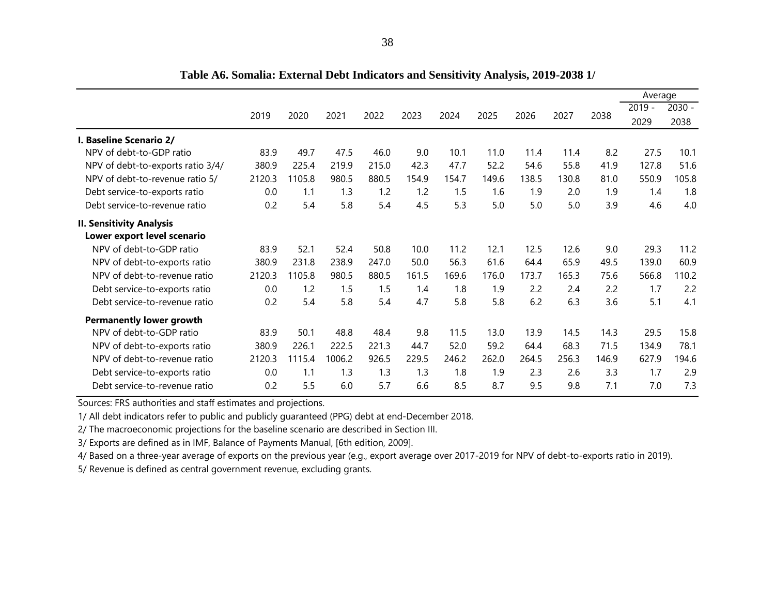|                                   |        |        |        |       |       |       |       |       |       |       | Average  |          |
|-----------------------------------|--------|--------|--------|-------|-------|-------|-------|-------|-------|-------|----------|----------|
|                                   |        |        |        |       |       |       |       |       |       |       | $2019 -$ | $2030 -$ |
|                                   | 2019   | 2020   | 2021   | 2022  | 2023  | 2024  | 2025  | 2026  | 2027  | 2038  | 2029     | 2038     |
| I. Baseline Scenario 2/           |        |        |        |       |       |       |       |       |       |       |          |          |
| NPV of debt-to-GDP ratio          | 83.9   | 49.7   | 47.5   | 46.0  | 9.0   | 10.1  | 11.0  | 11.4  | 11.4  | 8.2   | 27.5     | 10.1     |
| NPV of debt-to-exports ratio 3/4/ | 380.9  | 225.4  | 219.9  | 215.0 | 42.3  | 47.7  | 52.2  | 54.6  | 55.8  | 41.9  | 127.8    | 51.6     |
| NPV of debt-to-revenue ratio 5/   | 2120.3 | 1105.8 | 980.5  | 880.5 | 154.9 | 154.7 | 149.6 | 138.5 | 130.8 | 81.0  | 550.9    | 105.8    |
| Debt service-to-exports ratio     | 0.0    | 1.1    | 1.3    | 1.2   | 1.2   | 1.5   | 1.6   | 1.9   | 2.0   | 1.9   | 1.4      | 1.8      |
| Debt service-to-revenue ratio     | 0.2    | 5.4    | 5.8    | 5.4   | 4.5   | 5.3   | 5.0   | 5.0   | 5.0   | 3.9   | 4.6      | 4.0      |
| <b>II. Sensitivity Analysis</b>   |        |        |        |       |       |       |       |       |       |       |          |          |
| Lower export level scenario       |        |        |        |       |       |       |       |       |       |       |          |          |
| NPV of debt-to-GDP ratio          | 83.9   | 52.1   | 52.4   | 50.8  | 10.0  | 11.2  | 12.1  | 12.5  | 12.6  | 9.0   | 29.3     | 11.2     |
| NPV of debt-to-exports ratio      | 380.9  | 231.8  | 238.9  | 247.0 | 50.0  | 56.3  | 61.6  | 64.4  | 65.9  | 49.5  | 139.0    | 60.9     |
| NPV of debt-to-revenue ratio      | 2120.3 | 1105.8 | 980.5  | 880.5 | 161.5 | 169.6 | 176.0 | 173.7 | 165.3 | 75.6  | 566.8    | 110.2    |
| Debt service-to-exports ratio     | 0.0    | 1.2    | 1.5    | 1.5   | 1.4   | 1.8   | 1.9   | 2.2   | 2.4   | 2.2   | 1.7      | 2.2      |
| Debt service-to-revenue ratio     | 0.2    | 5.4    | 5.8    | 5.4   | 4.7   | 5.8   | 5.8   | 6.2   | 6.3   | 3.6   | 5.1      | 4.1      |
| <b>Permanently lower growth</b>   |        |        |        |       |       |       |       |       |       |       |          |          |
| NPV of debt-to-GDP ratio          | 83.9   | 50.1   | 48.8   | 48.4  | 9.8   | 11.5  | 13.0  | 13.9  | 14.5  | 14.3  | 29.5     | 15.8     |
| NPV of debt-to-exports ratio      | 380.9  | 226.1  | 222.5  | 221.3 | 44.7  | 52.0  | 59.2  | 64.4  | 68.3  | 71.5  | 134.9    | 78.1     |
| NPV of debt-to-revenue ratio      | 2120.3 | 1115.4 | 1006.2 | 926.5 | 229.5 | 246.2 | 262.0 | 264.5 | 256.3 | 146.9 | 627.9    | 194.6    |
| Debt service-to-exports ratio     | 0.0    | 1.1    | 1.3    | 1.3   | 1.3   | 1.8   | 1.9   | 2.3   | 2.6   | 3.3   | 1.7      | 2.9      |
| Debt service-to-revenue ratio     | 0.2    | 5.5    | 6.0    | 5.7   | 6.6   | 8.5   | 8.7   | 9.5   | 9.8   | 7.1   | 7.0      | 7.3      |

**Table A6. Somalia: External Debt Indicators and Sensitivity Analysis, 2019-2038 1/**

Sources: FRS authorities and staff estimates and projections.

1/ All debt indicators refer to public and publicly guaranteed (PPG) debt at end-December 2018.

2/ The macroeconomic projections for the baseline scenario are described in Section III.

3/ Exports are defined as in IMF, Balance of Payments Manual, [6th edition, 2009].

4/ Based on a three-year average of exports on the previous year (e.g., export average over 2017-2019 for NPV of debt-to-exports ratio in 2019).

5/ Revenue is defined as central government revenue, excluding grants.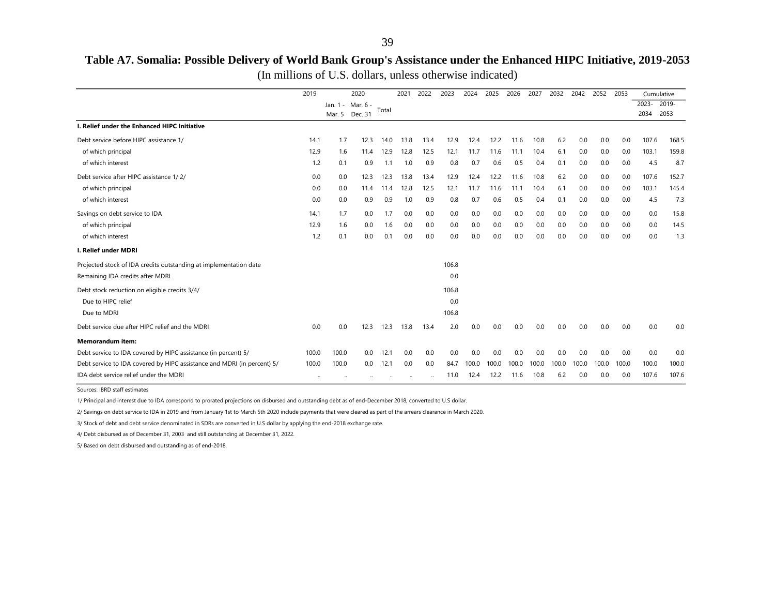# **Table A7. Somalia: Possible Delivery of World Bank Group's Assistance under the Enhanced HIPC Initiative, 2019-2053**

|  |  |  |  |  |  |  | (In millions of U.S. dollars, unless otherwise indicated) |
|--|--|--|--|--|--|--|-----------------------------------------------------------|
|--|--|--|--|--|--|--|-----------------------------------------------------------|

|                                                                         | 2019  |        | 2020              |       | 2021 | 2022 | 2023  | 2024  | 2025  | 2026  | 2027  | 2032  | 2042  | 2052  | 2053  |          | Cumulative |
|-------------------------------------------------------------------------|-------|--------|-------------------|-------|------|------|-------|-------|-------|-------|-------|-------|-------|-------|-------|----------|------------|
|                                                                         |       |        | Jan. 1 - Mar. 6 - | Total |      |      |       |       |       |       |       |       |       |       |       | $2023 -$ | 2019-      |
|                                                                         |       | Mar. 5 | Dec. 31           |       |      |      |       |       |       |       |       |       |       |       |       | 2034     | 2053       |
| I. Relief under the Enhanced HIPC Initiative                            |       |        |                   |       |      |      |       |       |       |       |       |       |       |       |       |          |            |
| Debt service before HIPC assistance 1/                                  | 14.1  | 1.7    | 12.3              | 14.0  | 13.8 | 13.4 | 12.9  | 12.4  | 12.2  | 11.6  | 10.8  | 6.2   | 0.0   | 0.0   | 0.0   | 107.6    | 168.5      |
| of which principal                                                      | 12.9  | 1.6    | 11.4              | 12.9  | 12.8 | 12.5 | 12.1  | 11.7  | 11.6  | 11.1  | 10.4  | 6.1   | 0.0   | 0.0   | 0.0   | 103.1    | 159.8      |
| of which interest                                                       | 1.2   | 0.1    | 0.9               | 1.1   | 1.0  | 0.9  | 0.8   | 0.7   | 0.6   | 0.5   | 0.4   | 0.1   | 0.0   | 0.0   | 0.0   | 4.5      | 8.7        |
| Debt service after HIPC assistance 1/2/                                 | 0.0   | 0.0    | 12.3              | 12.3  | 13.8 | 13.4 | 12.9  | 12.4  | 12.2  | 11.6  | 10.8  | 6.2   | 0.0   | 0.0   | 0.0   | 107.6    | 152.7      |
| of which principal                                                      | 0.0   | 0.0    | 11.4              | 11.4  | 12.8 | 12.5 | 12.1  | 11.7  | 11.6  | 11.1  | 10.4  | 6.1   | 0.0   | 0.0   | 0.0   | 103.1    | 145.4      |
| of which interest                                                       | 0.0   | 0.0    | 0.9               | 0.9   | 1.0  | 0.9  | 0.8   | 0.7   | 0.6   | 0.5   | 0.4   | 0.1   | 0.0   | 0.0   | 0.0   | 4.5      | 7.3        |
| Savings on debt service to IDA                                          | 14.1  | 1.7    | 0.0               | 1.7   | 0.0  | 0.0  | 0.0   | 0.0   | 0.0   | 0.0   | 0.0   | 0.0   | 0.0   | 0.0   | 0.0   | 0.0      | 15.8       |
| of which principal                                                      | 12.9  | 1.6    | 0.0               | 1.6   | 0.0  | 0.0  | 0.0   | 0.0   | 0.0   | 0.0   | 0.0   | 0.0   | 0.0   | 0.0   | 0.0   | 0.0      | 14.5       |
| of which interest                                                       | 1.2   | 0.1    | 0.0               | 0.1   | 0.0  | 0.0  | 0.0   | 0.0   | 0.0   | 0.0   | 0.0   | 0.0   | 0.0   | 0.0   | 0.0   | 0.0      | 1.3        |
| I. Relief under MDRI                                                    |       |        |                   |       |      |      |       |       |       |       |       |       |       |       |       |          |            |
| Projected stock of IDA credits outstanding at implementation date       |       |        |                   |       |      |      | 106.8 |       |       |       |       |       |       |       |       |          |            |
| Remaining IDA credits after MDRI                                        |       |        |                   |       |      |      | 0.0   |       |       |       |       |       |       |       |       |          |            |
| Debt stock reduction on eligible credits 3/4/                           |       |        |                   |       |      |      | 106.8 |       |       |       |       |       |       |       |       |          |            |
| Due to HIPC relief                                                      |       |        |                   |       |      |      | 0.0   |       |       |       |       |       |       |       |       |          |            |
| Due to MDRI                                                             |       |        |                   |       |      |      | 106.8 |       |       |       |       |       |       |       |       |          |            |
| Debt service due after HIPC relief and the MDRI                         | 0.0   | 0.0    | 12.3              | 12.3  | 13.8 | 13.4 | 2.0   | 0.0   | 0.0   | 0.0   | 0.0   | 0.0   | 0.0   | 0.0   | 0.0   | 0.0      | 0.0        |
| <b>Memorandum item:</b>                                                 |       |        |                   |       |      |      |       |       |       |       |       |       |       |       |       |          |            |
| Debt service to IDA covered by HIPC assistance (in percent) 5/          | 100.0 | 100.0  | 0.0               | 12.1  | 0.0  | 0.0  | 0.0   | 0.0   | 0.0   | 0.0   | 0.0   | 0.0   | 0.0   | 0.0   | 0.0   | 0.0      | 0.0        |
| Debt service to IDA covered by HIPC assistance and MDRI (in percent) 5/ | 100.0 | 100.0  | 0.0               | 12.1  | 0.0  | 0.0  | 84.7  | 100.0 | 100.0 | 100.0 | 100.0 | 100.0 | 100.0 | 100.0 | 100.0 | 100.0    | 100.0      |
| IDA debt service relief under the MDRI                                  |       |        |                   |       |      |      | 11.0  | 12.4  | 12.2  | 11.6  | 10.8  | 6.2   | 0.0   | 0.0   | 0.0   | 107.6    | 107.6      |

Sources: IBRD staff estimates

1/ Principal and interest due to IDA correspond to prorated projections on disbursed and outstanding debt as of end-December 2018, converted to U.S dollar.

2/ Savings on debt service to IDA in 2019 and from January 1st to March 5th 2020 include payments that were cleared as part of the arrears clearance in March 2020.

3/ Stock of debt and debt service denominated in SDRs are converted in U.S dollar by applying the end-2018 exchange rate.

4/ Debt disbursed as of December 31, 2003 and still outstanding at December 31, 2022.

5/ Based on debt disbursed and outstanding as of end-2018.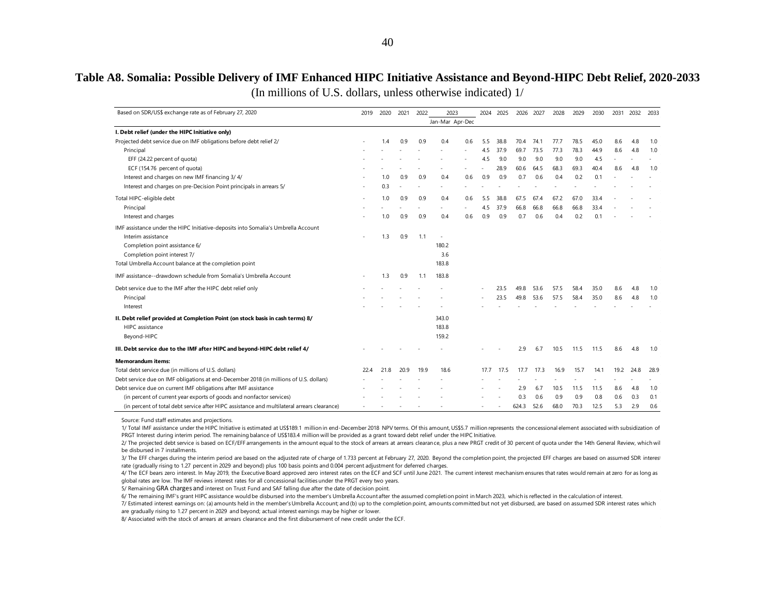# **Table A8. Somalia: Possible Delivery of IMF Enhanced HIPC Initiative Assistance and Beyond-HIPC Debt Relief, 2020-2033**

(In millions of U.S. dollars, unless otherwise indicated) 1/

| Based on SDR/US\$ exchange rate as of February 27, 2020                                     | 2019 | 2020 | 2021 | 2022 | 2023            |     | 2024 | 2025 | 2026  | 2027 | 2028 | 2029 | 2030 |      | 2031 2032 | 2033 |
|---------------------------------------------------------------------------------------------|------|------|------|------|-----------------|-----|------|------|-------|------|------|------|------|------|-----------|------|
|                                                                                             |      |      |      |      | Jan-Mar Apr-Dec |     |      |      |       |      |      |      |      |      |           |      |
| I. Debt relief (under the HIPC Initiative only)                                             |      |      |      |      |                 |     |      |      |       |      |      |      |      |      |           |      |
| Projected debt service due on IMF obligations before debt relief 2/                         |      | 1.4  | 0.9  | 0.9  | 0.4             | 0.6 | 5.5  | 38.8 | 70.4  | 74.1 | 77.7 | 78.5 | 45.0 | 8.6  | 4.8       | 1.0  |
| Principal                                                                                   |      |      |      |      |                 |     | 4.5  | 37.9 | 69.7  | 73.5 | 77.3 | 78.3 | 44.9 | 8.6  | 4.8       | 1.0  |
| EFF (24.22 percent of quota)                                                                |      |      |      |      |                 |     | 4.5  | 9.0  | 9.0   | 9.0  | 9.0  | 9.0  | 4.5  |      |           |      |
| ECF (154.76 percent of quota)                                                               |      |      |      |      |                 |     |      | 28.9 | 60.6  | 64.5 | 68.3 | 69.3 | 40.4 | 8.6  | 4.8       | 1.0  |
| Interest and charges on new IMF financing 3/4/                                              |      | 1.0  | 0.9  | 0.9  | 0.4             | 0.6 | 0.9  | 0.9  | 0.7   | 0.6  | 0.4  | 0.2  | 0.1  |      |           |      |
| Interest and charges on pre-Decision Point principals in arrears 5/                         |      | 0.3  |      |      |                 |     |      |      |       |      |      |      |      |      |           |      |
| Total HIPC-eligible debt                                                                    |      | 1.0  | 0.9  | 0.9  | 0.4             | 0.6 | 5.5  | 38.8 | 67.5  | 67.4 | 67.2 | 67.0 | 33.4 |      |           |      |
| Principal                                                                                   |      |      |      |      |                 |     | 4.5  | 37.9 | 66.8  | 66.8 | 66.8 | 66.8 | 33.4 |      |           |      |
| Interest and charges                                                                        |      | 1.0  | 0.9  | 0.9  | 0.4             | 0.6 | 0.9  | 0.9  | 0.7   | 0.6  | 0.4  | 0.2  | 0.1  |      |           |      |
| IMF assistance under the HIPC Initiative-deposits into Somalia's Umbrella Account           |      |      |      |      |                 |     |      |      |       |      |      |      |      |      |           |      |
| Interim assistance                                                                          |      | 1.3  | 0.9  | 1.1  | $\sim$          |     |      |      |       |      |      |      |      |      |           |      |
| Completion point assistance 6/                                                              |      |      |      |      | 180.2           |     |      |      |       |      |      |      |      |      |           |      |
| Completion point interest 7/                                                                |      |      |      |      | 3.6             |     |      |      |       |      |      |      |      |      |           |      |
| Total Umbrella Account balance at the completion point                                      |      |      |      |      | 183.8           |     |      |      |       |      |      |      |      |      |           |      |
| IMF assistance--drawdown schedule from Somalia's Umbrella Account                           |      | 1.3  | 0.9  | 1.1  | 183.8           |     |      |      |       |      |      |      |      |      |           |      |
| Debt service due to the IMF after the HIPC debt relief only                                 |      |      |      |      |                 |     |      | 23.5 | 49.8  | 53.6 | 57.5 | 58.4 | 35.0 | 8.6  | 4.8       | 1.0  |
| Principal                                                                                   |      |      |      |      |                 |     |      | 23.5 | 49.8  | 53.6 | 57.5 | 58.4 | 35.0 | 8.6  | 4.8       | 1.0  |
| Interest                                                                                    |      |      |      |      |                 |     |      |      |       |      |      |      |      |      |           |      |
| II. Debt relief provided at Completion Point (on stock basis in cash terms) 8/              |      |      |      |      | 343.0           |     |      |      |       |      |      |      |      |      |           |      |
| HIPC assistance                                                                             |      |      |      |      | 183.8           |     |      |      |       |      |      |      |      |      |           |      |
| Beyond-HIPC                                                                                 |      |      |      |      | 159.2           |     |      |      |       |      |      |      |      |      |           |      |
| III. Debt service due to the IMF after HIPC and beyond-HIPC debt relief 4/                  |      |      |      |      |                 |     |      |      | 2.9   | 6.7  | 10.5 | 11.5 | 11.5 | 8.6  | 4.8       | 1.0  |
| <b>Memorandum items:</b>                                                                    |      |      |      |      |                 |     |      |      |       |      |      |      |      |      |           |      |
| Total debt service due (in millions of U.S. dollars)                                        | 22.4 | 21.8 | 20.9 | 19.9 | 18.6            |     | 17.7 | 17.5 | 17.7  | 17.3 | 16.9 | 15.7 | 14.1 | 19.2 | 24.8      | 28.9 |
| Debt service due on IMF obligations at end-December 2018 (in millions of U.S. dollars)      |      |      |      |      |                 |     |      |      |       |      |      |      |      |      |           |      |
| Debt service due on current IMF obligations after IMF assistance                            |      |      |      |      |                 |     |      |      | 2.9   | 6.7  | 10.5 | 11.5 | 11.5 | 8.6  | 4.8       | 1.0  |
| (in percent of current year exports of goods and nonfactor services)                        |      |      |      |      |                 |     |      |      | 0.3   | 0.6  | 0.9  | 0.9  | 0.8  | 0.6  | 0.3       | 0.1  |
| (in percent of total debt service after HIPC assistance and multilateral arrears clearance) |      |      |      |      |                 |     |      |      | 624.3 | 52.6 | 68.0 | 70.3 | 12.5 | 5.3  | 2.9       | 0.6  |

Source: Fund staff estimates and projections.

1/ Total IMF assistance under the HIPC Initiative is estimated at US\$189.1 million in end-December 2018 NPV terms. Of this amount, US\$5.7 million represents the concessional element associated with subsidization of PRGT Interest during interim period. The remaining balance of US\$183.4 million will be provided as a grant toward debt relief under the HIPC Initiative.

2/ The projected debt service is based on ECF/EFF arrangements in the amount equal to the stock of arrears at arrears clearance, plus a new PRGT credit of 30 percent of quota under the 14th General Review, which wil be disbursed in 7 installments.

3/ The EFF charges during the interim period are based on the adjusted rate of charge of 1.733 percent at February 27, 2020. Beyond the completion point, the projected EFF charges are based on assumed SDR interest rate (gradually rising to 1.27 percent in 2029 and beyond) plus 100 basis points and 0.004 percent adjustment for deferred charges.

4/ The ECF bears zero interest. In May 2019, the Executive Board approved zero interest rates on the ECF and SCF until June 2021. The current interest mechanism ensures that rates would remain at zero for as long as global rates are low. The IMF reviews interest rates for all concessional facilities under the PRGT every two years.

5/ Remaining GRA charges and interest on Trust Fund and SAF falling due after the date of decision point.

6/ The remaining IMF's grant HIPC assistance would be disbursed into the member's Umbrella Account after the assumed completion point in March 2023, which is reflected in the calculation of interest.

7/ Estimated interest earnings on: (a) amounts held in the member's Umbrella Account; and (b) up to the completion point, amounts committed but not yet disbursed, are based on assumed SDR interest rates which are gradually rising to 1.27 percent in 2029 and beyond; actual interest earnings may be higher or lower.

8/ Associated with the stock of arrears at arrears clearance and the first disbursement of new credit under the ECF.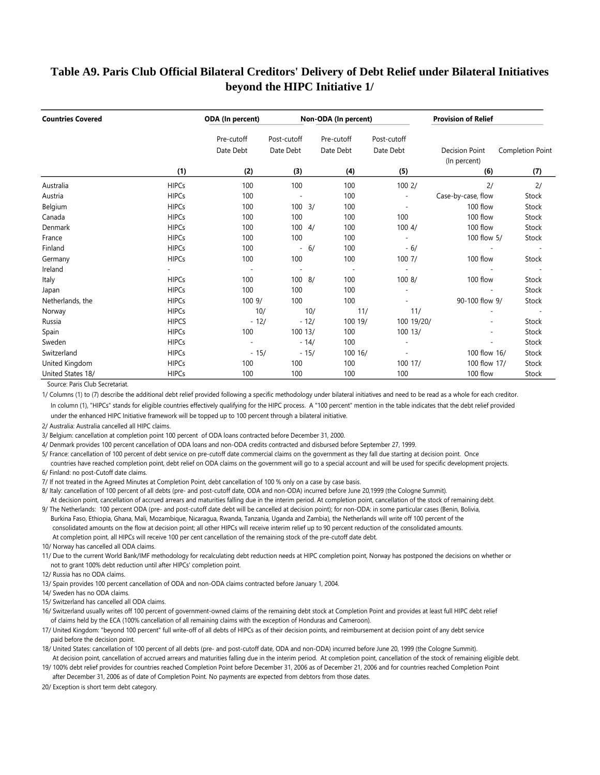### **Table A9. Paris Club Official Bilateral Creditors' Delivery of Debt Relief under Bilateral Initiatives beyond the HIPC Initiative 1/**

| <b>Countries Covered</b> |              | ODA (In percent)        |                          |        | Non-ODA (In percent)    |                          | <b>Provision of Relief</b>            |                  |
|--------------------------|--------------|-------------------------|--------------------------|--------|-------------------------|--------------------------|---------------------------------------|------------------|
|                          |              | Pre-cutoff<br>Date Debt | Post-cutoff<br>Date Debt |        | Pre-cutoff<br>Date Debt | Post-cutoff<br>Date Debt | <b>Decision Point</b><br>(In percent) | Completion Point |
|                          | (1)          | (2)                     | (3)                      |        | (4)                     | (5)                      | (6)                                   | (7)              |
| Australia                | <b>HIPCs</b> | 100                     | 100                      |        | 100                     | 1002/                    | 2/                                    | 2/               |
| Austria                  | <b>HIPCs</b> | 100                     | $\overline{a}$           |        | 100                     |                          | Case-by-case, flow                    | Stock            |
| Belgium                  | <b>HIPCs</b> | 100                     | $100 \frac{3}{2}$        |        | 100                     | $\overline{\phantom{a}}$ | 100 flow                              | Stock            |
| Canada                   | <b>HIPCs</b> | 100                     | 100                      |        | 100                     | 100                      | 100 flow                              | Stock            |
| Denmark                  | <b>HIPCs</b> | 100                     | 100                      | 4/     | 100                     | 1004/                    | 100 flow                              | Stock            |
| France                   | <b>HIPCs</b> | 100                     | 100                      |        | 100                     |                          | 100 flow 5/                           | Stock            |
| Finland                  | <b>HIPCs</b> | 100                     | $\overline{\phantom{a}}$ | 6/     | 100                     | $-6/$                    |                                       |                  |
| Germany                  | <b>HIPCs</b> | 100                     | 100                      |        | 100                     | 1007/                    | 100 flow                              | Stock            |
| Ireland                  |              |                         | $\overline{a}$           |        |                         |                          |                                       |                  |
| Italy                    | <b>HIPCs</b> | 100                     | 100 8/                   |        | 100                     | 1008/                    | 100 flow                              | Stock            |
| Japan                    | <b>HIPCs</b> | 100                     | 100                      |        | 100                     |                          |                                       | Stock            |
| Netherlands, the         | <b>HIPCs</b> | 1009/                   | 100                      |        | 100                     |                          | 90-100 flow 9/                        | Stock            |
| Norway                   | <b>HIPCs</b> | 10/                     |                          | 10/    | 11/                     | 11/                      |                                       |                  |
| Russia                   | <b>HIPCS</b> | $-12/$                  |                          | $-12/$ | 100 19/                 | 100 19/20/               |                                       | Stock            |
| Spain                    | <b>HIPCs</b> | 100                     | 100 13/                  |        | 100                     | 100 13/                  |                                       | Stock            |
| Sweden                   | <b>HIPCs</b> |                         |                          | $-14/$ | 100                     |                          |                                       | Stock            |
| Switzerland              | <b>HIPCs</b> | $-15/$                  |                          | $-15/$ | 100 16/                 |                          | 100 flow 16/                          | Stock            |
| United Kingdom           | <b>HIPCs</b> | 100                     | 100                      |        | 100                     | 100 17/                  | 100 flow 17/                          | Stock            |
| United States 18/        | <b>HIPCs</b> | 100                     | 100                      |        | 100                     | 100                      | 100 flow                              | Stock            |

Source: Paris Club Secretariat.

1/ Columns (1) to (7) describe the additional debt relief provided following a specific methodology under bilateral initiatives and need to be read as a whole for each creditor. In column (1), "HIPCs" stands for eligible countries effectively qualifying for the HIPC process. A "100 percent" mention in the table indicates that the debt relief provided under the enhanced HIPC Initiative framework will be topped up to 100 percent through a bilateral initiative.

2/ Australia: Australia cancelled all HIPC claims.

3/ Belgium: cancellation at completion point 100 percent of ODA loans contracted before December 31, 2000.

4/ Denmark provides 100 percent cancellation of ODA loans and non-ODA credits contracted and disbursed before September 27, 1999.

5/ France: cancellation of 100 percent of debt service on pre-cutoff date commercial claims on the government as they fall due starting at decision point. Once countries have reached completion point, debt relief on ODA claims on the government will go to a special account and will be used for specific development projects. 6/ Finland: no post-Cutoff date claims.

7/ If not treated in the Agreed Minutes at Completion Point, debt cancellation of 100 % only on a case by case basis.

8/ Italy: cancellation of 100 percent of all debts (pre- and post-cutoff date, ODA and non-ODA) incurred before June 20,1999 (the Cologne Summit).

At decision point, cancellation of accrued arrears and maturities falling due in the interim period. At completion point, cancellation of the stock of remaining debt.

9/ The Netherlands: 100 percent ODA (pre- and post-cutoff date debt will be cancelled at decision point); for non-ODA: in some particular cases (Benin, Bolivia, Burkina Faso, Ethiopia, Ghana, Mali, Mozambique, Nicaragua, Rwanda, Tanzania, Uganda and Zambia), the Netherlands will write off 100 percent of the consolidated amounts on the flow at decision point; all other HIPCs will receive interim relief up to 90 percent reduction of the consolidated amounts. At completion point, all HIPCs will receive 100 per cent cancellation of the remaining stock of the pre-cutoff date debt.

10/ Norway has cancelled all ODA claims.

11/ Due to the current World Bank/IMF methodology for recalculating debt reduction needs at HIPC completion point, Norway has postponed the decisions on whether or not to grant 100% debt reduction until after HIPCs' completion point.

12/ Russia has no ODA claims.

13/ Spain provides 100 percent cancellation of ODA and non-ODA claims contracted before January 1, 2004.

14/ Sweden has no ODA claims.

15/ Switzerland has cancelled all ODA claims.

 of claims held by the ECA (100% cancellation of all remaining claims with the exception of Honduras and Cameroon). 16/ Switzerland usually writes off 100 percent of government-owned claims of the remaining debt stock at Completion Point and provides at least full HIPC debt relief

17/ United Kingdom: "beyond 100 percent" full write-off of all debts of HIPCs as of their decision points, and reimbursement at decision point of any debt service paid before the decision point.

18/ United States: cancellation of 100 percent of all debts (pre- and post-cutoff date, ODA and non-ODA) incurred before June 20, 1999 (the Cologne Summit). At decision point, cancellation of accrued arrears and maturities falling due in the interim period. At completion point, cancellation of the stock of remaining eligible debt.

19/ 100% debt relief provides for countries reached Completion Point before December 31, 2006 as of December 21, 2006 and for countries reached Completion Point

after December 31, 2006 as of date of Completion Point. No payments are expected from debtors from those dates.

20/ Exception is short term debt category.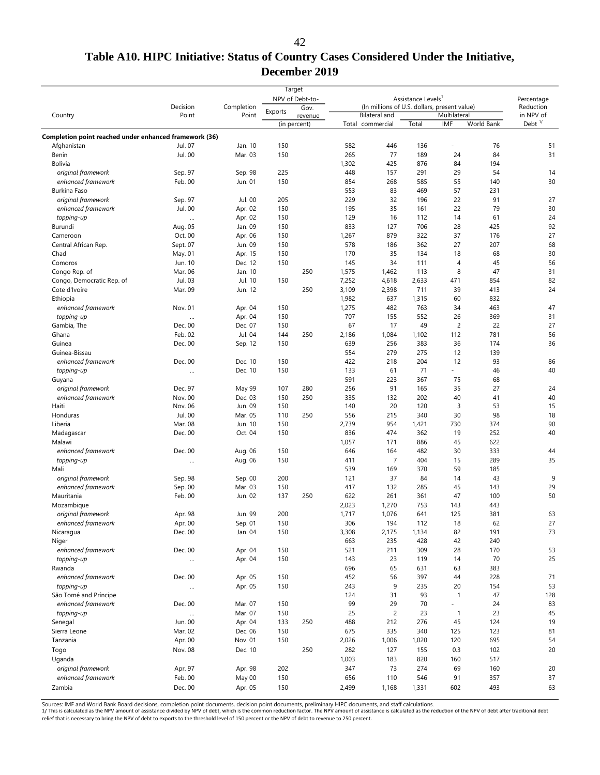### **Table A10. HIPC Initiative: Status of Country Cases Considered Under the Initiative, December 2019**

|                                                        | Decision           | Completion        |            | Target<br>NPV of Debt-to-<br>Gov. |            | (In millions of U.S. dollars, present value) | Assistance Levels <sup>1</sup> |                |            | Percentage<br>Reduction |
|--------------------------------------------------------|--------------------|-------------------|------------|-----------------------------------|------------|----------------------------------------------|--------------------------------|----------------|------------|-------------------------|
| Country                                                | Point              | Point             | Exports    | revenue                           |            | <b>Bilateral</b> and                         |                                | Multilateral   |            | in NPV of               |
|                                                        |                    |                   |            | (in percent)                      |            | Total commercial                             | Total                          | IMF            | World Bank | Debt $1/$               |
| Completion point reached under enhanced framework (36) |                    |                   |            |                                   |            |                                              |                                |                |            |                         |
| Afghanistan                                            | Jul. 07            | Jan. 10           | 150        |                                   | 582        | 446                                          | 136                            |                | 76         | 51                      |
| Benin                                                  | Jul. 00            | Mar. 03           | 150        |                                   | 265        | 77                                           | 189                            | 24             | 84         | 31                      |
| <b>Bolivia</b>                                         |                    |                   |            |                                   | 1,302      | 425                                          | 876                            | 84             | 194        |                         |
| original framework                                     | Sep. 97            | Sep. 98           | 225        |                                   | 448        | 157                                          | 291                            | 29             | 54         | 14                      |
| enhanced framework                                     | Feb. 00            | Jun. 01           | 150        |                                   | 854        | 268                                          | 585                            | 55             | 140        | 30                      |
| Burkina Faso                                           |                    |                   |            |                                   | 553        | 83                                           | 469                            | 57             | 231        |                         |
| original framework                                     | Sep. 97            | Jul. 00           | 205        |                                   | 229        | 32                                           | 196                            | 22             | 91         | 27                      |
| enhanced framework                                     | Jul. 00            | Apr. 02           | 150        |                                   | 195        | 35                                           | 161                            | 22             | 79         | 30                      |
| topping-up                                             | $\cdots$           | Apr. 02           | 150        |                                   | 129        | 16                                           | 112                            | 14             | 61         | 24                      |
| Burundi                                                | Aug. 05            | Jan. 09           | 150        |                                   | 833        | 127                                          | 706                            | 28             | 425        | 92                      |
| Cameroon                                               | Oct. 00            | Apr. 06           | 150        |                                   | 1,267      | 879                                          | 322                            | 37             | 176        | 27                      |
| Central African Rep.                                   | Sept. 07           | Jun. 09           | 150        |                                   | 578        | 186                                          | 362                            | 27             | 207        | 68                      |
| Chad                                                   | May. 01            | Apr. 15           | 150        |                                   | 170        | 35                                           | 134                            | 18             | 68         | 30                      |
| Comoros                                                | Jun. 10            | Dec. 12           | 150        |                                   | 145        | 34                                           | 111                            | $\overline{4}$ | 45         | 56                      |
| Congo Rep. of                                          | Mar. 06            | Jan. 10           |            | 250                               | 1,575      | 1,462                                        | 113                            | 8              | 47         | 31                      |
| Congo, Democratic Rep. of                              | Jul. 03            | Jul. 10           | 150        |                                   | 7,252      | 4,618                                        | 2,633                          | 471            | 854        | 82                      |
| Cote d'Ivoire                                          | Mar. 09            | Jun. 12           |            | 250                               | 3,109      | 2,398                                        | 711                            | 39             | 413        | 24                      |
| Ethiopia                                               |                    |                   |            |                                   | 1,982      | 637                                          | 1,315                          | 60             | 832        |                         |
| enhanced framework                                     | Nov. 01            | Apr. 04           | 150        |                                   | 1,275      | 482                                          | 763                            | 34             | 463        | 47                      |
| topping-up                                             |                    | Apr. 04           | 150        |                                   | 707        | 155                                          | 552                            | 26             | 369        | 31                      |
| Gambia, The                                            | Dec. 00            | Dec. 07           | 150        |                                   | 67         | 17                                           | 49                             | $\overline{c}$ | 22         | 27                      |
| Ghana                                                  | Feb. 02            | Jul. 04           | 144        | 250                               | 2,186      | 1,084                                        | 1,102                          | 112            | 781        | 56                      |
| Guinea                                                 | Dec. 00            | Sep. 12           | 150        |                                   | 639<br>554 | 256<br>279                                   | 383<br>275                     | 36<br>12       | 174<br>139 | 36                      |
| Guinea-Bissau                                          | Dec. 00            |                   |            |                                   |            | 218                                          | 204                            | 12             |            |                         |
| enhanced framework                                     |                    | Dec. 10           | 150        |                                   | 422        |                                              |                                |                | 93         | 86                      |
| topping-up                                             | $\cdots$           | Dec. 10           | 150        |                                   | 133        | 61                                           | 71                             |                | 46         | 40                      |
| Guyana                                                 |                    |                   |            |                                   | 591        | 223                                          | 367                            | 75             | 68         |                         |
| original framework                                     | Dec. 97            | May 99<br>Dec. 03 | 107        | 280<br>250                        | 256<br>335 | 91<br>132                                    | 165<br>202                     | 35<br>40       | 27<br>41   | 24                      |
| enhanced framework<br>Haiti                            | Nov. 00<br>Nov. 06 | Jun. 09           | 150<br>150 |                                   | 140        | 20                                           | 120                            | 3              | 53         | 40<br>15                |
| Honduras                                               | Jul. 00            | Mar. 05           | 110        | 250                               | 556        | 215                                          | 340                            | 30             | 98         | 18                      |
| Liberia                                                | Mar. 08            | Jun. 10           | 150        |                                   | 2,739      | 954                                          | 1,421                          | 730            | 374        | 90                      |
| Madagascar                                             | Dec. 00            | Oct. 04           | 150        |                                   | 836        | 474                                          | 362                            | 19             | 252        | 40                      |
| Malawi                                                 |                    |                   |            |                                   | 1,057      | 171                                          | 886                            | 45             | 622        |                         |
| enhanced framework                                     | Dec. 00            | Aug. 06           | 150        |                                   | 646        | 164                                          | 482                            | 30             | 333        | 44                      |
| topping-up                                             |                    | Aug. 06           | 150        |                                   | 411        | $\overline{7}$                               | 404                            | 15             | 289        | 35                      |
| Mali                                                   |                    |                   |            |                                   | 539        | 169                                          | 370                            | 59             | 185        |                         |
| original framework                                     | Sep. 98            | Sep. 00           | 200        |                                   | 121        | 37                                           | 84                             | 14             | 43         | 9                       |
| enhanced framework                                     | Sep. 00            | Mar. 03           | 150        |                                   | 417        | 132                                          | 285                            | 45             | 143        | 29                      |
| Mauritania                                             | Feb. 00            | Jun. 02           | 137        | 250                               | 622        | 261                                          | 361                            | 47             | 100        | 50                      |
| Mozambique                                             |                    |                   |            |                                   | 2,023      | 1,270                                        | 753                            | 143            | 443        |                         |
| original framework                                     | Apr. 98            | Jun. 99           | 200        |                                   | 1,717      | 1,076                                        | 641                            | 125            | 381        | 63                      |
| enhanced framework                                     | Apr. 00            | Sep. 01           | 150        |                                   | 306        | 194                                          | 112                            | 18             | 62         | 27                      |
| Nicaragua                                              | Dec. 00            | Jan. 04           | 150        |                                   | 3,308      | 2,175                                        | 1,134                          | 82             | 191        | 73                      |
| Niger                                                  |                    |                   |            |                                   | 663        | 235                                          | 428                            | 42             | 240        |                         |
| enhanced framework                                     | Dec. 00            | Apr. 04           | 150        |                                   | 521        | 211                                          | 309                            | 28             | 170        | 53                      |
| topping-up                                             | $\cdots$           | Apr. 04           | 150        |                                   | 143        | 23                                           | 119                            | 14             | 70         | 25                      |
| Rwanda                                                 |                    |                   |            |                                   | 696        | 65                                           | 631                            | 63             | 383        |                         |
| enhanced framework                                     | Dec. 00            | Apr. 05           | 150        |                                   | 452        | 56                                           | 397                            | 44             | 228        | 71                      |
| topping-up                                             |                    | Apr. 05           | 150        |                                   | 243        | 9                                            | 235                            | 20             | 154        | 53                      |
| São Tomé and Príncipe                                  |                    |                   |            |                                   | 124        | 31                                           | 93                             | $\mathbf{1}$   | 47         | 128                     |
| enhanced framework                                     | Dec. 00            | Mar. 07           | 150        |                                   | 99         | 29                                           | 70                             |                | 24         | 83                      |
| topping-up                                             |                    | Mar. 07           | 150        |                                   | 25         | $\overline{c}$                               | 23                             | $\mathbf{1}$   | 23         | 45                      |
| Senegal                                                | Jun. 00            | Apr. 04           | 133        | 250                               | 488        | 212                                          | 276                            | 45             | 124        | 19                      |
| Sierra Leone                                           | Mar. 02            | Dec. 06           | 150        |                                   | 675        | 335                                          | 340                            | 125            | 123        | 81                      |
| Tanzania                                               | Apr. 00            | Nov. 01           | 150        |                                   | 2,026      | 1,006                                        | 1,020                          | 120            | 695        | 54                      |
| Togo                                                   | Nov. 08            | Dec. 10           |            | 250                               | 282        | 127                                          | 155                            | 0.3            | 102        | 20                      |
| Uganda                                                 |                    |                   |            |                                   | 1,003      | 183                                          | 820                            | 160            | 517        |                         |
| original framework                                     | Apr. 97            | Apr. 98           | 202        |                                   | 347        | 73                                           | 274                            | 69             | 160        | 20                      |
| enhanced framework                                     | Feb. 00            | May 00            | 150        |                                   | 656        | 110                                          | 546                            | 91             | 357        | 37                      |
| Zambia                                                 | Dec. 00            | Apr. 05           | 150        |                                   | 2,499      |                                              |                                | 602            | 493        | 63                      |
|                                                        |                    |                   |            |                                   |            | 1,168                                        | 1,331                          |                |            |                         |

Sources: IMF and World Bank Board decisions, completion point documents, decision point documents, preliminary HIPC documents, and staff calculations.<br>1/ This is calculated as the NPV amount of assistance divided by NPV of relief that is necessary to bring the NPV of debt to exports to the threshold level of 150 percent or the NPV of debt to revenue to 250 percent.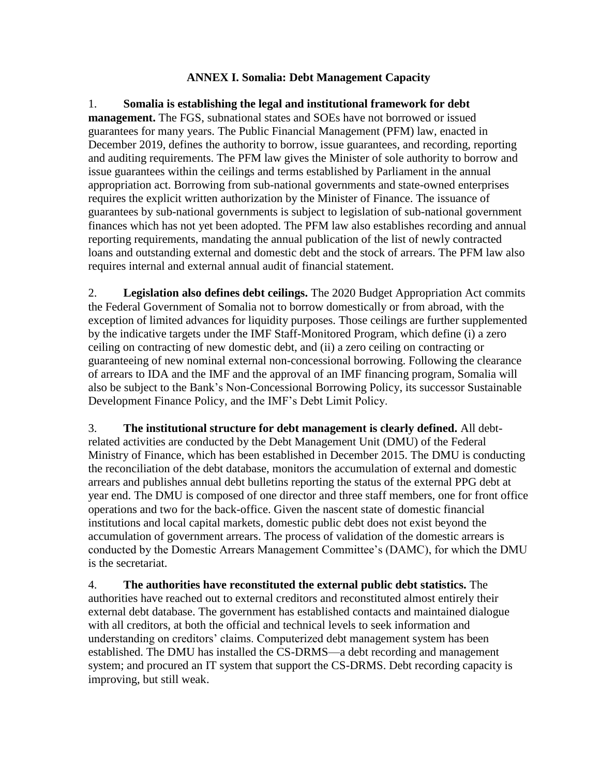#### **ANNEX I. Somalia: Debt Management Capacity**

<span id="page-48-0"></span>1. **Somalia is establishing the legal and institutional framework for debt management.** The FGS, subnational states and SOEs have not borrowed or issued guarantees for many years. The Public Financial Management (PFM) law, enacted in December 2019, defines the authority to borrow, issue guarantees, and recording, reporting and auditing requirements. The PFM law gives the Minister of sole authority to borrow and issue guarantees within the ceilings and terms established by Parliament in the annual appropriation act. Borrowing from sub-national governments and state-owned enterprises requires the explicit written authorization by the Minister of Finance. The issuance of guarantees by sub-national governments is subject to legislation of sub-national government finances which has not yet been adopted. The PFM law also establishes recording and annual reporting requirements, mandating the annual publication of the list of newly contracted loans and outstanding external and domestic debt and the stock of arrears. The PFM law also requires internal and external annual audit of financial statement.

2. **Legislation also defines debt ceilings.** The 2020 Budget Appropriation Act commits the Federal Government of Somalia not to borrow domestically or from abroad, with the exception of limited advances for liquidity purposes. Those ceilings are further supplemented by the indicative targets under the IMF Staff-Monitored Program, which define (i) a zero ceiling on contracting of new domestic debt, and (ii) a zero ceiling on contracting or guaranteeing of new nominal external non-concessional borrowing. Following the clearance of arrears to IDA and the IMF and the approval of an IMF financing program, Somalia will also be subject to the Bank's Non-Concessional Borrowing Policy, its successor Sustainable Development Finance Policy, and the IMF's Debt Limit Policy.

3. **The institutional structure for debt management is clearly defined.** All debtrelated activities are conducted by the Debt Management Unit (DMU) of the Federal Ministry of Finance, which has been established in December 2015. The DMU is conducting the reconciliation of the debt database, monitors the accumulation of external and domestic arrears and publishes annual debt bulletins reporting the status of the external PPG debt at year end. The DMU is composed of one director and three staff members, one for front office operations and two for the back-office. Given the nascent state of domestic financial institutions and local capital markets, domestic public debt does not exist beyond the accumulation of government arrears. The process of validation of the domestic arrears is conducted by the Domestic Arrears Management Committee's (DAMC), for which the DMU is the secretariat.

4. **The authorities have reconstituted the external public debt statistics.** The authorities have reached out to external creditors and reconstituted almost entirely their external debt database. The government has established contacts and maintained dialogue with all creditors, at both the official and technical levels to seek information and understanding on creditors' claims. Computerized debt management system has been established. The DMU has installed the CS-DRMS—a debt recording and management system; and procured an IT system that support the CS-DRMS. Debt recording capacity is improving, but still weak.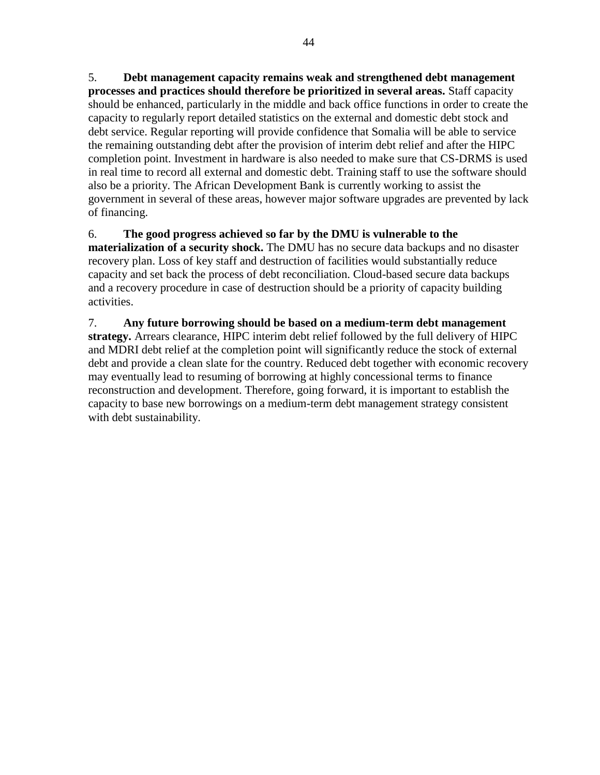5. **Debt management capacity remains weak and strengthened debt management processes and practices should therefore be prioritized in several areas.** Staff capacity should be enhanced, particularly in the middle and back office functions in order to create the capacity to regularly report detailed statistics on the external and domestic debt stock and debt service. Regular reporting will provide confidence that Somalia will be able to service the remaining outstanding debt after the provision of interim debt relief and after the HIPC completion point. Investment in hardware is also needed to make sure that CS-DRMS is used in real time to record all external and domestic debt. Training staff to use the software should also be a priority. The African Development Bank is currently working to assist the government in several of these areas, however major software upgrades are prevented by lack of financing.

6. **The good progress achieved so far by the DMU is vulnerable to the materialization of a security shock.** The DMU has no secure data backups and no disaster recovery plan. Loss of key staff and destruction of facilities would substantially reduce capacity and set back the process of debt reconciliation. Cloud-based secure data backups and a recovery procedure in case of destruction should be a priority of capacity building activities.

7. **Any future borrowing should be based on a medium-term debt management strategy.** Arrears clearance, HIPC interim debt relief followed by the full delivery of HIPC and MDRI debt relief at the completion point will significantly reduce the stock of external debt and provide a clean slate for the country. Reduced debt together with economic recovery may eventually lead to resuming of borrowing at highly concessional terms to finance reconstruction and development. Therefore, going forward, it is important to establish the capacity to base new borrowings on a medium-term debt management strategy consistent with debt sustainability.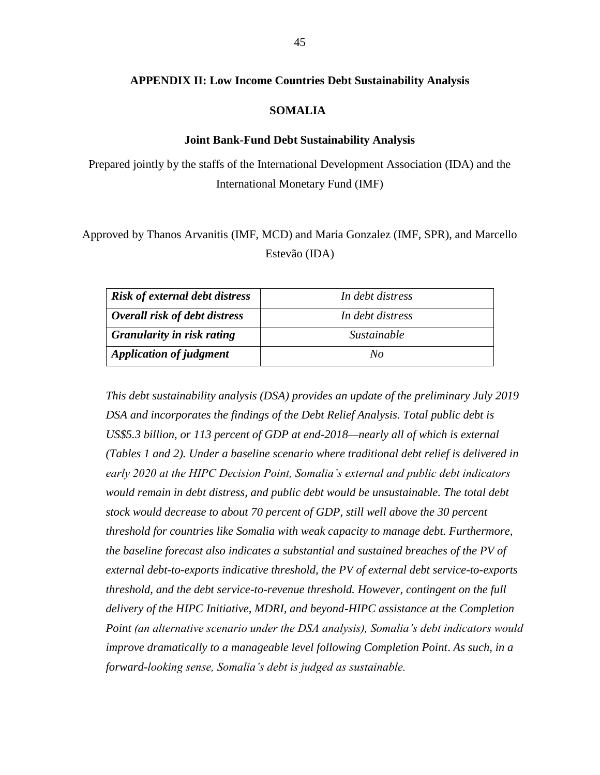#### <span id="page-50-0"></span>**APPENDIX II: Low Income Countries Debt Sustainability Analysis**

#### **SOMALIA**

#### **Joint Bank-Fund Debt Sustainability Analysis**

Prepared jointly by the staffs of the International Development Association (IDA) and the International Monetary Fund (IMF)

Approved by Thanos Arvanitis (IMF, MCD) and Maria Gonzalez (IMF, SPR), and Marcello Estevão (IDA)

| <b>Risk of external debt distress</b> | In debt distress |
|---------------------------------------|------------------|
| Overall risk of debt distress         | In debt distress |
| <b>Granularity in risk rating</b>     | Sustainable      |
| <b>Application of judgment</b>        | Nο               |

*This debt sustainability analysis (DSA) provides an update of the preliminary July 2019 DSA and incorporates the findings of the Debt Relief Analysis. Total public debt is US\$5.3 billion, or 113 percent of GDP at end-2018—nearly all of which is external (Tables 1 and 2). Under a baseline scenario where traditional debt relief is delivered in early 2020 at the HIPC Decision Point, Somalia's external and public debt indicators would remain in debt distress, and public debt would be unsustainable. The total debt stock would decrease to about 70 percent of GDP, still well above the 30 percent threshold for countries like Somalia with weak capacity to manage debt. Furthermore, the baseline forecast also indicates a substantial and sustained breaches of the PV of external debt-to-exports indicative threshold, the PV of external debt service-to-exports threshold, and the debt service-to-revenue threshold. However, contingent on the full delivery of the HIPC Initiative, MDRI, and beyond-HIPC assistance at the Completion Point (an alternative scenario under the DSA analysis), Somalia's debt indicators would improve dramatically to a manageable level following Completion Point*. *As such, in a forward-looking sense, Somalia's debt is judged as sustainable.*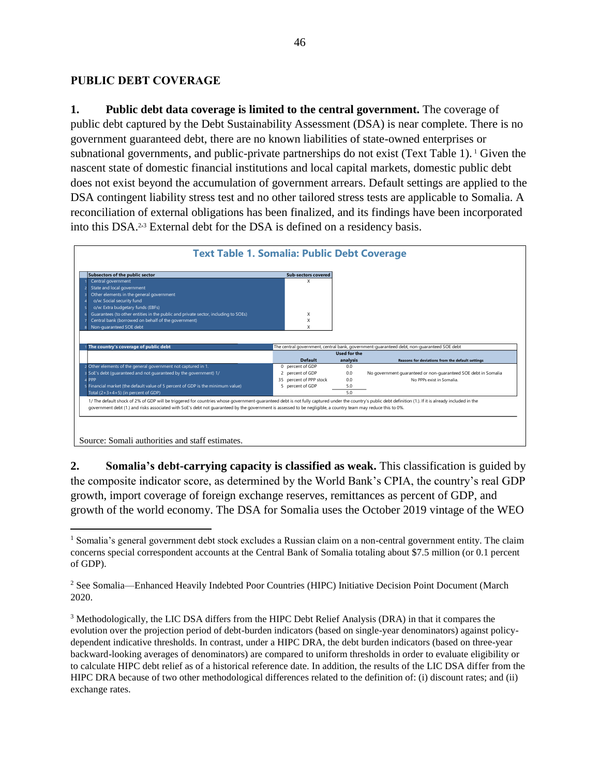### **PUBLIC DEBT COVERAGE**

**1. Public debt data coverage is limited to the central government.** The coverage of public debt captured by the Debt Sustainability Assessment (DSA) is near complete. There is no government guaranteed debt, there are no known liabilities of state-owned enterprises or subnational governments, and public-private partnerships do not exist (Text Table 1). <sup>1</sup> Given the nascent state of domestic financial institutions and local capital markets, domestic public debt does not exist beyond the accumulation of government arrears. Default settings are applied to the DSA contingent liability stress test and no other tailored stress tests are applicable to Somalia. A reconciliation of external obligations has been finalized, and its findings have been incorporated into this DSA.2,<sup>3</sup> External debt for the DSA is defined on a residency basis.



**2. Somalia's debt-carrying capacity is classified as weak.** This classification is guided by the composite indicator score, as determined by the World Bank's CPIA, the country's real GDP growth, import coverage of foreign exchange reserves, remittances as percent of GDP, and growth of the world economy. The DSA for Somalia uses the October 2019 vintage of the WEO

 $\overline{a}$ <sup>1</sup> Somalia's general government debt stock excludes a Russian claim on a non-central government entity. The claim concerns special correspondent accounts at the Central Bank of Somalia totaling about \$7.5 million (or 0.1 percent of GDP).

<sup>2</sup> See Somalia—Enhanced Heavily Indebted Poor Countries (HIPC) Initiative Decision Point Document (March 2020.

<sup>3</sup> Methodologically, the LIC DSA differs from the HIPC Debt Relief Analysis (DRA) in that it compares the evolution over the projection period of debt-burden indicators (based on single-year denominators) against policydependent indicative thresholds. In contrast, under a HIPC DRA, the debt burden indicators (based on three-year backward-looking averages of denominators) are compared to uniform thresholds in order to evaluate eligibility or to calculate HIPC debt relief as of a historical reference date. In addition, the results of the LIC DSA differ from the HIPC DRA because of two other methodological differences related to the definition of: (i) discount rates; and (ii) exchange rates.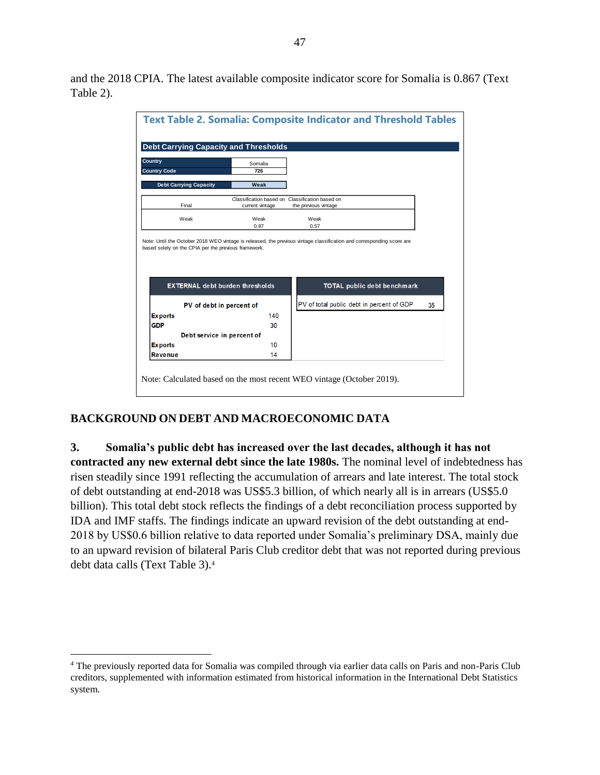and the 2018 CPIA. The latest available composite indicator score for Somalia is 0.867 (Text Table 2).



# **BACKGROUND ON DEBT AND MACROECONOMIC DATA**

 $\overline{a}$ 

**3. Somalia's public debt has increased over the last decades, although it has not contracted any new external debt since the late 1980s.** The nominal level of indebtedness has risen steadily since 1991 reflecting the accumulation of arrears and late interest. The total stock of debt outstanding at end-2018 was US\$5.3 billion, of which nearly all is in arrears (US\$5.0 billion). This total debt stock reflects the findings of a debt reconciliation process supported by IDA and IMF staffs. The findings indicate an upward revision of the debt outstanding at end-2018 by US\$0.6 billion relative to data reported under Somalia's preliminary DSA, mainly due to an upward revision of bilateral Paris Club creditor debt that was not reported during previous debt data calls (Text Table 3).<sup>4</sup>

<sup>4</sup> The previously reported data for Somalia was compiled through via earlier data calls on Paris and non-Paris Club creditors, supplemented with information estimated from historical information in the International Debt Statistics system.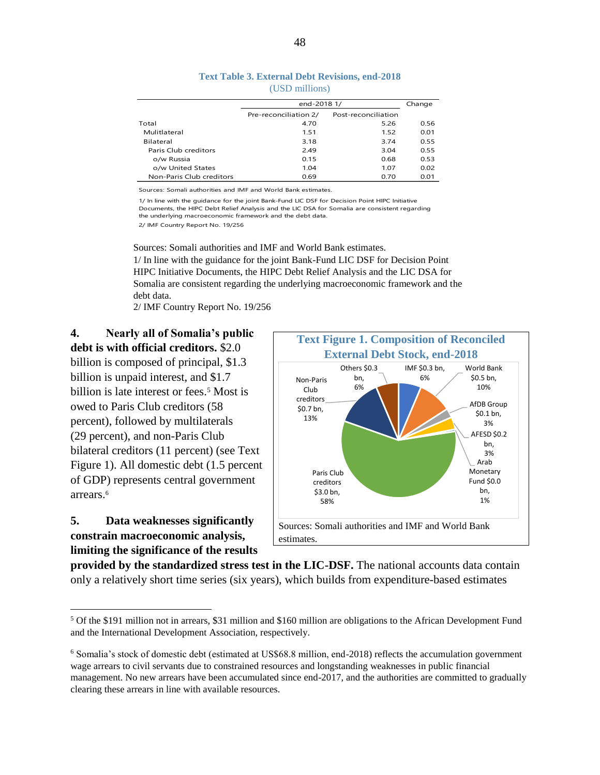|                          | end-2018 1/           |                     | Change |
|--------------------------|-----------------------|---------------------|--------|
|                          | Pre-reconciliation 2/ | Post-reconciliation |        |
| Total                    | 4.70                  | 5.26                | 0.56   |
| Mulitlateral             | 1.51                  | 1.52                | 0.01   |
| Bilateral                | 3.18                  | 3.74                | 0.55   |
| Paris Club creditors     | 2.49                  | 3.04                | 0.55   |
| o/w Russia               | 0.15                  | 0.68                | 0.53   |
| o/w United States        | 1.04                  | 1.07                | 0.02   |
| Non-Paris Club creditors | 0.69                  | 0.70                | 0.01   |

**Text Table 3. External Debt Revisions, end-2018**  (USD millions)

Sources: Somali authorities and IMF and World Bank estimates.

1/ In line with the guidance for the joint Bank-Fund LIC DSF for Decision Point HIPC Initiative Documents, the HIPC Debt Relief Analysis and the LIC DSA for Somalia are consistent regarding the underlying macroeconomic framework and the debt data.

2/ IMF Country Report No. 19/256

Sources: Somali authorities and IMF and World Bank estimates. 1/ In line with the guidance for the joint Bank-Fund LIC DSF for Decision Point HIPC Initiative Documents, the HIPC Debt Relief Analysis and the LIC DSA for Somalia are consistent regarding the underlying macroeconomic framework and the debt data.

2/ IMF Country Report No. 19/256

#### **4. Nearly all of Somalia's public debt is with official creditors.** \$2.0

billion is composed of principal, \$1.3 billion is unpaid interest, and \$1.7 billion is late interest or fees.<sup>5</sup> Most is owed to Paris Club creditors (58 percent), followed by multilaterals (29 percent), and non-Paris Club bilateral creditors (11 percent) (see Text Figure 1). All domestic debt (1.5 percent of GDP) represents central government arrears.<sup>6</sup>

#### **5. Data weaknesses significantly constrain macroeconomic analysis, limiting the significance of the results**

 $\overline{a}$ 



**provided by the standardized stress test in the LIC-DSF.** The national accounts data contain only a relatively short time series (six years), which builds from expenditure-based estimates

<sup>5</sup> Of the \$191 million not in arrears, \$31 million and \$160 million are obligations to the African Development Fund and the International Development Association, respectively.

<sup>6</sup> Somalia's stock of domestic debt (estimated at US\$68.8 million, end-2018) reflects the accumulation government wage arrears to civil servants due to constrained resources and longstanding weaknesses in public financial management. No new arrears have been accumulated since end-2017, and the authorities are committed to gradually clearing these arrears in line with available resources.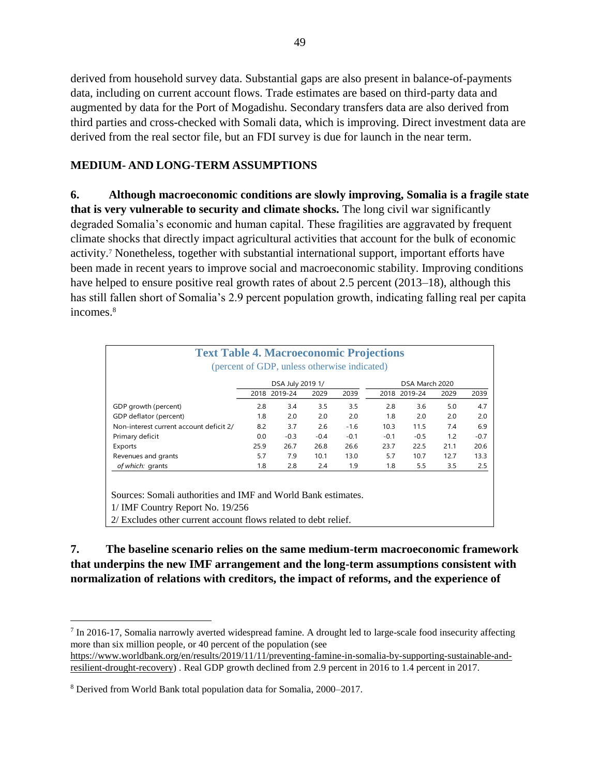derived from household survey data. Substantial gaps are also present in balance-of-payments data, including on current account flows. Trade estimates are based on third-party data and augmented by data for the Port of Mogadishu. Secondary transfers data are also derived from third parties and cross-checked with Somali data, which is improving. Direct investment data are derived from the real sector file, but an FDI survey is due for launch in the near term.

#### **MEDIUM- AND LONG-TERM ASSUMPTIONS**

**6. Although macroeconomic conditions are slowly improving, Somalia is a fragile state that is very vulnerable to security and climate shocks.** The long civil war significantly degraded Somalia's economic and human capital. These fragilities are aggravated by frequent climate shocks that directly impact agricultural activities that account for the bulk of economic activity.<sup>7</sup> Nonetheless, together with substantial international support, important efforts have been made in recent years to improve social and macroeconomic stability. Improving conditions have helped to ensure positive real growth rates of about 2.5 percent (2013–18), although this has still fallen short of Somalia's 2.9 percent population growth, indicating falling real per capita incomes.<sup>8</sup>

|                                         |      | DSA July 2019 1/ |        |        | DSA March 2020 |              |      |        |  |  |  |
|-----------------------------------------|------|------------------|--------|--------|----------------|--------------|------|--------|--|--|--|
|                                         |      | 2018 2019-24     | 2029   | 2039   |                | 2018 2019-24 | 2029 | 2039   |  |  |  |
| GDP growth (percent)                    | 2.8  | 3.4              | 3.5    | 3.5    | 2.8            | 3.6          | 5.0  | 4.7    |  |  |  |
| GDP deflator (percent)                  | 1.8  | 2.0              | 2.0    | 2.0    | 1.8            | 2.0          | 2.0  | 2.0    |  |  |  |
| Non-interest current account deficit 2/ | 8.2  | 3.7              | 2.6    | $-1.6$ | 10.3           | 11.5         | 7.4  | 6.9    |  |  |  |
| Primary deficit                         | 0.0  | $-0.3$           | $-0.4$ | $-0.1$ | $-0.1$         | $-0.5$       | 1.2  | $-0.7$ |  |  |  |
| Exports                                 | 25.9 | 26.7             | 26.8   | 26.6   | 23.7           | 22.5         | 21.1 | 20.6   |  |  |  |
| Revenues and grants                     | 5.7  | 7.9              | 10.1   | 13.0   | 5.7            | 10.7         | 12.7 | 13.3   |  |  |  |
| of which: grants                        | 1.8  | 2.8              | 2.4    | 1.9    | 1.8            | 5.5          | 3.5  | 2.5    |  |  |  |

**7. The baseline scenario relies on the same medium-term macroeconomic framework that underpins the new IMF arrangement and the long-term assumptions consistent with normalization of relations with creditors, the impact of reforms, and the experience of** 

<sup>&</sup>lt;sup>7</sup> In 2016-17, Somalia narrowly averted widespread famine. A drought led to large-scale food insecurity affecting more than six million people, or 40 percent of the population (see

[https://www.worldbank.org/en/results/2019/11/11/preventing-famine-in-somalia-by-supporting-sustainable-and](https://www.worldbank.org/en/results/2019/11/11/preventing-famine-in-somalia-by-supporting-sustainable-and-resilient-drought-recovery)[resilient-drought-recovery\)](https://www.worldbank.org/en/results/2019/11/11/preventing-famine-in-somalia-by-supporting-sustainable-and-resilient-drought-recovery) . Real GDP growth declined from 2.9 percent in 2016 to 1.4 percent in 2017.

<sup>8</sup> Derived from World Bank total population data for Somalia, 2000–2017.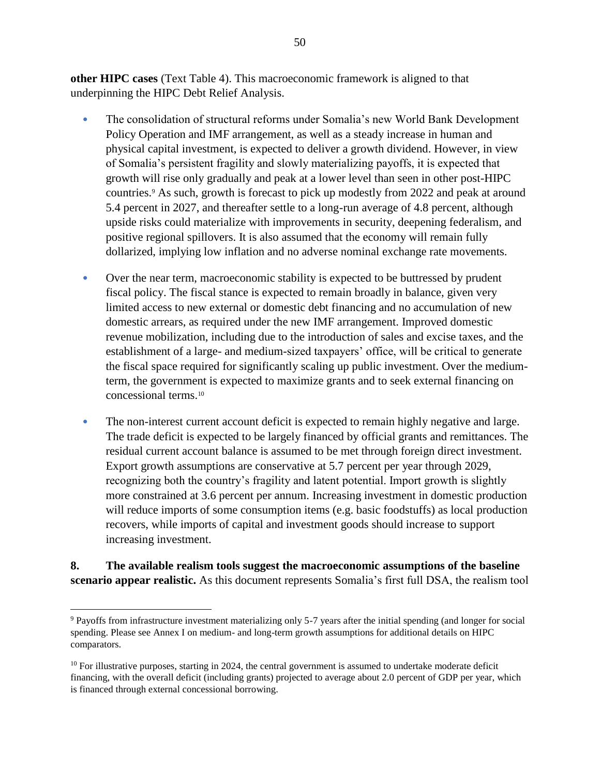**other HIPC cases** (Text Table 4). This macroeconomic framework is aligned to that underpinning the HIPC Debt Relief Analysis.

- The consolidation of structural reforms under Somalia's new World Bank Development Policy Operation and IMF arrangement, as well as a steady increase in human and physical capital investment, is expected to deliver a growth dividend. However, in view of Somalia's persistent fragility and slowly materializing payoffs, it is expected that growth will rise only gradually and peak at a lower level than seen in other post-HIPC countries.<sup>9</sup> As such, growth is forecast to pick up modestly from 2022 and peak at around 5.4 percent in 2027, and thereafter settle to a long-run average of 4.8 percent, although upside risks could materialize with improvements in security, deepening federalism, and positive regional spillovers. It is also assumed that the economy will remain fully dollarized, implying low inflation and no adverse nominal exchange rate movements.
- Over the near term, macroeconomic stability is expected to be buttressed by prudent fiscal policy. The fiscal stance is expected to remain broadly in balance, given very limited access to new external or domestic debt financing and no accumulation of new domestic arrears, as required under the new IMF arrangement. Improved domestic revenue mobilization, including due to the introduction of sales and excise taxes, and the establishment of a large- and medium-sized taxpayers' office, will be critical to generate the fiscal space required for significantly scaling up public investment. Over the mediumterm, the government is expected to maximize grants and to seek external financing on concessional terms.<sup>10</sup>
- The non-interest current account deficit is expected to remain highly negative and large. The trade deficit is expected to be largely financed by official grants and remittances. The residual current account balance is assumed to be met through foreign direct investment. Export growth assumptions are conservative at 5.7 percent per year through 2029, recognizing both the country's fragility and latent potential. Import growth is slightly more constrained at 3.6 percent per annum. Increasing investment in domestic production will reduce imports of some consumption items (e.g. basic foodstuffs) as local production recovers, while imports of capital and investment goods should increase to support increasing investment.

#### **8. The available realism tools suggest the macroeconomic assumptions of the baseline scenario appear realistic.** As this document represents Somalia's first full DSA, the realism tool

<sup>9</sup> Payoffs from infrastructure investment materializing only 5-7 years after the initial spending (and longer for social spending. Please see Annex I on medium- and long-term growth assumptions for additional details on HIPC comparators.

 $10$  For illustrative purposes, starting in 2024, the central government is assumed to undertake moderate deficit financing, with the overall deficit (including grants) projected to average about 2.0 percent of GDP per year, which is financed through external concessional borrowing.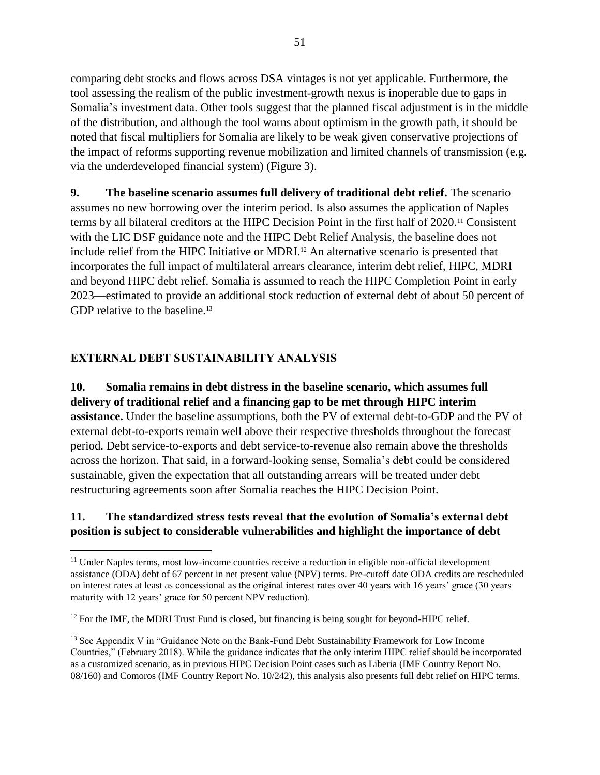comparing debt stocks and flows across DSA vintages is not yet applicable. Furthermore, the tool assessing the realism of the public investment-growth nexus is inoperable due to gaps in Somalia's investment data. Other tools suggest that the planned fiscal adjustment is in the middle of the distribution, and although the tool warns about optimism in the growth path, it should be noted that fiscal multipliers for Somalia are likely to be weak given conservative projections of the impact of reforms supporting revenue mobilization and limited channels of transmission (e.g. via the underdeveloped financial system) (Figure 3).

**9. The baseline scenario assumes full delivery of traditional debt relief.** The scenario assumes no new borrowing over the interim period. Is also assumes the application of Naples terms by all bilateral creditors at the HIPC Decision Point in the first half of 2020.<sup>11</sup> Consistent with the LIC DSF guidance note and the HIPC Debt Relief Analysis, the baseline does not include relief from the HIPC Initiative or MDRI.<sup>12</sup> An alternative scenario is presented that incorporates the full impact of multilateral arrears clearance, interim debt relief, HIPC, MDRI and beyond HIPC debt relief. Somalia is assumed to reach the HIPC Completion Point in early 2023—estimated to provide an additional stock reduction of external debt of about 50 percent of GDP relative to the baseline.<sup>13</sup>

#### **EXTERNAL DEBT SUSTAINABILITY ANALYSIS**

 $\overline{a}$ 

**10. Somalia remains in debt distress in the baseline scenario, which assumes full delivery of traditional relief and a financing gap to be met through HIPC interim assistance.** Under the baseline assumptions, both the PV of external debt-to-GDP and the PV of external debt-to-exports remain well above their respective thresholds throughout the forecast period. Debt service-to-exports and debt service-to-revenue also remain above the thresholds across the horizon. That said, in a forward-looking sense, Somalia's debt could be considered sustainable, given the expectation that all outstanding arrears will be treated under debt restructuring agreements soon after Somalia reaches the HIPC Decision Point.

#### **11. The standardized stress tests reveal that the evolution of Somalia's external debt position is subject to considerable vulnerabilities and highlight the importance of debt**

<sup>&</sup>lt;sup>11</sup> Under Naples terms, most low-income countries receive a reduction in eligible non-official development assistance (ODA) debt of 67 percent in net present value (NPV) terms. Pre-cutoff date ODA credits are rescheduled on interest rates at least as concessional as the original interest rates over 40 years with 16 years' grace (30 years maturity with 12 years' grace for 50 percent NPV reduction).

<sup>&</sup>lt;sup>12</sup> For the IMF, the MDRI Trust Fund is closed, but financing is being sought for beyond-HIPC relief.

<sup>&</sup>lt;sup>13</sup> See Appendix V in "Guidance Note on the Bank-Fund Debt Sustainability Framework for Low Income Countries," (February 2018). While the guidance indicates that the only interim HIPC relief should be incorporated as a customized scenario, as in previous HIPC Decision Point cases such as Liberia (IMF Country Report No. 08/160) and Comoros (IMF Country Report No. 10/242), this analysis also presents full debt relief on HIPC terms.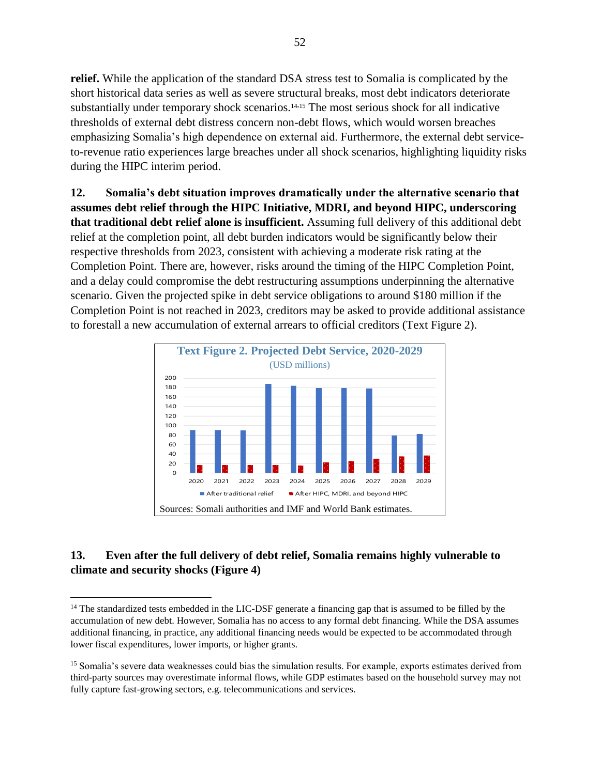**relief.** While the application of the standard DSA stress test to Somalia is complicated by the short historical data series as well as severe structural breaks, most debt indicators deteriorate substantially under temporary shock scenarios.<sup>14,15</sup> The most serious shock for all indicative thresholds of external debt distress concern non-debt flows, which would worsen breaches emphasizing Somalia's high dependence on external aid. Furthermore, the external debt serviceto-revenue ratio experiences large breaches under all shock scenarios, highlighting liquidity risks during the HIPC interim period.

**12. Somalia's debt situation improves dramatically under the alternative scenario that assumes debt relief through the HIPC Initiative, MDRI, and beyond HIPC, underscoring that traditional debt relief alone is insufficient.** Assuming full delivery of this additional debt relief at the completion point, all debt burden indicators would be significantly below their respective thresholds from 2023, consistent with achieving a moderate risk rating at the Completion Point. There are, however, risks around the timing of the HIPC Completion Point, and a delay could compromise the debt restructuring assumptions underpinning the alternative scenario. Given the projected spike in debt service obligations to around \$180 million if the Completion Point is not reached in 2023, creditors may be asked to provide additional assistance to forestall a new accumulation of external arrears to official creditors (Text Figure 2).



# **13. Even after the full delivery of debt relief, Somalia remains highly vulnerable to climate and security shocks (Figure 4)**

<sup>&</sup>lt;sup>14</sup> The standardized tests embedded in the LIC-DSF generate a financing gap that is assumed to be filled by the accumulation of new debt. However, Somalia has no access to any formal debt financing. While the DSA assumes additional financing, in practice, any additional financing needs would be expected to be accommodated through lower fiscal expenditures, lower imports, or higher grants.

<sup>&</sup>lt;sup>15</sup> Somalia's severe data weaknesses could bias the simulation results. For example, exports estimates derived from third-party sources may overestimate informal flows, while GDP estimates based on the household survey may not fully capture fast-growing sectors, e.g. telecommunications and services.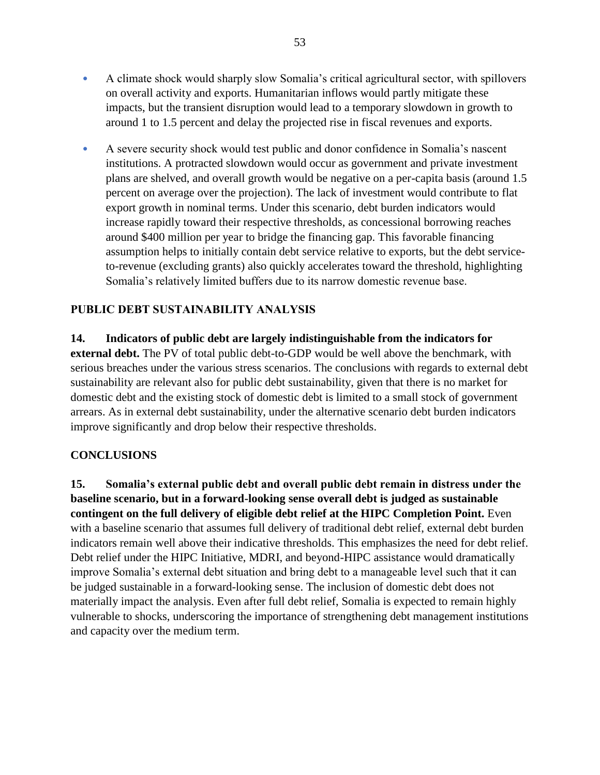- A climate shock would sharply slow Somalia's critical agricultural sector, with spillovers on overall activity and exports. Humanitarian inflows would partly mitigate these impacts, but the transient disruption would lead to a temporary slowdown in growth to around 1 to 1.5 percent and delay the projected rise in fiscal revenues and exports.
- A severe security shock would test public and donor confidence in Somalia's nascent institutions. A protracted slowdown would occur as government and private investment plans are shelved, and overall growth would be negative on a per-capita basis (around 1.5 percent on average over the projection). The lack of investment would contribute to flat export growth in nominal terms. Under this scenario, debt burden indicators would increase rapidly toward their respective thresholds, as concessional borrowing reaches around \$400 million per year to bridge the financing gap. This favorable financing assumption helps to initially contain debt service relative to exports, but the debt serviceto-revenue (excluding grants) also quickly accelerates toward the threshold, highlighting Somalia's relatively limited buffers due to its narrow domestic revenue base.

# **PUBLIC DEBT SUSTAINABILITY ANALYSIS**

**14. Indicators of public debt are largely indistinguishable from the indicators for external debt.** The PV of total public debt-to-GDP would be well above the benchmark, with serious breaches under the various stress scenarios. The conclusions with regards to external debt sustainability are relevant also for public debt sustainability, given that there is no market for domestic debt and the existing stock of domestic debt is limited to a small stock of government arrears. As in external debt sustainability, under the alternative scenario debt burden indicators improve significantly and drop below their respective thresholds.

#### **CONCLUSIONS**

**15. Somalia's external public debt and overall public debt remain in distress under the baseline scenario, but in a forward-looking sense overall debt is judged as sustainable contingent on the full delivery of eligible debt relief at the HIPC Completion Point.** Even with a baseline scenario that assumes full delivery of traditional debt relief, external debt burden indicators remain well above their indicative thresholds. This emphasizes the need for debt relief. Debt relief under the HIPC Initiative, MDRI, and beyond-HIPC assistance would dramatically improve Somalia's external debt situation and bring debt to a manageable level such that it can be judged sustainable in a forward-looking sense. The inclusion of domestic debt does not materially impact the analysis. Even after full debt relief, Somalia is expected to remain highly vulnerable to shocks, underscoring the importance of strengthening debt management institutions and capacity over the medium term.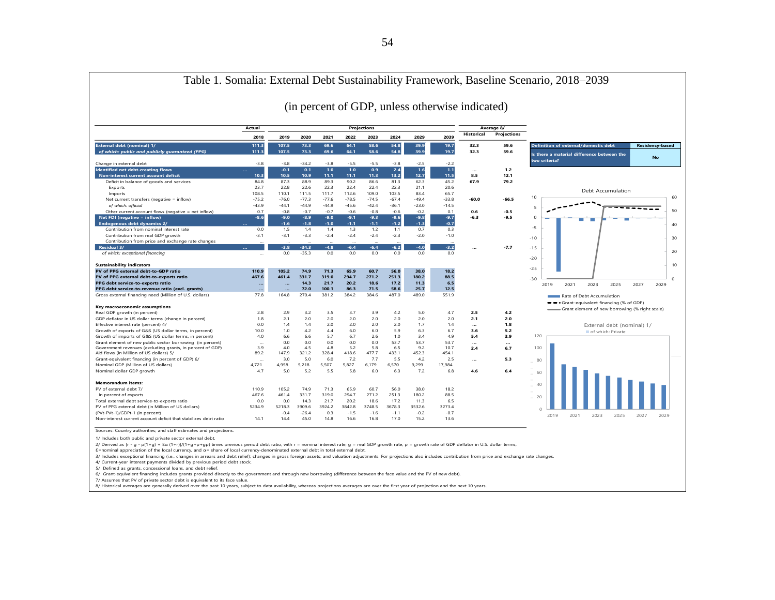|                                                                                                             |                   |                 |                   |               |                  |                    |              |              |               | (in percent of GDP, unless otherwise indicated) |              |                                                                                                                                  |
|-------------------------------------------------------------------------------------------------------------|-------------------|-----------------|-------------------|---------------|------------------|--------------------|--------------|--------------|---------------|-------------------------------------------------|--------------|----------------------------------------------------------------------------------------------------------------------------------|
|                                                                                                             | Actual            |                 |                   |               |                  | <b>Projections</b> |              |              |               |                                                 | Average 8/   |                                                                                                                                  |
|                                                                                                             | 2018              | 2019            | 2020              | 2021          | 2022             | 2023               | 2024         | 2029         | 2039          | Historical                                      | Projections  |                                                                                                                                  |
| External debt (nominal) 1/<br>of which: public and publicly guaranteed (PPG)                                | 111.3<br>111.3    | 107.5<br>107.5  | 73.3<br>73.3      | 69.6<br>69.6  | 64.1<br>64.1     | 58.6<br>58.6       | 54.8<br>54.8 | 39.9<br>39.9 | 19.7<br>19.7  | 32.3<br>32.3                                    | 59.6<br>59.6 | <b>Definition of external/domestic debt</b><br><b>Residency-based</b><br>Is there a material difference between the<br><b>No</b> |
| Change in external debt                                                                                     | $-3.8$            | $-3.8$          | $-34.2$           | $-3.8$        | $-5.5$           | $-5.5$             | $-3.8$       | $-2.5$       | $-2.2$        |                                                 |              | two criteria?                                                                                                                    |
| Identified net debt-creating flows                                                                          | Щ,                | $-0.1$          | 0.1               | 1.0           | 1.0 <sub>1</sub> | 0.9                | 2.4          | 1.6          | 1.1           | $\cdots$                                        | 1.2          |                                                                                                                                  |
| Non-interest current account deficit                                                                        | 10.3              | 10.5            | 10.9 <sub>2</sub> | 11.1          | 11.1             | 11.3               | 13.2         | 12.7         | 11.5          | 8.5                                             | 12.1         |                                                                                                                                  |
| Deficit in balance of goods and services                                                                    | 84.8<br>23.7      | 87.3<br>22.8    | 88.9              | 89.3          | 90.2<br>22.4     | 86.6               | 81.3<br>22.3 | 62.3<br>21.1 | 45.2<br>20.6  | 67.9                                            | 79.2         |                                                                                                                                  |
| Exports<br>Imports                                                                                          | 108.5             | 110.1           | 22.6<br>111.5     | 22.3<br>111.7 | 112.6            | 22.4<br>109.0      | 103.5        | 83.4         | 65.7          |                                                 |              | Debt Accumulation                                                                                                                |
| Net current transfers (negative = inflow)                                                                   | $-75.2$           | $-76.0$         | $-77.3$           | $-77.6$       | $-78.5$          | $-74.5$            | $-67.4$      | $-49.4$      | $-33.8$       | $-60.0$                                         | $-66.5$      | 60<br>10                                                                                                                         |
| of which: official                                                                                          | $-43.9$           | $-44.1$         | $-44.9$           | $-44.9$       | $-45.6$          | $-42.4$            | $-36.1$      | $-23.0$      | $-14.5$       |                                                 |              |                                                                                                                                  |
| Other current account flows (negative = net inflow)                                                         | 0.7               | $-0.8$          | $-0.7$            | $-0.7$        | $-0.6$           | $-0.8$             | $-0.6$       | $-0.2$       | 0.1           | 0.6                                             | $-0.5$       | $\overline{5}$<br>50                                                                                                             |
| Net FDI (negative = inflow)                                                                                 | $-8.6$            | $-9.0$          | $-8.9$            | $-9.0$        | $-9.1$           | $-9.3$             | $-9.6$       | $-9.8$       | $-9.7$        | $-6.3$                                          | $-9.5$       | $\circ$                                                                                                                          |
| <b>Endogenous debt dynamics 2/</b>                                                                          |                   | $-1.6$          | $-1.8$            | $-1.0$        | $-1.1$           | $-1.1$             | $-1.2$       | $-1.3$       | $-0.7$        |                                                 |              | 40                                                                                                                               |
| Contribution from nominal interest rate                                                                     | 0.0               | 1.5             | 1.4               | 1.4           | 1.3              | 1.2                | 1.1          | 0.7          | 0.3           |                                                 |              | $-5$                                                                                                                             |
| Contribution from real GDP growth                                                                           | $-3.1$            | $-3.1$          | $-3.3$            | $-2.4$        | $-2.4$           | $-2.4$             | $-2.3$       | $-2.0$       | $-1.0$        |                                                 |              |                                                                                                                                  |
| Contribution from price and exchange rate changes                                                           |                   |                 |                   |               |                  |                    |              |              |               |                                                 |              | 30<br>$-10$                                                                                                                      |
| <b>Residual 3/</b>                                                                                          |                   | $-3.8$          | $-34.3$           | $-4.8$        | $-6.4$           | $-6.4$             | $-6.2$       | $-4.0$       | $-3.2$        |                                                 | $-7.7$       | $-15$                                                                                                                            |
| of which: exceptional financing                                                                             | $\sim$            | 0.0             | $-35.3$           | 0.0           | 0.0              | 0.0                | 0.0          | 0.0          | 0.0           |                                                 |              | 20                                                                                                                               |
|                                                                                                             |                   |                 |                   |               |                  |                    |              |              |               |                                                 |              | $-20$                                                                                                                            |
| <b>Sustainability indicators</b>                                                                            |                   |                 |                   |               |                  |                    |              |              |               |                                                 |              | 10<br>$-25$                                                                                                                      |
| PV of PPG external debt-to-GDP ratio                                                                        | 110.9             | 105.2           | 74.9              | 71.3          | 65.9             | 60.7               | 56.0         | 38.0         | 18.2          |                                                 |              |                                                                                                                                  |
| PV of PPG external debt-to-exports ratio                                                                    | 467.6             | 461.4           | 331.7             | 319.0         | 294.7            | 271.2              | 251.3        | 180.2        | 88.5          |                                                 |              | $\Omega$<br>$-30$                                                                                                                |
| PPG debt service-to-exports ratio                                                                           | $\ddotsc$         | $\ddotsc$       | 14.3<br>72.0      | 21.7<br>100.1 | 20.2<br>86.3     | 18.6<br>71.5       | 17.2<br>58.6 | 11.3<br>25.7 | 6.5<br>12.5   |                                                 |              | 2021<br>2023<br>2025<br>2027<br>2029<br>2019                                                                                     |
| PPG debt service-to-revenue ratio (excl. grants)<br>Gross external financing need (Million of U.S. dollars) | $\ddotsc$<br>77.8 | $\sim$<br>164.8 | 270.4             | 381.2         | 384.2            | 384.6              | 487.0        | 489.0        | 551.9         |                                                 |              |                                                                                                                                  |
|                                                                                                             |                   |                 |                   |               |                  |                    |              |              |               |                                                 |              | Rate of Debt Accumulation                                                                                                        |
| Key macroeconomic assumptions                                                                               |                   |                 |                   |               |                  |                    |              |              |               |                                                 |              | -- Grant-equivalent financing (% of GDP)                                                                                         |
| Real GDP growth (in percent)                                                                                | 2.8               | 2.9             | 3.2               | 3.5           | 3.7              | 3.9                | 4.2          | 5.0          | 4.7           | 2.5                                             | 4.2          | Grant element of new borrowing (% right scale)                                                                                   |
| GDP deflator in US dollar terms (change in percent)                                                         | 1.8               | 2.1             | 2.0               | 2.0           | 2.0              | 2.0                | 2.0          | 2.0          | 2.0           | 2.1                                             | 2.0          |                                                                                                                                  |
| Effective interest rate (percent) 4/                                                                        | 0.0               | 1.4             | 1.4               | 2.0           | 2.0              | 2.0                | 2.0          | 1.7          | 1.4           |                                                 | 1.8          | External debt (nominal) 1/                                                                                                       |
| Growth of exports of G&S (US dollar terms, in percent)                                                      | 10.0              | 1.0             | 4.2               | 4.4           | 6.0              | 6.0                | 5.9          | 6.3          | 6.7           | 3.6                                             | 5.2          | of which: Private                                                                                                                |
| Growth of imports of G&S (US dollar terms, in percent)                                                      | 4.0               | 6.6             | 6.6               | 5.7           | 6.7              | 2.6                | 1.0          | 3.4          | 4.9           | 5.4                                             | 3.9          | 120                                                                                                                              |
| Grant element of new public sector borrowing (in percent)                                                   | $\sim$            | 0.0             | 0.0               | 0.0           | 0.0              | 0.0                | 53.7         | 53.7         | 53.7          |                                                 |              |                                                                                                                                  |
| Government revenues (excluding grants, in percent of GDP)                                                   | 3.9               | 4.0             | 4.5               | 4.8           | 5.2              | 5.8                | 6.5          | 9.2          | 10.7          | 2.4                                             | 6.7          | 100                                                                                                                              |
| Aid flows (in Million of US dollars) 5/                                                                     | 89.2              | 147.9           | 321.2             | 328.4         | 418.6            | 477.7              | 433.1        | 452.3        | 454.1         |                                                 |              |                                                                                                                                  |
| Grant-equivalent financing (in percent of GDP) 6/<br>Nominal GDP (Million of US dollars)                    | 4,721             | 3.0<br>4,958    | 5.0<br>5,218      | 6.0<br>5,507  | 7.2<br>5,827     | 7.7<br>6,179       | 5.5<br>6,570 | 4.2<br>9,299 | 2.5<br>17,984 |                                                 | 5.3          | 80                                                                                                                               |
| Nominal dollar GDP growth                                                                                   | 4.7               | 5.0             | 5.2               | 5.5           | 5.8              | 6.0                | 6.3          | 7.2          | 6.8           | 4.6                                             | 6.4          |                                                                                                                                  |
|                                                                                                             |                   |                 |                   |               |                  |                    |              |              |               |                                                 |              | 60                                                                                                                               |
| <b>Memorandum items:</b>                                                                                    |                   |                 |                   |               |                  |                    |              |              |               |                                                 |              |                                                                                                                                  |
| PV of external debt 7/                                                                                      | 110.9             | 105.2           | 74.9              | 71.3          | 65.9             | 60.7               | 56.0         | 38.0         | 18.2          |                                                 |              | 40                                                                                                                               |
| In percent of exports                                                                                       | 467.6             | 461.4           | 331.7             | 319.0         | 294.7            | 271.2              | 251.3        | 180.2        | 88.5          |                                                 |              | 20                                                                                                                               |
| Total external debt service-to-exports ratio                                                                | 0.0               | 0.0             | 14.3              | 21.7          | 20.2             | 18.6               | 17.2         | 11.3         | 6.5           |                                                 |              |                                                                                                                                  |
| PV of PPG external debt (in Million of US dollars)                                                          | 5234.9            | 5218.3          | 3909.6            | 3924.2        | 3842.8           | 3748.5             | 3678.3       | 3532.6       | 3273.4        |                                                 |              | O                                                                                                                                |
| (PVt-PVt-1)/GDPt-1 (in percent)                                                                             |                   | $-0.4$          | $-26.4$           | 0.3           | $-1.5$           | $-1.6$             | $-1.1$       | $-0.2$       | $-0.7$        |                                                 |              | 2019<br>2021<br>2023<br>2025<br>2027<br>2029                                                                                     |
| Non-interest current account deficit that stabilizes debt ratio                                             | 14.1              | 14.4            | 45.0              | 14.8          | 16.6             | 16.8               | 17.0         | 15.2         | 13.6          |                                                 |              |                                                                                                                                  |
| Sources: Country authorities; and staff estimates and projections.                                          |                   |                 |                   |               |                  |                    |              |              |               |                                                 |              |                                                                                                                                  |

#### Table 1. Somalia: External Debt Sustainability Framework, Baseline Scenario, 2018–2039

1/ Includes both public and private sector external debt.

2/ Derived as [r - 9 - p(1+9) + Eα (1+r))/(1+9+p+gp) times previous period debt ratio, with r = nominal interest rate; g = = real GDP growth rate, p = growth rate of GDP deflator in U.S. dollar terms,<br>E=nominal appreciatio

3/ Includes exceptional financing (i.e., changes in arrears and debt relief); changes in gross foreign assets; and valuation adjustments. For projections also includes contribution from price and exchange rate changes.

4/ Current-year interest payments divided by previous period debt stock.

5/ Defined as grants, concessional loans, and debt relief.

6/ Grant-equivalent financing includes grants provided directly to the government and through new borrowing (difference between the face value and the PV of new debt).

7/ Assumes that PV of private sector debt is equivalent to its face value.<br>8/ Historical averages are generally derived over the past 10 years, subject to data availability, whereas projections averages are over the first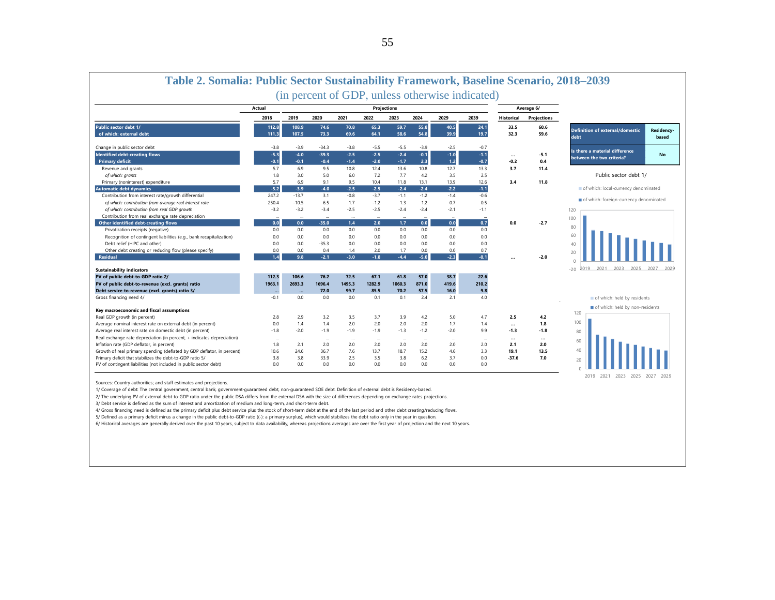| <b>Projections</b><br>Average 6/<br>Actual<br>2018<br>2019<br>2020<br>2021<br>2022<br>2023<br>2024<br>2029<br>2039<br>Projections<br><b>Historical</b><br>Public sector debt 1/<br>112.8<br>108.9<br>74.6<br>70.8<br>65.3<br>59.7<br>55.8<br>40.5<br>24.1<br>33.5<br>60.6<br><b>Definition of external/domestic</b><br>Residency-<br>54.8<br>of which: external debt<br>107.5<br>73.3<br>64.1<br>58.6<br>39.9<br>19.7<br>32.3<br>59.6<br>111.3<br>69.6<br>debt<br>$-3.8$<br>$-3.9$<br>$-34.3$<br>$-5.5$<br>$-3.9$<br>$-2.5$<br>Change in public sector debt<br>$-3.8$<br>$-5.5$<br>$-0.7$<br>Is there a material difference<br><b>Identified debt-creating flows</b><br>$-5.3$<br>$-4.0$<br>$-39.3$<br>$-2.5$<br>$-2.5$<br>$-2.4$<br>$-0.1$<br>$-1.0$<br>$-1.1$<br>$-5.1$<br>No<br>$\cdots$<br>between the two criteria?<br>$-0.1$<br>2.3<br>$-0.1$<br>$-1.7$<br>$1.2$<br>$-0.7$<br><b>Primary deficit</b><br>$-0.4$<br>$-1.4$<br>$-2.0$<br>$-0.2$<br>0.4<br>5.7<br>6.9<br>9.5<br>10.8<br>12.4<br>10.8<br>12.7<br>13.3<br>3.7<br>Revenue and grants<br>13.6<br>11.4<br>Public sector debt 1/<br>1.8<br>5.0<br>6.0<br>4.2<br>3.5<br>2.5<br>of which: grants<br>3.0<br>7.2<br>7.7<br>5.7<br>6.9<br>13.9<br>12.6<br>3.4<br>11.8<br>Primary (noninterest) expenditure<br>9.1<br>9.5<br>10.4<br>11.8<br>13.1<br>of which: local-currency denominated<br>$-5.2$<br>$-2.5$<br>$-2.5$<br>$-2.4$<br>$-2.4$<br>$-2.2$<br>$-3.9$<br>$-4.0$<br>$-1.1$<br><b>Automatic debt dynamics</b><br>$-0.8$<br>Contribution from interest rate/growth differential<br>247.2<br>$-13.7$<br>3.1<br>$-3.7$<br>$-1.2$<br>$-1.4$<br>$-0.6$<br>$-1.1$<br>of which: foreign-currency denominated<br>250.4<br>of which: contribution from average real interest rate<br>$-10.5$<br>6.5<br>1.7<br>1.3<br>1.2<br>0.7<br>0.5<br>$-1.2$<br>of which: contribution from real GDP growth<br>$-3.2$<br>$-2.5$<br>$-2.4$<br>$-3.2$<br>$-3.4$<br>$-2.5$<br>$-2.4$<br>$-2.1$<br>$-1.1$<br>120<br>Contribution from real exchange rate depreciation<br>$\overline{\phantom{a}}$<br>$\overline{\phantom{a}}$<br>$\overline{\phantom{a}}$<br>$\overline{\phantom{a}}$<br>$\overline{\phantom{a}}$<br>100<br>0.0<br>0.0<br>0.0<br>0.7<br>Other identified debt-creating flows<br>0.0<br>1.7<br>0.0<br>$-35.0$<br>1.4<br>2.0<br>$-2.7$<br>80<br>Privatization receipts (negative)<br>0.0<br>0.0<br>0.0<br>0.0<br>0.0<br>0.0<br>0.0<br>0.0<br>0.0<br>60<br>Recognition of contingent liabilities (e.g., bank recapitalization)<br>0.0<br>0.0<br>0.0<br>0.0<br>0.0<br>0.0<br>0.0<br>0.0<br>0.0<br>Debt relief (HIPC and other)<br>0.0<br>0.0<br>$-35.3$<br>0.0<br>0.0<br>0.0<br>0.0<br>0.0<br>0.0<br>40<br>Other debt creating or reducing flow (please specify)<br>0.0<br>0.0<br>0.4<br>1.4<br>2.0<br>1.7<br>0.0<br>0.0<br>0.7<br>20<br>$-5.0$<br>$-2.3$<br>$-2.1$<br>$-1.8$<br>$-4.4$<br><b>Residual</b><br>1.4<br>9.8<br>$-3.0$<br>$-0.1$<br>$-2.0$<br>2021 2023 2025<br>2019<br>2027<br>$-20$<br><b>Sustainability indicators</b><br>PV of public debt-to-GDP ratio 2/<br>112.3<br>106.6<br>76.2<br>72.5<br>67.1<br>61.8<br>57.0<br>38.7<br>22.6<br>1696.4<br>1282.9<br>871.0<br>419.6<br>210.2<br>PV of public debt-to-revenue (excl. grants) ratio<br>1963.1<br>2693.3<br>1495.3<br>1060.3<br>57.5<br>Debt service-to-revenue (excl. grants) ratio 3/<br>72.0<br>99.7<br>70.2<br>16.0<br>9.8<br>85.5<br>$\sim$<br>$-0.1$<br>0.0<br>2.4<br>2.1<br>4.0<br>Gross financing need 4/<br>0.0<br>0.0<br>0.1<br>0.1<br>of which: held by residents<br>of which: held by non-residents<br>Key macroeconomic and fiscal assumptions<br>120<br>Real GDP growth (in percent)<br>2.8<br>2.9<br>3.2<br>3.5<br>3.7<br>3.9<br>4.2<br>5.0<br>4.7<br>2.5<br>4.2<br>100<br>Average nominal interest rate on external debt (in percent)<br>0.0<br>1.4<br>1.4<br>2.0<br>2.0<br>2.0<br>1.7<br>1.8<br>2.0<br>1.4<br><br>$-1.9$<br>$-1.9$<br>Average real interest rate on domestic debt (in percent)<br>$-1.8$<br>$-2.0$<br>$-1.9$<br>$-1.3$<br>$-1.2$<br>$-2.0$<br>9.9<br>$-1.3$<br>$-1.8$<br>80<br>Real exchange rate depreciation (in percent, + indicates depreciation)<br>$\cdots$<br>$\cdots$<br>$\ddotsc$<br>$\cdots$<br>$\cdots$<br>$\ddotsc$<br><br>$\cdots$<br>$\overline{\phantom{a}}$<br>$\overline{\phantom{a}}$<br>$\ddotsc$<br>60<br>Inflation rate (GDP deflator, in percent)<br>1.8<br>2.1<br>2.0<br>2.0<br>2.0<br>2.0<br>2.0<br>2.1<br>2.0<br>2.0<br>2.0<br>40<br>Growth of real primary spending (deflated by GDP deflator, in percent)<br>36.7<br>7.6<br>13.7<br>18.7<br>15.2<br>4.6<br>3.3<br>19.1<br>13.5<br>10.6<br>24.6<br>Primary deficit that stabilizes the debt-to-GDP ratio 5/<br>3.8<br>3.8<br>2.5<br>3.5<br>3.8<br>3.7<br>33.9<br>6.2<br>0.0<br>$-37.6$<br>7.0<br>20<br>PV of contingent liabilities (not included in public sector debt)<br>0.0<br>0.0<br>0.0<br>0.0<br>0.0<br>0.0<br>0.0<br>0.0<br>0.0 |  |  | (in percent of GDP, unless otherwise indicated) |  |  |  |                          |       |
|-------------------------------------------------------------------------------------------------------------------------------------------------------------------------------------------------------------------------------------------------------------------------------------------------------------------------------------------------------------------------------------------------------------------------------------------------------------------------------------------------------------------------------------------------------------------------------------------------------------------------------------------------------------------------------------------------------------------------------------------------------------------------------------------------------------------------------------------------------------------------------------------------------------------------------------------------------------------------------------------------------------------------------------------------------------------------------------------------------------------------------------------------------------------------------------------------------------------------------------------------------------------------------------------------------------------------------------------------------------------------------------------------------------------------------------------------------------------------------------------------------------------------------------------------------------------------------------------------------------------------------------------------------------------------------------------------------------------------------------------------------------------------------------------------------------------------------------------------------------------------------------------------------------------------------------------------------------------------------------------------------------------------------------------------------------------------------------------------------------------------------------------------------------------------------------------------------------------------------------------------------------------------------------------------------------------------------------------------------------------------------------------------------------------------------------------------------------------------------------------------------------------------------------------------------------------------------------------------------------------------------------------------------------------------------------------------------------------------------------------------------------------------------------------------------------------------------------------------------------------------------------------------------------------------------------------------------------------------------------------------------------------------------------------------------------------------------------------------------------------------------------------------------------------------------------------------------------------------------------------------------------------------------------------------------------------------------------------------------------------------------------------------------------------------------------------------------------------------------------------------------------------------------------------------------------------------------------------------------------------------------------------------------------------------------------------------------------------------------------------------------------------------------------------------------------------------------------------------------------------------------------------------------------------------------------------------------------------------------------------------------------------------------------------------------------------------------------------------------------------------------------------------------------------------------------------------------------------------------------------------------------------------------------------------------------------------------------------------------------------------------------------------------------------------------------------------------------------------------------------------------------------------------------------------------------------------------------------------------------------------------------------------------------------------------------------------------------------------------------------------------------------------------------------------------------------------------------------------------------------------|--|--|-------------------------------------------------|--|--|--|--------------------------|-------|
|                                                                                                                                                                                                                                                                                                                                                                                                                                                                                                                                                                                                                                                                                                                                                                                                                                                                                                                                                                                                                                                                                                                                                                                                                                                                                                                                                                                                                                                                                                                                                                                                                                                                                                                                                                                                                                                                                                                                                                                                                                                                                                                                                                                                                                                                                                                                                                                                                                                                                                                                                                                                                                                                                                                                                                                                                                                                                                                                                                                                                                                                                                                                                                                                                                                                                                                                                                                                                                                                                                                                                                                                                                                                                                                                                                                                                                                                                                                                                                                                                                                                                                                                                                                                                                                                                                                                                                                                                                                                                                                                                                                                                                                                                                                                                                                                                                                                         |  |  |                                                 |  |  |  |                          |       |
|                                                                                                                                                                                                                                                                                                                                                                                                                                                                                                                                                                                                                                                                                                                                                                                                                                                                                                                                                                                                                                                                                                                                                                                                                                                                                                                                                                                                                                                                                                                                                                                                                                                                                                                                                                                                                                                                                                                                                                                                                                                                                                                                                                                                                                                                                                                                                                                                                                                                                                                                                                                                                                                                                                                                                                                                                                                                                                                                                                                                                                                                                                                                                                                                                                                                                                                                                                                                                                                                                                                                                                                                                                                                                                                                                                                                                                                                                                                                                                                                                                                                                                                                                                                                                                                                                                                                                                                                                                                                                                                                                                                                                                                                                                                                                                                                                                                                         |  |  |                                                 |  |  |  |                          |       |
|                                                                                                                                                                                                                                                                                                                                                                                                                                                                                                                                                                                                                                                                                                                                                                                                                                                                                                                                                                                                                                                                                                                                                                                                                                                                                                                                                                                                                                                                                                                                                                                                                                                                                                                                                                                                                                                                                                                                                                                                                                                                                                                                                                                                                                                                                                                                                                                                                                                                                                                                                                                                                                                                                                                                                                                                                                                                                                                                                                                                                                                                                                                                                                                                                                                                                                                                                                                                                                                                                                                                                                                                                                                                                                                                                                                                                                                                                                                                                                                                                                                                                                                                                                                                                                                                                                                                                                                                                                                                                                                                                                                                                                                                                                                                                                                                                                                                         |  |  |                                                 |  |  |  |                          |       |
|                                                                                                                                                                                                                                                                                                                                                                                                                                                                                                                                                                                                                                                                                                                                                                                                                                                                                                                                                                                                                                                                                                                                                                                                                                                                                                                                                                                                                                                                                                                                                                                                                                                                                                                                                                                                                                                                                                                                                                                                                                                                                                                                                                                                                                                                                                                                                                                                                                                                                                                                                                                                                                                                                                                                                                                                                                                                                                                                                                                                                                                                                                                                                                                                                                                                                                                                                                                                                                                                                                                                                                                                                                                                                                                                                                                                                                                                                                                                                                                                                                                                                                                                                                                                                                                                                                                                                                                                                                                                                                                                                                                                                                                                                                                                                                                                                                                                         |  |  |                                                 |  |  |  |                          | based |
|                                                                                                                                                                                                                                                                                                                                                                                                                                                                                                                                                                                                                                                                                                                                                                                                                                                                                                                                                                                                                                                                                                                                                                                                                                                                                                                                                                                                                                                                                                                                                                                                                                                                                                                                                                                                                                                                                                                                                                                                                                                                                                                                                                                                                                                                                                                                                                                                                                                                                                                                                                                                                                                                                                                                                                                                                                                                                                                                                                                                                                                                                                                                                                                                                                                                                                                                                                                                                                                                                                                                                                                                                                                                                                                                                                                                                                                                                                                                                                                                                                                                                                                                                                                                                                                                                                                                                                                                                                                                                                                                                                                                                                                                                                                                                                                                                                                                         |  |  |                                                 |  |  |  |                          |       |
|                                                                                                                                                                                                                                                                                                                                                                                                                                                                                                                                                                                                                                                                                                                                                                                                                                                                                                                                                                                                                                                                                                                                                                                                                                                                                                                                                                                                                                                                                                                                                                                                                                                                                                                                                                                                                                                                                                                                                                                                                                                                                                                                                                                                                                                                                                                                                                                                                                                                                                                                                                                                                                                                                                                                                                                                                                                                                                                                                                                                                                                                                                                                                                                                                                                                                                                                                                                                                                                                                                                                                                                                                                                                                                                                                                                                                                                                                                                                                                                                                                                                                                                                                                                                                                                                                                                                                                                                                                                                                                                                                                                                                                                                                                                                                                                                                                                                         |  |  |                                                 |  |  |  |                          |       |
|                                                                                                                                                                                                                                                                                                                                                                                                                                                                                                                                                                                                                                                                                                                                                                                                                                                                                                                                                                                                                                                                                                                                                                                                                                                                                                                                                                                                                                                                                                                                                                                                                                                                                                                                                                                                                                                                                                                                                                                                                                                                                                                                                                                                                                                                                                                                                                                                                                                                                                                                                                                                                                                                                                                                                                                                                                                                                                                                                                                                                                                                                                                                                                                                                                                                                                                                                                                                                                                                                                                                                                                                                                                                                                                                                                                                                                                                                                                                                                                                                                                                                                                                                                                                                                                                                                                                                                                                                                                                                                                                                                                                                                                                                                                                                                                                                                                                         |  |  |                                                 |  |  |  |                          |       |
|                                                                                                                                                                                                                                                                                                                                                                                                                                                                                                                                                                                                                                                                                                                                                                                                                                                                                                                                                                                                                                                                                                                                                                                                                                                                                                                                                                                                                                                                                                                                                                                                                                                                                                                                                                                                                                                                                                                                                                                                                                                                                                                                                                                                                                                                                                                                                                                                                                                                                                                                                                                                                                                                                                                                                                                                                                                                                                                                                                                                                                                                                                                                                                                                                                                                                                                                                                                                                                                                                                                                                                                                                                                                                                                                                                                                                                                                                                                                                                                                                                                                                                                                                                                                                                                                                                                                                                                                                                                                                                                                                                                                                                                                                                                                                                                                                                                                         |  |  |                                                 |  |  |  |                          |       |
|                                                                                                                                                                                                                                                                                                                                                                                                                                                                                                                                                                                                                                                                                                                                                                                                                                                                                                                                                                                                                                                                                                                                                                                                                                                                                                                                                                                                                                                                                                                                                                                                                                                                                                                                                                                                                                                                                                                                                                                                                                                                                                                                                                                                                                                                                                                                                                                                                                                                                                                                                                                                                                                                                                                                                                                                                                                                                                                                                                                                                                                                                                                                                                                                                                                                                                                                                                                                                                                                                                                                                                                                                                                                                                                                                                                                                                                                                                                                                                                                                                                                                                                                                                                                                                                                                                                                                                                                                                                                                                                                                                                                                                                                                                                                                                                                                                                                         |  |  |                                                 |  |  |  |                          |       |
|                                                                                                                                                                                                                                                                                                                                                                                                                                                                                                                                                                                                                                                                                                                                                                                                                                                                                                                                                                                                                                                                                                                                                                                                                                                                                                                                                                                                                                                                                                                                                                                                                                                                                                                                                                                                                                                                                                                                                                                                                                                                                                                                                                                                                                                                                                                                                                                                                                                                                                                                                                                                                                                                                                                                                                                                                                                                                                                                                                                                                                                                                                                                                                                                                                                                                                                                                                                                                                                                                                                                                                                                                                                                                                                                                                                                                                                                                                                                                                                                                                                                                                                                                                                                                                                                                                                                                                                                                                                                                                                                                                                                                                                                                                                                                                                                                                                                         |  |  |                                                 |  |  |  |                          |       |
|                                                                                                                                                                                                                                                                                                                                                                                                                                                                                                                                                                                                                                                                                                                                                                                                                                                                                                                                                                                                                                                                                                                                                                                                                                                                                                                                                                                                                                                                                                                                                                                                                                                                                                                                                                                                                                                                                                                                                                                                                                                                                                                                                                                                                                                                                                                                                                                                                                                                                                                                                                                                                                                                                                                                                                                                                                                                                                                                                                                                                                                                                                                                                                                                                                                                                                                                                                                                                                                                                                                                                                                                                                                                                                                                                                                                                                                                                                                                                                                                                                                                                                                                                                                                                                                                                                                                                                                                                                                                                                                                                                                                                                                                                                                                                                                                                                                                         |  |  |                                                 |  |  |  |                          |       |
|                                                                                                                                                                                                                                                                                                                                                                                                                                                                                                                                                                                                                                                                                                                                                                                                                                                                                                                                                                                                                                                                                                                                                                                                                                                                                                                                                                                                                                                                                                                                                                                                                                                                                                                                                                                                                                                                                                                                                                                                                                                                                                                                                                                                                                                                                                                                                                                                                                                                                                                                                                                                                                                                                                                                                                                                                                                                                                                                                                                                                                                                                                                                                                                                                                                                                                                                                                                                                                                                                                                                                                                                                                                                                                                                                                                                                                                                                                                                                                                                                                                                                                                                                                                                                                                                                                                                                                                                                                                                                                                                                                                                                                                                                                                                                                                                                                                                         |  |  |                                                 |  |  |  |                          |       |
|                                                                                                                                                                                                                                                                                                                                                                                                                                                                                                                                                                                                                                                                                                                                                                                                                                                                                                                                                                                                                                                                                                                                                                                                                                                                                                                                                                                                                                                                                                                                                                                                                                                                                                                                                                                                                                                                                                                                                                                                                                                                                                                                                                                                                                                                                                                                                                                                                                                                                                                                                                                                                                                                                                                                                                                                                                                                                                                                                                                                                                                                                                                                                                                                                                                                                                                                                                                                                                                                                                                                                                                                                                                                                                                                                                                                                                                                                                                                                                                                                                                                                                                                                                                                                                                                                                                                                                                                                                                                                                                                                                                                                                                                                                                                                                                                                                                                         |  |  |                                                 |  |  |  |                          |       |
|                                                                                                                                                                                                                                                                                                                                                                                                                                                                                                                                                                                                                                                                                                                                                                                                                                                                                                                                                                                                                                                                                                                                                                                                                                                                                                                                                                                                                                                                                                                                                                                                                                                                                                                                                                                                                                                                                                                                                                                                                                                                                                                                                                                                                                                                                                                                                                                                                                                                                                                                                                                                                                                                                                                                                                                                                                                                                                                                                                                                                                                                                                                                                                                                                                                                                                                                                                                                                                                                                                                                                                                                                                                                                                                                                                                                                                                                                                                                                                                                                                                                                                                                                                                                                                                                                                                                                                                                                                                                                                                                                                                                                                                                                                                                                                                                                                                                         |  |  |                                                 |  |  |  |                          |       |
|                                                                                                                                                                                                                                                                                                                                                                                                                                                                                                                                                                                                                                                                                                                                                                                                                                                                                                                                                                                                                                                                                                                                                                                                                                                                                                                                                                                                                                                                                                                                                                                                                                                                                                                                                                                                                                                                                                                                                                                                                                                                                                                                                                                                                                                                                                                                                                                                                                                                                                                                                                                                                                                                                                                                                                                                                                                                                                                                                                                                                                                                                                                                                                                                                                                                                                                                                                                                                                                                                                                                                                                                                                                                                                                                                                                                                                                                                                                                                                                                                                                                                                                                                                                                                                                                                                                                                                                                                                                                                                                                                                                                                                                                                                                                                                                                                                                                         |  |  |                                                 |  |  |  |                          |       |
|                                                                                                                                                                                                                                                                                                                                                                                                                                                                                                                                                                                                                                                                                                                                                                                                                                                                                                                                                                                                                                                                                                                                                                                                                                                                                                                                                                                                                                                                                                                                                                                                                                                                                                                                                                                                                                                                                                                                                                                                                                                                                                                                                                                                                                                                                                                                                                                                                                                                                                                                                                                                                                                                                                                                                                                                                                                                                                                                                                                                                                                                                                                                                                                                                                                                                                                                                                                                                                                                                                                                                                                                                                                                                                                                                                                                                                                                                                                                                                                                                                                                                                                                                                                                                                                                                                                                                                                                                                                                                                                                                                                                                                                                                                                                                                                                                                                                         |  |  |                                                 |  |  |  |                          |       |
|                                                                                                                                                                                                                                                                                                                                                                                                                                                                                                                                                                                                                                                                                                                                                                                                                                                                                                                                                                                                                                                                                                                                                                                                                                                                                                                                                                                                                                                                                                                                                                                                                                                                                                                                                                                                                                                                                                                                                                                                                                                                                                                                                                                                                                                                                                                                                                                                                                                                                                                                                                                                                                                                                                                                                                                                                                                                                                                                                                                                                                                                                                                                                                                                                                                                                                                                                                                                                                                                                                                                                                                                                                                                                                                                                                                                                                                                                                                                                                                                                                                                                                                                                                                                                                                                                                                                                                                                                                                                                                                                                                                                                                                                                                                                                                                                                                                                         |  |  |                                                 |  |  |  |                          |       |
|                                                                                                                                                                                                                                                                                                                                                                                                                                                                                                                                                                                                                                                                                                                                                                                                                                                                                                                                                                                                                                                                                                                                                                                                                                                                                                                                                                                                                                                                                                                                                                                                                                                                                                                                                                                                                                                                                                                                                                                                                                                                                                                                                                                                                                                                                                                                                                                                                                                                                                                                                                                                                                                                                                                                                                                                                                                                                                                                                                                                                                                                                                                                                                                                                                                                                                                                                                                                                                                                                                                                                                                                                                                                                                                                                                                                                                                                                                                                                                                                                                                                                                                                                                                                                                                                                                                                                                                                                                                                                                                                                                                                                                                                                                                                                                                                                                                                         |  |  |                                                 |  |  |  |                          |       |
|                                                                                                                                                                                                                                                                                                                                                                                                                                                                                                                                                                                                                                                                                                                                                                                                                                                                                                                                                                                                                                                                                                                                                                                                                                                                                                                                                                                                                                                                                                                                                                                                                                                                                                                                                                                                                                                                                                                                                                                                                                                                                                                                                                                                                                                                                                                                                                                                                                                                                                                                                                                                                                                                                                                                                                                                                                                                                                                                                                                                                                                                                                                                                                                                                                                                                                                                                                                                                                                                                                                                                                                                                                                                                                                                                                                                                                                                                                                                                                                                                                                                                                                                                                                                                                                                                                                                                                                                                                                                                                                                                                                                                                                                                                                                                                                                                                                                         |  |  |                                                 |  |  |  |                          |       |
|                                                                                                                                                                                                                                                                                                                                                                                                                                                                                                                                                                                                                                                                                                                                                                                                                                                                                                                                                                                                                                                                                                                                                                                                                                                                                                                                                                                                                                                                                                                                                                                                                                                                                                                                                                                                                                                                                                                                                                                                                                                                                                                                                                                                                                                                                                                                                                                                                                                                                                                                                                                                                                                                                                                                                                                                                                                                                                                                                                                                                                                                                                                                                                                                                                                                                                                                                                                                                                                                                                                                                                                                                                                                                                                                                                                                                                                                                                                                                                                                                                                                                                                                                                                                                                                                                                                                                                                                                                                                                                                                                                                                                                                                                                                                                                                                                                                                         |  |  |                                                 |  |  |  |                          |       |
|                                                                                                                                                                                                                                                                                                                                                                                                                                                                                                                                                                                                                                                                                                                                                                                                                                                                                                                                                                                                                                                                                                                                                                                                                                                                                                                                                                                                                                                                                                                                                                                                                                                                                                                                                                                                                                                                                                                                                                                                                                                                                                                                                                                                                                                                                                                                                                                                                                                                                                                                                                                                                                                                                                                                                                                                                                                                                                                                                                                                                                                                                                                                                                                                                                                                                                                                                                                                                                                                                                                                                                                                                                                                                                                                                                                                                                                                                                                                                                                                                                                                                                                                                                                                                                                                                                                                                                                                                                                                                                                                                                                                                                                                                                                                                                                                                                                                         |  |  |                                                 |  |  |  |                          |       |
|                                                                                                                                                                                                                                                                                                                                                                                                                                                                                                                                                                                                                                                                                                                                                                                                                                                                                                                                                                                                                                                                                                                                                                                                                                                                                                                                                                                                                                                                                                                                                                                                                                                                                                                                                                                                                                                                                                                                                                                                                                                                                                                                                                                                                                                                                                                                                                                                                                                                                                                                                                                                                                                                                                                                                                                                                                                                                                                                                                                                                                                                                                                                                                                                                                                                                                                                                                                                                                                                                                                                                                                                                                                                                                                                                                                                                                                                                                                                                                                                                                                                                                                                                                                                                                                                                                                                                                                                                                                                                                                                                                                                                                                                                                                                                                                                                                                                         |  |  |                                                 |  |  |  |                          |       |
|                                                                                                                                                                                                                                                                                                                                                                                                                                                                                                                                                                                                                                                                                                                                                                                                                                                                                                                                                                                                                                                                                                                                                                                                                                                                                                                                                                                                                                                                                                                                                                                                                                                                                                                                                                                                                                                                                                                                                                                                                                                                                                                                                                                                                                                                                                                                                                                                                                                                                                                                                                                                                                                                                                                                                                                                                                                                                                                                                                                                                                                                                                                                                                                                                                                                                                                                                                                                                                                                                                                                                                                                                                                                                                                                                                                                                                                                                                                                                                                                                                                                                                                                                                                                                                                                                                                                                                                                                                                                                                                                                                                                                                                                                                                                                                                                                                                                         |  |  |                                                 |  |  |  |                          |       |
|                                                                                                                                                                                                                                                                                                                                                                                                                                                                                                                                                                                                                                                                                                                                                                                                                                                                                                                                                                                                                                                                                                                                                                                                                                                                                                                                                                                                                                                                                                                                                                                                                                                                                                                                                                                                                                                                                                                                                                                                                                                                                                                                                                                                                                                                                                                                                                                                                                                                                                                                                                                                                                                                                                                                                                                                                                                                                                                                                                                                                                                                                                                                                                                                                                                                                                                                                                                                                                                                                                                                                                                                                                                                                                                                                                                                                                                                                                                                                                                                                                                                                                                                                                                                                                                                                                                                                                                                                                                                                                                                                                                                                                                                                                                                                                                                                                                                         |  |  |                                                 |  |  |  |                          |       |
|                                                                                                                                                                                                                                                                                                                                                                                                                                                                                                                                                                                                                                                                                                                                                                                                                                                                                                                                                                                                                                                                                                                                                                                                                                                                                                                                                                                                                                                                                                                                                                                                                                                                                                                                                                                                                                                                                                                                                                                                                                                                                                                                                                                                                                                                                                                                                                                                                                                                                                                                                                                                                                                                                                                                                                                                                                                                                                                                                                                                                                                                                                                                                                                                                                                                                                                                                                                                                                                                                                                                                                                                                                                                                                                                                                                                                                                                                                                                                                                                                                                                                                                                                                                                                                                                                                                                                                                                                                                                                                                                                                                                                                                                                                                                                                                                                                                                         |  |  |                                                 |  |  |  |                          |       |
|                                                                                                                                                                                                                                                                                                                                                                                                                                                                                                                                                                                                                                                                                                                                                                                                                                                                                                                                                                                                                                                                                                                                                                                                                                                                                                                                                                                                                                                                                                                                                                                                                                                                                                                                                                                                                                                                                                                                                                                                                                                                                                                                                                                                                                                                                                                                                                                                                                                                                                                                                                                                                                                                                                                                                                                                                                                                                                                                                                                                                                                                                                                                                                                                                                                                                                                                                                                                                                                                                                                                                                                                                                                                                                                                                                                                                                                                                                                                                                                                                                                                                                                                                                                                                                                                                                                                                                                                                                                                                                                                                                                                                                                                                                                                                                                                                                                                         |  |  |                                                 |  |  |  |                          |       |
|                                                                                                                                                                                                                                                                                                                                                                                                                                                                                                                                                                                                                                                                                                                                                                                                                                                                                                                                                                                                                                                                                                                                                                                                                                                                                                                                                                                                                                                                                                                                                                                                                                                                                                                                                                                                                                                                                                                                                                                                                                                                                                                                                                                                                                                                                                                                                                                                                                                                                                                                                                                                                                                                                                                                                                                                                                                                                                                                                                                                                                                                                                                                                                                                                                                                                                                                                                                                                                                                                                                                                                                                                                                                                                                                                                                                                                                                                                                                                                                                                                                                                                                                                                                                                                                                                                                                                                                                                                                                                                                                                                                                                                                                                                                                                                                                                                                                         |  |  |                                                 |  |  |  |                          |       |
|                                                                                                                                                                                                                                                                                                                                                                                                                                                                                                                                                                                                                                                                                                                                                                                                                                                                                                                                                                                                                                                                                                                                                                                                                                                                                                                                                                                                                                                                                                                                                                                                                                                                                                                                                                                                                                                                                                                                                                                                                                                                                                                                                                                                                                                                                                                                                                                                                                                                                                                                                                                                                                                                                                                                                                                                                                                                                                                                                                                                                                                                                                                                                                                                                                                                                                                                                                                                                                                                                                                                                                                                                                                                                                                                                                                                                                                                                                                                                                                                                                                                                                                                                                                                                                                                                                                                                                                                                                                                                                                                                                                                                                                                                                                                                                                                                                                                         |  |  |                                                 |  |  |  |                          |       |
|                                                                                                                                                                                                                                                                                                                                                                                                                                                                                                                                                                                                                                                                                                                                                                                                                                                                                                                                                                                                                                                                                                                                                                                                                                                                                                                                                                                                                                                                                                                                                                                                                                                                                                                                                                                                                                                                                                                                                                                                                                                                                                                                                                                                                                                                                                                                                                                                                                                                                                                                                                                                                                                                                                                                                                                                                                                                                                                                                                                                                                                                                                                                                                                                                                                                                                                                                                                                                                                                                                                                                                                                                                                                                                                                                                                                                                                                                                                                                                                                                                                                                                                                                                                                                                                                                                                                                                                                                                                                                                                                                                                                                                                                                                                                                                                                                                                                         |  |  |                                                 |  |  |  |                          |       |
|                                                                                                                                                                                                                                                                                                                                                                                                                                                                                                                                                                                                                                                                                                                                                                                                                                                                                                                                                                                                                                                                                                                                                                                                                                                                                                                                                                                                                                                                                                                                                                                                                                                                                                                                                                                                                                                                                                                                                                                                                                                                                                                                                                                                                                                                                                                                                                                                                                                                                                                                                                                                                                                                                                                                                                                                                                                                                                                                                                                                                                                                                                                                                                                                                                                                                                                                                                                                                                                                                                                                                                                                                                                                                                                                                                                                                                                                                                                                                                                                                                                                                                                                                                                                                                                                                                                                                                                                                                                                                                                                                                                                                                                                                                                                                                                                                                                                         |  |  |                                                 |  |  |  |                          |       |
|                                                                                                                                                                                                                                                                                                                                                                                                                                                                                                                                                                                                                                                                                                                                                                                                                                                                                                                                                                                                                                                                                                                                                                                                                                                                                                                                                                                                                                                                                                                                                                                                                                                                                                                                                                                                                                                                                                                                                                                                                                                                                                                                                                                                                                                                                                                                                                                                                                                                                                                                                                                                                                                                                                                                                                                                                                                                                                                                                                                                                                                                                                                                                                                                                                                                                                                                                                                                                                                                                                                                                                                                                                                                                                                                                                                                                                                                                                                                                                                                                                                                                                                                                                                                                                                                                                                                                                                                                                                                                                                                                                                                                                                                                                                                                                                                                                                                         |  |  |                                                 |  |  |  |                          |       |
|                                                                                                                                                                                                                                                                                                                                                                                                                                                                                                                                                                                                                                                                                                                                                                                                                                                                                                                                                                                                                                                                                                                                                                                                                                                                                                                                                                                                                                                                                                                                                                                                                                                                                                                                                                                                                                                                                                                                                                                                                                                                                                                                                                                                                                                                                                                                                                                                                                                                                                                                                                                                                                                                                                                                                                                                                                                                                                                                                                                                                                                                                                                                                                                                                                                                                                                                                                                                                                                                                                                                                                                                                                                                                                                                                                                                                                                                                                                                                                                                                                                                                                                                                                                                                                                                                                                                                                                                                                                                                                                                                                                                                                                                                                                                                                                                                                                                         |  |  |                                                 |  |  |  |                          |       |
|                                                                                                                                                                                                                                                                                                                                                                                                                                                                                                                                                                                                                                                                                                                                                                                                                                                                                                                                                                                                                                                                                                                                                                                                                                                                                                                                                                                                                                                                                                                                                                                                                                                                                                                                                                                                                                                                                                                                                                                                                                                                                                                                                                                                                                                                                                                                                                                                                                                                                                                                                                                                                                                                                                                                                                                                                                                                                                                                                                                                                                                                                                                                                                                                                                                                                                                                                                                                                                                                                                                                                                                                                                                                                                                                                                                                                                                                                                                                                                                                                                                                                                                                                                                                                                                                                                                                                                                                                                                                                                                                                                                                                                                                                                                                                                                                                                                                         |  |  |                                                 |  |  |  |                          |       |
|                                                                                                                                                                                                                                                                                                                                                                                                                                                                                                                                                                                                                                                                                                                                                                                                                                                                                                                                                                                                                                                                                                                                                                                                                                                                                                                                                                                                                                                                                                                                                                                                                                                                                                                                                                                                                                                                                                                                                                                                                                                                                                                                                                                                                                                                                                                                                                                                                                                                                                                                                                                                                                                                                                                                                                                                                                                                                                                                                                                                                                                                                                                                                                                                                                                                                                                                                                                                                                                                                                                                                                                                                                                                                                                                                                                                                                                                                                                                                                                                                                                                                                                                                                                                                                                                                                                                                                                                                                                                                                                                                                                                                                                                                                                                                                                                                                                                         |  |  |                                                 |  |  |  |                          |       |
|                                                                                                                                                                                                                                                                                                                                                                                                                                                                                                                                                                                                                                                                                                                                                                                                                                                                                                                                                                                                                                                                                                                                                                                                                                                                                                                                                                                                                                                                                                                                                                                                                                                                                                                                                                                                                                                                                                                                                                                                                                                                                                                                                                                                                                                                                                                                                                                                                                                                                                                                                                                                                                                                                                                                                                                                                                                                                                                                                                                                                                                                                                                                                                                                                                                                                                                                                                                                                                                                                                                                                                                                                                                                                                                                                                                                                                                                                                                                                                                                                                                                                                                                                                                                                                                                                                                                                                                                                                                                                                                                                                                                                                                                                                                                                                                                                                                                         |  |  |                                                 |  |  |  |                          |       |
|                                                                                                                                                                                                                                                                                                                                                                                                                                                                                                                                                                                                                                                                                                                                                                                                                                                                                                                                                                                                                                                                                                                                                                                                                                                                                                                                                                                                                                                                                                                                                                                                                                                                                                                                                                                                                                                                                                                                                                                                                                                                                                                                                                                                                                                                                                                                                                                                                                                                                                                                                                                                                                                                                                                                                                                                                                                                                                                                                                                                                                                                                                                                                                                                                                                                                                                                                                                                                                                                                                                                                                                                                                                                                                                                                                                                                                                                                                                                                                                                                                                                                                                                                                                                                                                                                                                                                                                                                                                                                                                                                                                                                                                                                                                                                                                                                                                                         |  |  |                                                 |  |  |  | 2019 2021 2023 2025 2027 | 2029  |

Sources: Country authorities; and staff estimates and projections.

1/ Coverage of debt: The central government, central bank, government-guaranteed debt, non-guaranteed SOE debt. Definition of external debt is Residency-based.<br>2/ The underlying PV of external debt-to-GDP ratio under the p

3/ Debt service is defined as the sum of interest and amortization of medium and long-term, and short-term debt.

4/ Gross financing need is defined as the primary deficit plus debt service plus the stock of short-term debt at the end of the last period and other debt creating/reducing flows.<br>5/ Defined as a primary defict minus a cha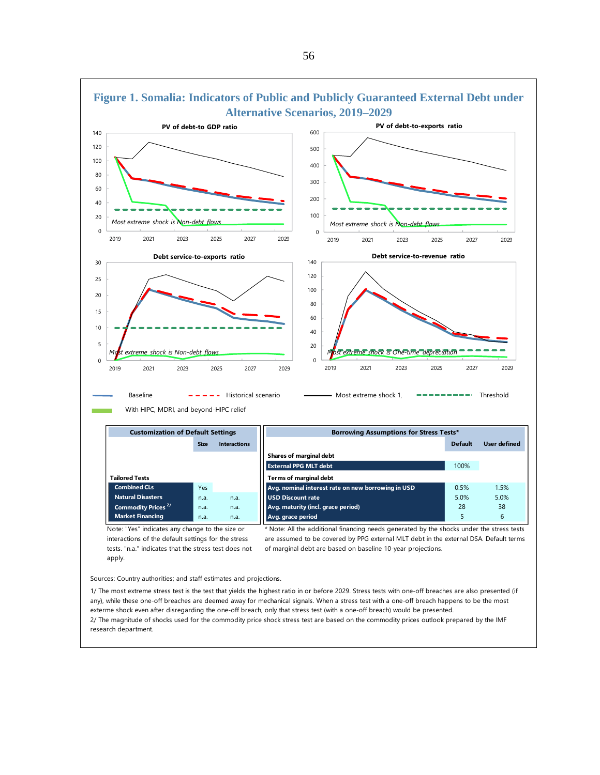

Sources: Country authorities; and staff estimates and projections.

1/ The most extreme stress test is the test that yields the highest ratio in or before 2029. Stress tests with one-off breaches are also presented (if any), while these one-off breaches are deemed away for mechanical signals. When a stress test with a one-off breach happens to be the most exterme shock even after disregarding the one-off breach, only that stress test (with a one-off breach) would be presented. 2/ The magnitude of shocks used for the commodity price shock stress test are based on the commodity prices outlook prepared by the IMF research department.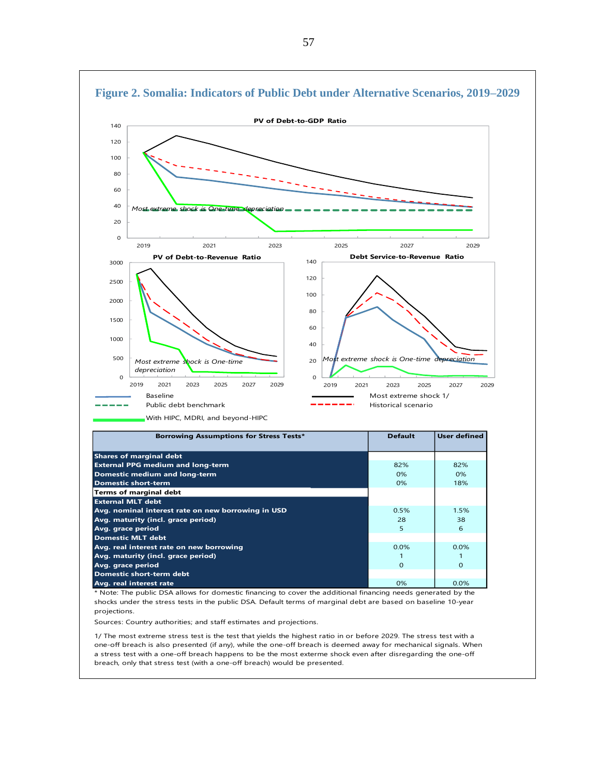

projections.

Sources: Country authorities; and staff estimates and projections.

1/ The most extreme stress test is the test that yields the highest ratio in or before 2029. The stress test with a one-off breach is also presented (if any), while the one-off breach is deemed away for mechanical signals. When a stress test with a one-off breach happens to be the most exterme shock even after disregarding the one-off breach, only that stress test (with a one-off breach) would be presented.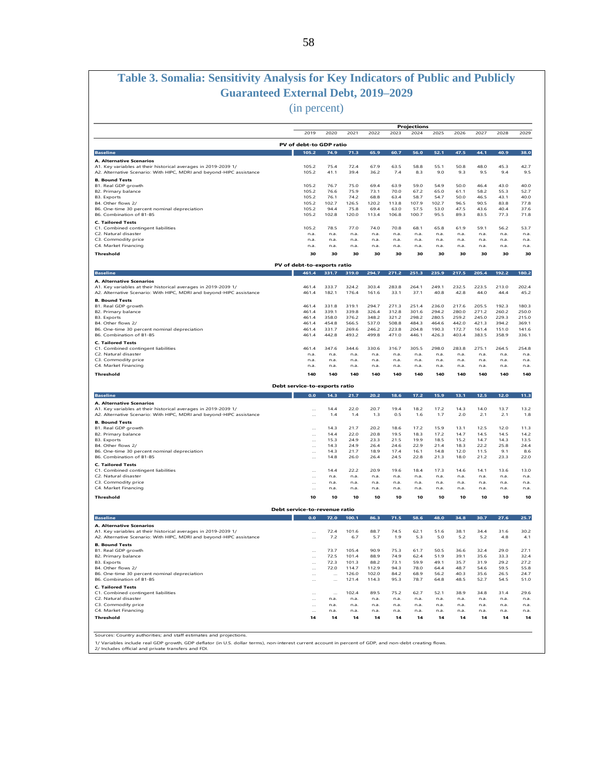# **Table 3. Somalia: Sensitivity Analysis for Key Indicators of Public and Publicly Guaranteed External Debt, 2019–2029**

(in percent)

|                                                                                                                                        |                               |                  |                |                |                | Projections    |                |                |                |                |                |
|----------------------------------------------------------------------------------------------------------------------------------------|-------------------------------|------------------|----------------|----------------|----------------|----------------|----------------|----------------|----------------|----------------|----------------|
|                                                                                                                                        | 2019                          | 2020             | 2021           | 2022           | 2023           | 2024           | 2025           | 2026           | 2027           | 2028           | 2029           |
|                                                                                                                                        | PV of debt-to GDP ratio       |                  |                |                |                |                |                |                |                |                |                |
| <b>Baseline</b>                                                                                                                        | 105.2                         | 74.9             | 71.3           | 65.9           | 60.7           | 56.0           | 52.1           | 47.5           | 44.1           | 40.9           | 38.0           |
| A. Alternative Scenarios                                                                                                               |                               |                  |                |                |                |                |                |                |                |                |                |
| A1. Key variables at their historical averages in 2019-2039 1/                                                                         | 105.2                         | 75.4             | 72.4           | 67.9           | 63.5           | 58.8           | 55.1           | 50.8           | 48.0           | 45.3           | 42.7           |
| A2. Alternative Scenario: With HIPC, MDRI and beyond-HIPC assistance                                                                   | 105.2                         | 41.1             | 39.4           | 36.2           | 7.4            | 8.3            | 9.0            | 9.3            | 9.5            | 9.4            | 9.5            |
| <b>B. Bound Tests</b><br>B1. Real GDP growth                                                                                           | 105.2                         | 76.7             | 75.0           | 69.4           | 63.9           | 59.0           | 54.9           | 50.0           | 46.4           | 43.0           | 40.0           |
| B2. Primary balance                                                                                                                    | 105.2                         | 76.6             | 75.9           | 73.1           | 70.0           | 67.2           | 65.0           | 61.1           | 58.2           | 55.3           | 52.7           |
| <b>B3.</b> Exports<br>B4. Other flows 2/                                                                                               | 105.2<br>105.2                | 76.1<br>102.7    | 74.2<br>126.5  | 68.8<br>120.2  | 63.4<br>113.8  | 58.7<br>107.9  | 54.7<br>102.7  | 50.0<br>96.5   | 46.5<br>90.5   | 43.1<br>83.8   | 40.0<br>77.8   |
| B6. One-time 30 percent nominal depreciation                                                                                           | 105.2                         | 94.4             | 75.8           | 69.4           | 63.0           | 57.5           | 53.0           | 47.5           | 43.6           | 40.4           | 37.6           |
| B6. Combination of B1-B5                                                                                                               | 105.2                         | 102.8            | 120.0          | 113.4          | 106.8          | 100.7          | 95.5           | 89.3           | 83.5           | 77.3           | 71.8           |
| <b>C. Tailored Tests</b>                                                                                                               |                               |                  |                |                |                |                |                |                |                |                |                |
| C1. Combined contingent liabilities<br>C2. Natural disaster                                                                            | 105.2<br>n.a.                 | 78.5<br>n.a.     | 77.0<br>n.a.   | 74.0<br>n.a.   | 70.8<br>n.a.   | 68.1<br>n.a.   | 65.8<br>n.a.   | 61.9<br>n.a.   | 59.1<br>n.a.   | 56.2<br>n.a.   | 53.7<br>n.a.   |
| C3. Commodity price                                                                                                                    | n.a.                          | n.a.             | n.a.           | n.a.           | n.a.           | n.a.           | n.a.           | n.a.           | n.a.           | n.a.           | n.a.           |
| C4. Market Financing                                                                                                                   | n.a.                          | n.a.             | n.a.           | n.a.           | n.a.           | n.a.           | n.a.           | n.a.           | n.a.           | n.a.           | n.a.           |
| Threshold                                                                                                                              | 30                            | 30               | 30             | 30             | 30             | 30             | 30             | 30             | 30             | 30             | 30             |
|                                                                                                                                        | PV of debt-to-exports ratio   |                  |                |                |                |                |                |                |                |                |                |
| <b>Baseline</b>                                                                                                                        | 461.4                         | 331.7            | 319.0          | 294.7          | 271.2          | 251.3          | 235.9          | 217.5          | 205.4          | 192.2          | 180.2          |
| A. Alternative Scenarios                                                                                                               |                               |                  |                |                |                |                |                |                |                |                |                |
| A1. Key variables at their historical averages in 2019-2039 1/<br>A2. Alternative Scenario: With HIPC, MDRI and beyond-HIPC assistance | 461.4<br>461.4                | 333.7<br>182.1   | 324.2<br>176.4 | 303.4<br>161.6 | 283.8<br>33.1  | 264.1<br>37.1  | 249.1<br>40.8  | 232.5<br>42.8  | 223.5<br>44.0  | 213.0<br>44.4  | 202.4<br>45.2  |
| <b>B. Bound Tests</b>                                                                                                                  |                               |                  |                |                |                |                |                |                |                |                |                |
| B1. Real GDP growth<br>B2. Primary balance                                                                                             | 461.4<br>461.4                | 331.8<br>339.1   | 319.1<br>339.8 | 294.7<br>326.4 | 271.3<br>312.8 | 251.4<br>301.6 | 236.0<br>294.2 | 217.6<br>280.0 | 205.5<br>271.2 | 192.3<br>260.2 | 180.3<br>250.0 |
| <b>B3.</b> Exports                                                                                                                     | 461.4                         | 358.0            | 376.2          | 348.2          | 321.2          | 298.2          | 280.5          | 259.2          | 245.0          | 229.3          | 215.0          |
| B4 Other flows 2/                                                                                                                      | 461.4                         | 454.8            | 566.5          | 537.0          | 508.8          | 484.3          | 464.6          | 442.0          | 421.3          | 394.2          | 369.1          |
| B6. One-time 30 percent nominal depreciation<br>B6. Combination of B1-B5                                                               | 461.4<br>461.4                | 331.7<br>442.8   | 269.6<br>493.2 | 246.2<br>499.8 | 223.8<br>471.0 | 204.8<br>446.1 | 190.3<br>426.3 | 172.7<br>403.4 | 161.4<br>383.5 | 151.0<br>358.9 | 141.6<br>336.1 |
| <b>C. Tailored Tests</b>                                                                                                               |                               |                  |                |                |                |                |                |                |                |                |                |
| C1. Combined contingent liabilities                                                                                                    | 461.4                         | 347.6            | 344.6          | 330.6          | 316.7          | 305.5          | 298.0          | 283.8          | 275.1          | 264.5          | 254.8          |
| C2. Natural disaster                                                                                                                   | n.a.                          | n.a.             | n.a.           | n.a.           | n.a.           | n.a.           | n.a.           | n.a.           | n.a.           | n.a.           | n.a.           |
| C3. Commodity price<br>C4. Market Financing                                                                                            | n.a.<br>n.a.                  | n.a.<br>n.a.     | n.a.<br>n.a.   | n.a.<br>n.a.   | n.a.<br>n.a.   | n.a.<br>n.a.   | n.a.<br>n.a.   | n.a.<br>n.a.   | n.a.<br>n.a.   | n.a.<br>n.a.   | n.a.<br>n.a.   |
| Threshold                                                                                                                              | 140                           | 140              | 140            | 140            | 140            | 140            | 140            | 140            | 140            | 140            | 140            |
|                                                                                                                                        |                               |                  |                |                |                |                |                |                |                |                |                |
|                                                                                                                                        | Debt service-to-exports ratio |                  |                |                |                |                |                |                |                |                |                |
| <b>Baseline</b>                                                                                                                        | 0.0                           | 14.3             | 21.7           | 20.2           | 18.6           | 17.2           | 15.9           | 13.1           | 12.5           | 12.0           | 11.3           |
| A. Alternative Scenarios<br>A1. Key variables at their historical averages in 2019-2039 1/                                             | $\ldots$                      | 14.4             | 22.0           | 20.7           | 19.4           | 18.2           | 17.2<br>1.7    | 14.3           | 14.0<br>2.1    | 13.7           | 13.2           |
| A2. Alternative Scenario: With HIPC, MDRI and beyond-HIPC assistance                                                                   | $\cdots$                      | 1.4              | 1.4            | 1.3            | 0.5            | 1.6            |                | 2.0            |                | 2.1            | 1.8            |
| <b>B. Bound Tests</b><br>B1. Real GDP growth                                                                                           | $\ddotsc$                     | 14.3             | 21.7           | 20.2           | 18.6           | 17.2           | 15.9           | 13.1           | 12.5           | 12.0           | 11.3           |
| B2. Primary balance                                                                                                                    | $\cdots$                      | 14.4             | 22.0           | 20.8           | 19.5           | 18.3           | 17.2           | 14.7           | 14.5           | 14.5           | 14.2           |
| <b>B3.</b> Exports                                                                                                                     | $\cdots$                      | 15.3             | 24.9           | 23.3           | 21.5           | 19.9           | 18.5           | 15.2           | 14.7           | 14.3           | 13.5           |
| B4. Other flows 2/<br>B6. One-time 30 percent nominal depreciation                                                                     | $\ddotsc$<br>$\ddotsc$        | 14.3<br>14.3     | 24.9<br>21.7   | 26.4<br>18.9   | 24.6<br>17.4   | 22.9<br>16.1   | 21.4<br>14.8   | 18.3<br>12.0   | 22.2<br>11.5   | 25.8<br>9.1    | 24.4<br>8.6    |
| B6. Combination of B1-B5                                                                                                               | $\ddotsc$                     | 14.8             | 26.0           | 26.4           | 24.5           | 22.8           | 21.3           | 18.0           | 21.2           | 23.3           | 22.0           |
| <b>C. Tailored Tests</b>                                                                                                               |                               |                  |                |                |                |                |                |                |                |                |                |
| C1. Combined contingent liabilities                                                                                                    | $\cdots$                      | 14.4             | 22.2           | 20.9           | 19.6           | 18.4           | 17.3           | 14.6           | 14.1           | 13.6           | 13.0           |
| C2. Natural disaster<br>C3. Commodity price                                                                                            |                               | n.a.<br>n.a.     | n.a.<br>n.a.   | n.a.<br>n.a.   | n.a.<br>n.a.   | n.a.<br>n.a.   | n.a.<br>n.a.   | n.a.<br>n.a.   | n.a.<br>n.a.   | n.a.<br>n.a.   | n.a.<br>n.a.   |
| C4. Market Financing                                                                                                                   |                               | n.a.             | n.a.           | n.a.           | n.a.           | n.a.           | n.a.           | n.a.           | n.a.           | n.a.           | n.a.           |
|                                                                                                                                        | 10                            | 10               | 10             | 10             | 10             | 10             | 10             | 10             | 10             | 10             | 10             |
|                                                                                                                                        |                               |                  |                |                |                |                |                |                |                |                |                |
| Threshold                                                                                                                              |                               |                  |                |                |                |                |                |                |                |                |                |
|                                                                                                                                        | Debt service-to-revenue ratio |                  |                |                |                |                |                |                |                |                |                |
| <b>Baseline</b>                                                                                                                        | 0.0                           | 72.0             | 100.1          | 86.3           | 71.5           | 58.6           | 48.0           | 34.8           | 30.7           | 27.6           | 25.7           |
| A. Alternative Scenarios                                                                                                               |                               |                  |                |                |                |                |                |                |                |                |                |
| A1. Key variables at their historical averages in 2019-2039 1/<br>A2. Alternative Scenario: With HIPC, MDRI and beyond-HIPC assistance | $\cdots$                      | 72.4<br>7.2      | 101.6<br>6.7   | 88.7<br>5.7    | 74.5<br>1.9    | 62.1<br>5.3    | 51.6<br>5.0    | 38.1<br>5.2    | 34.4<br>5.2    | 31.6<br>4.8    | 30.2<br>4.1    |
| <b>B. Bound Tests</b>                                                                                                                  |                               |                  |                |                |                |                |                |                |                |                |                |
| B1. Real GDP growth                                                                                                                    | $\cdots$                      | 73.7             | 105.4          | 90.9           | 75.3           | 61.7           | 50.5           | 36.6           | 32.4           | 29.0           | 27.1           |
| B2. Primary balance                                                                                                                    |                               | 72.5             | 101.4          | 88.9           | 74.9           | 62.4           | 51.9           | 39.1           | 35.6           | 33.3           | 32.4           |
| B3. Exports<br>B4. Other flows 2/                                                                                                      | <br>$\cdots$                  | 72.3<br>72.0     | 101.3<br>114.7 | 88.2<br>112.9  | 73.1<br>94.3   | 59.9<br>78.0   | 49.1<br>64.4   | 35.7<br>48.7   | 31.9<br>54.6   | 29.2<br>59.5   | 27.2<br>55.8   |
| B6. One-time 30 percent nominal depreciation                                                                                           | $\ldots$                      | $\cdots$         | 126.0          | 102.0          | 84.2           | 68.9           | 56.2           | 40.3           | 35.6           | 26.5           | 24.7           |
| B6. Combination of B1-B5                                                                                                               | $\cdots$                      | $\cdots$         | 121.4          | 114.3          | 95.3           | 78.7           | 64.8           | 48.5           | 52.7           | 54.5           | 51.0           |
| <b>C. Tailored Tests</b>                                                                                                               |                               |                  |                |                |                |                |                |                |                |                |                |
| C1. Combined contingent liabilities<br>C2. Natural disaster                                                                            | $\cdots$<br>$\cdots$          | $\cdots$<br>n.a. | 102.4<br>n.a.  | 89.5<br>n.a.   | 75.2<br>n.a.   | 62.7<br>n.a.   | 52.1<br>n.a.   | 38.9<br>n.a.   | 34.8<br>n.a.   | 31.4<br>n.a.   | 29.6<br>n.a.   |
| C3. Commodity price                                                                                                                    | $\cdots$                      | n.a.             | n.a.           | n.a.           | n.a.           | n.a.           | n.a.           | n.a.           | n.a.           | n.a.           | n.a.           |
| C4. Market Financing<br>Threshold                                                                                                      | $\ddotsc$<br>14               | n.a.<br>14       | n.a.<br>14     | n.a.<br>14     | n.a.<br>14     | n.a.<br>14     | n.a.<br>14     | n.a.<br>14     | n.a.<br>14     | n.a.<br>14     | n.a.<br>14     |

1/ Variables include real GDP growth, GDP deflator (in U.S. dollar terms), non-interest current account in percent of GDP, and non-debt creating flows.<br>2/ Includes official and private transfers and FDI.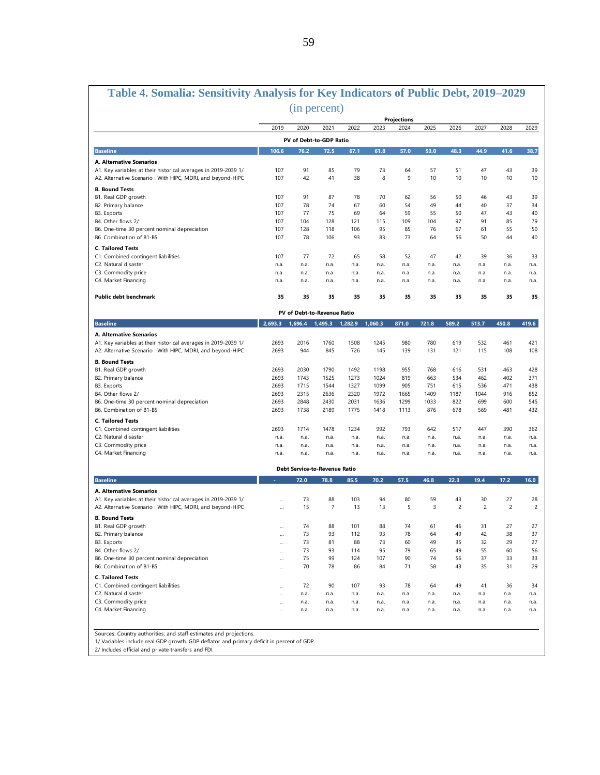| Table 4. Somalia: Sensitivity Analysis for Key Indicators of Public Debt, 2019-2029                                           |              |                                 |                      |              |              |              |              |                      |                      |                      |                      |
|-------------------------------------------------------------------------------------------------------------------------------|--------------|---------------------------------|----------------------|--------------|--------------|--------------|--------------|----------------------|----------------------|----------------------|----------------------|
|                                                                                                                               |              | (in percent)                    |                      |              |              |              |              |                      |                      |                      |                      |
|                                                                                                                               |              |                                 |                      |              |              | Projections  |              |                      |                      |                      |                      |
|                                                                                                                               | 2019         | 2020<br>PV of Debt-to-GDP Ratio | 2021                 | 2022         | 2023         | 2024         | 2025         | 2026                 | 2027                 | 2028                 | 2029                 |
| <b>Baseline</b>                                                                                                               | 106.6        | 76.2                            | 72.5                 | 67.1         | 61.8         | 57.0         | 53.0         | 48.3                 | 44.9                 | 41.6                 | 38.7                 |
| A. Alternative Scenarios                                                                                                      |              |                                 |                      |              |              |              |              |                      |                      |                      |                      |
| A1. Key variables at their historical averages in 2019-2039 1/<br>A2. Alternative Scenario : With HIPC, MDRI, and beyond-HIPC | 107<br>107   | 91<br>42                        | 85<br>41             | 79<br>38     | 73<br>8      | 64<br>9      | 57<br>10     | 51<br>10             | 47<br>10             | 43<br>10             | 39<br>10             |
| <b>B. Bound Tests</b>                                                                                                         |              |                                 |                      |              |              |              |              |                      |                      |                      |                      |
| B1. Real GDP growth                                                                                                           | 107          | 91                              | 87                   | 78           | 70           | 62           | 56           | 50                   | 46                   | 43                   | 39                   |
| B2. Primary balance<br>B3. Exports                                                                                            | 107<br>107   | 78<br>77                        | 74                   | 67           | 60<br>64     | 54<br>59     | 49           | 44<br>50             | 40<br>47             | 37<br>43             | 34                   |
| B4. Other flows 2/                                                                                                            | 107          | 104                             | 75<br>128            | 69<br>121    | 115          | 109          | 55<br>104    | 97                   | 91                   | 85                   | 40<br>79             |
| B6. One-time 30 percent nominal depreciation                                                                                  | 107          | 128                             | 118                  | 106          | 95           | 85           | 76           | 67                   | 61                   | 55                   | 50                   |
| B6. Combination of B1-B5                                                                                                      | 107          | 78                              | 106                  | 93           | 83           | 73           | 64           | 56                   | 50                   | 44                   | 40                   |
| <b>C. Tailored Tests</b>                                                                                                      |              |                                 |                      |              |              |              |              |                      |                      |                      |                      |
| C1. Combined contingent liabilities<br>C2. Natural disaster                                                                   | 107          | 77<br>n.a.                      | 72                   | 65           | 58           | 52           | 47           | 42                   | 39                   | 36                   | 33                   |
| C3. Commodity price                                                                                                           | n.a.<br>n.a. | n.a.                            | n.a.<br>n.a.         | n.a.<br>n.a. | n.a.<br>n.a. | n.a.<br>n.a. | n.a.<br>n.a. | n.a.<br>n.a.         | n.a.<br>n.a.         | n.a.<br>n.a.         | n.a.<br>n.a.         |
| C4. Market Financing                                                                                                          | n.a.         | n.a.                            | n.a.                 | n.a.         | n.a.         | n.a.         | n.a.         | n.a.                 | n.a.                 | n.a.                 | n.a.                 |
| <b>Public debt benchmark</b>                                                                                                  | 35           | 35                              | 35                   | 35           | 35           | 35           | 35           | 35                   | 35                   | 35                   | 35                   |
|                                                                                                                               |              | PV of Debt-to-Revenue Ratio     |                      |              |              |              |              |                      |                      |                      |                      |
| <b>Baseline</b>                                                                                                               | 2.693.3      | 1,696.4                         | 1,495.3              | 1,282.9      | 1,060.3      | 871.0        | 721.8        | 589.2                | 513.7                | 450.8                | 419.6                |
|                                                                                                                               |              |                                 |                      |              |              |              |              |                      |                      |                      |                      |
| A. Alternative Scenarios<br>A1. Key variables at their historical averages in 2019-2039 1/                                    | 2693         | 2016                            | 1760                 | 1508         | 1245         | 980          | 780          | 619                  | 532                  | 461                  | 421                  |
| A2. Alternative Scenario : With HIPC, MDRI, and beyond-HIPC                                                                   | 2693         | 944                             | 845                  | 726          | 145          | 139          | 131          | 121                  | 115                  | 108                  | 108                  |
| <b>B. Bound Tests</b>                                                                                                         |              |                                 |                      |              |              |              |              |                      |                      |                      |                      |
| B1. Real GDP growth                                                                                                           | 2693<br>2693 | 2030<br>1743                    | 1790<br>1525         | 1492<br>1273 | 1198<br>1024 | 955<br>819   | 768<br>663   | 616<br>534           | 531<br>462           | 463<br>402           | 428<br>371           |
| B2. Primary balance<br>B3. Exports                                                                                            | 2693         | 1715                            | 1544                 | 1327         | 1099         | 905          | 751          | 615                  | 536                  | 471                  | 438                  |
| B4. Other flows 2/                                                                                                            | 2693         | 2315                            | 2636                 | 2320         | 1972         | 1665         | 1409         | 1187                 | 1044                 | 916                  | 852                  |
| B6. One-time 30 percent nominal depreciation                                                                                  | 2693         | 2848                            | 2430                 | 2031         | 1636         | 1299         | 1033         | 822                  | 699                  | 600                  | 545                  |
| B6. Combination of B1-B5                                                                                                      | 2693         | 1738                            | 2189                 | 1775         | 1418         | 1113         | 876          | 678                  | 569                  | 481                  | 432                  |
| <b>C. Tailored Tests</b>                                                                                                      |              |                                 |                      |              |              |              |              |                      |                      |                      |                      |
| C1. Combined contingent liabilities                                                                                           | 2693         | 1714                            | 1478                 | 1234         | 992          | 793          | 642          | 517                  | 447                  | 390                  | 362                  |
| C2. Natural disaster                                                                                                          | n.a.         | n.a.                            | n.a.                 | n.a.         | n.a.         | n.a.         | n.a.         | n.a.                 | n.a.                 | n.a.                 | n.a.                 |
| C3. Commodity price                                                                                                           | n.a.         | n.a.                            | n.a.                 | n.a.         | n.a.         | n.a.         | n.a.         | n.a.                 | n.a.                 | n.a.                 | n.a.                 |
| C4. Market Financing                                                                                                          | n.a.         | n.a.                            | n.a.                 | n.a.         | n.a.         | n.a.         | n.a.         | n.a.                 | n.a.                 | n.a.                 | n.a.                 |
|                                                                                                                               |              | Debt Service-to-Revenue Ratio   |                      |              |              |              |              |                      |                      |                      |                      |
| <b>Baseline</b>                                                                                                               |              | 72.0                            | 78.8                 | 85.5         | 70.2         | 57.5         | 46.8         | 22.3                 | 19.4                 | 17.2                 | 16.0                 |
| A. Alternative Scenarios                                                                                                      |              |                                 |                      |              |              |              |              |                      |                      |                      |                      |
| A1. Key variables at their historical averages in 2019-2039 1/<br>A2. Alternative Scenario : With HIPC, MDRI, and beyond-HIPC | $\ddotsc$    | 73<br>15                        | 88<br>$\overline{7}$ | 103<br>13    | 94<br>13     | 80<br>5      | 59<br>3      | 43<br>$\overline{c}$ | 30<br>$\overline{c}$ | 27<br>$\overline{c}$ | 28<br>$\overline{c}$ |
| <b>B. Bound Tests</b>                                                                                                         |              |                                 |                      |              |              |              |              |                      |                      |                      |                      |
| B1. Real GDP growth                                                                                                           |              | 74                              | 88                   | 101          | 88           | 74           | 61           | 46                   | 31                   | 27                   | 27                   |
| B2. Primary balance                                                                                                           |              | 73                              | 93                   | 112          | 93           | 78           | 64           | 49                   | 42                   | 38                   | 37                   |
| B3. Exports                                                                                                                   |              | 73                              | 81                   | 88           | 73           | 60           | 49           | 35                   | 32                   | 29                   | 27                   |
| B4. Other flows 2/                                                                                                            |              | 73                              | 93                   | 114          | 95           | 79           | 65           | 49                   | 55                   | 60                   | 56                   |
| B6. One-time 30 percent nominal depreciation                                                                                  |              | 75                              | 99                   | 124          | 107          | 90           | 74           | 56                   | 37                   | 33                   | 33                   |
| B6. Combination of B1-B5                                                                                                      |              | 70                              | 78                   | 86           | 84           | 71           | 58           | 43                   | 35                   | 31                   | 29                   |
| <b>C. Tailored Tests</b>                                                                                                      |              |                                 |                      |              |              |              |              |                      |                      |                      |                      |
| C1. Combined contingent liabilities                                                                                           |              | 72                              | 90                   | 107          | 93           | 78           | 64           | 49                   | 41                   | 36                   | 34                   |
| C2. Natural disaster                                                                                                          |              | n.a.                            | n.a.                 | n.a.         | n.a.         | n.a.         | n.a.         | n.a.                 | n.a.                 | n.a.                 | n.a.                 |
| C3. Commodity price                                                                                                           |              | n.a.                            | n.a.                 | n.a.         | n.a.         | n.a.         | n.a.         | n.a.                 | n.a.                 | n.a.                 | n.a.                 |
| C4. Market Financing                                                                                                          |              | n.a.                            | n.a.                 | n.a.         | n.a.         | n.a.         | n.a.         | n.a.                 | n.a.                 | n.a.                 | n.a.                 |
| Sources: Country authorities; and staff estimates and projections.                                                            |              |                                 |                      |              |              |              |              |                      |                      |                      |                      |
|                                                                                                                               |              |                                 |                      |              |              |              |              |                      |                      |                      |                      |

1/ Variables include real GDP growth, GDP deflator and primary deficit in percent of GDP.

2/ Includes official and private transfers and FDI.

 $\Gamma$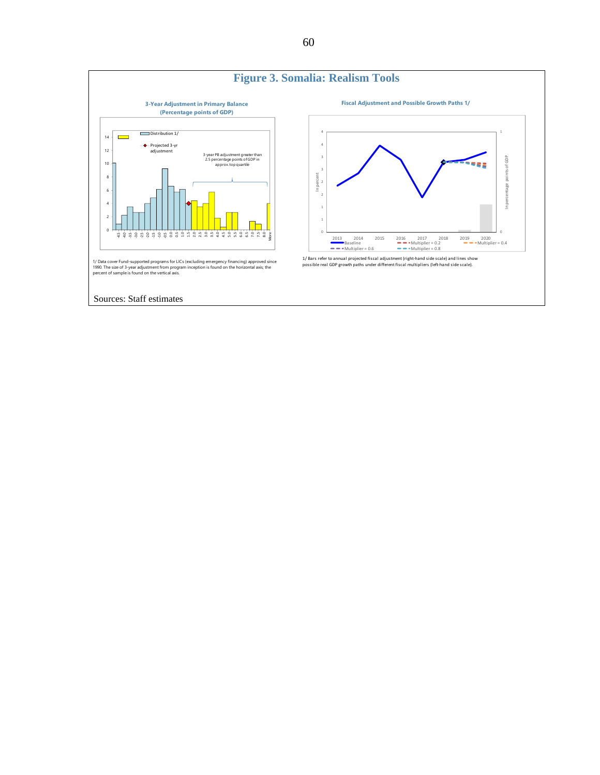